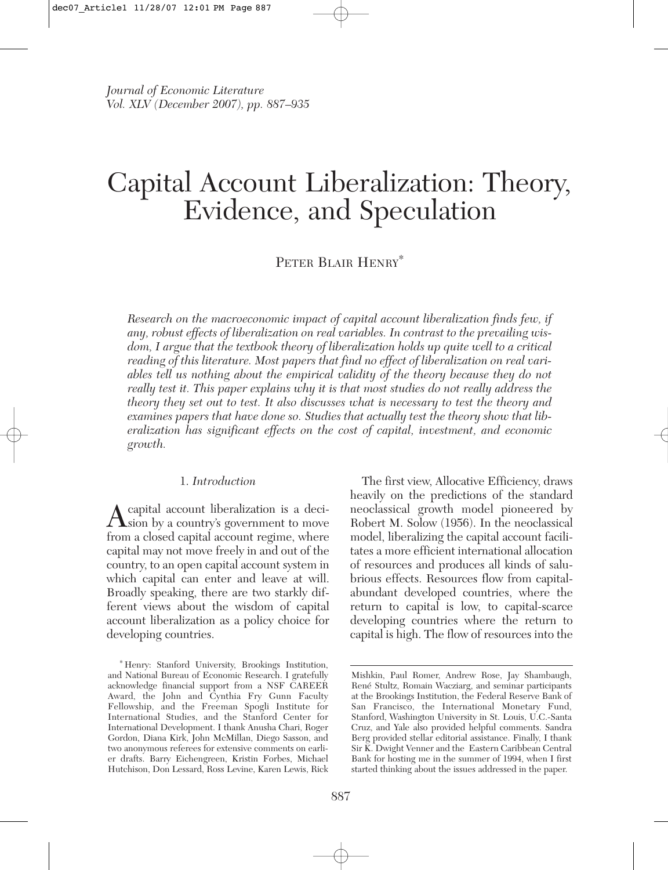# Capital Account Liberalization: Theory, Evidence, and Speculation

## PETER BLAIR HENRY<sup>∗</sup>

*Research on the macroeconomic impact of capital account liberalization finds few, if any, robust effects of liberalization on real variables. In contrast to the prevailing wisdom, I argue that the textbook theory of liberalization holds up quite well to a critical reading of this literature. Most papers that find no effect of liberalization on real variables tell us nothing about the empirical validity of the theory because they do not really test it. This paper explains why it is that most studies do not really address the theory they set out to test. It also discusses what is necessary to test the theory and examines papers that have done so. Studies that actually test the theory show that liberalization has significant effects on the cost of capital, investment, and economic growth.*

#### 1. *Introduction*

A capital account liberalization is a deci-<br>sion by a country's government to move from a closed capital account regime, where capital may not move freely in and out of the country, to an open capital account system in which capital can enter and leave at will. Broadly speaking, there are two starkly different views about the wisdom of capital account liberalization as a policy choice for developing countries.

The first view, Allocative Efficiency, draws heavily on the predictions of the standard neoclassical growth model pioneered by Robert M. Solow (1956). In the neoclassical model, liberalizing the capital account facilitates a more efficient international allocation of resources and produces all kinds of salubrious effects. Resources flow from capitalabundant developed countries, where the return to capital is low, to capital-scarce developing countries where the return to capital is high. The flow of resources into the

<sup>∗</sup> Henry: Stanford University, Brookings Institution, and National Bureau of Economic Research. I gratefully acknowledge financial support from a NSF CAREER Award, the John and Cynthia Fry Gunn Faculty Fellowship, and the Freeman Spogli Institute for International Studies, and the Stanford Center for International Development. I thank Anusha Chari, Roger Gordon, Diana Kirk, John McMillan, Diego Sasson, and two anonymous referees for extensive comments on earlier drafts. Barry Eichengreen, Kristin Forbes, Michael Hutchison, Don Lessard, Ross Levine, Karen Lewis, Rick

Mishkin, Paul Romer, Andrew Rose, Jay Shambaugh, René Stultz, Romain Wacziarg, and seminar participants at the Brookings Institution, the Federal Reserve Bank of San Francisco, the International Monetary Fund, Stanford, Washington University in St. Louis, U.C.-Santa Cruz, and Yale also provided helpful comments. Sandra Berg provided stellar editorial assistance. Finally, I thank Sir K. Dwight Venner and the Eastern Caribbean Central Bank for hosting me in the summer of 1994, when I first started thinking about the issues addressed in the paper.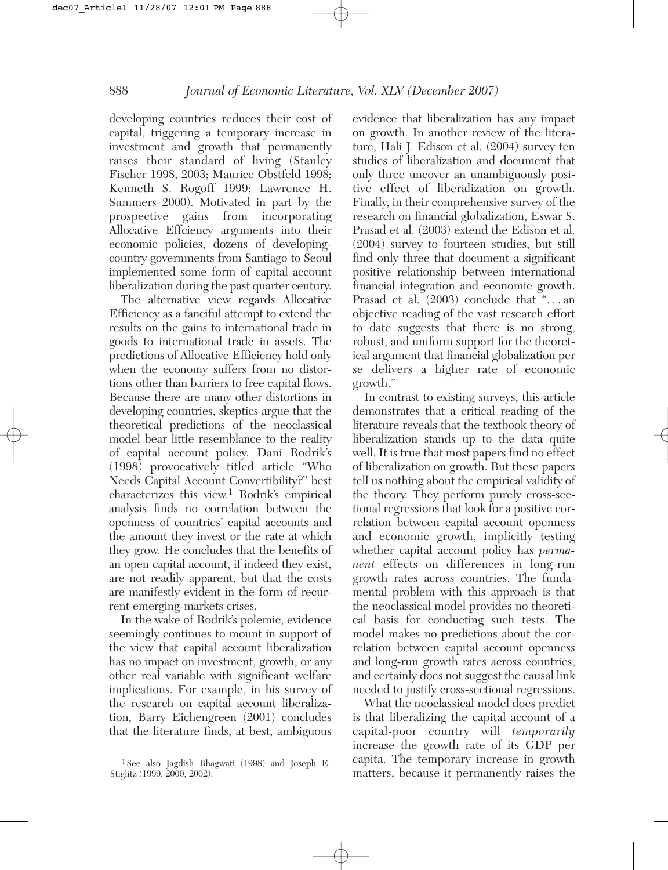developing countries reduces their cost of capital, triggering a temporary increase in investment and growth that permanently raises their standard of living (Stanley Fischer 1998, 2003; Maurice Obstfeld 1998; Kenneth S. Rogoff 1999; Lawrence H. Summers 2000). Motivated in part by the prospective gains from incorporating Allocative Effciency arguments into their economic policies, dozens of developingcountry governments from Santiago to Seoul implemented some form of capital account liberalization during the past quarter century.

The alternative view regards Allocative Efficiency as a fanciful attempt to extend the results on the gains to international trade in goods to international trade in assets. The predictions of Allocative Efficiency hold only when the economy suffers from no distortions other than barriers to free capital flows. Because there are many other distortions in developing countries, skeptics argue that the theoretical predictions of the neoclassical model bear little resemblance to the reality of capital account policy. Dani Rodrik's (1998) provocatively titled article "Who Needs Capital Account Convertibility?" best characterizes this view.<sup>1</sup> Rodrik's empirical analysis finds no correlation between the openness of countries' capital accounts and the amount they invest or the rate at which they grow. He concludes that the benefits of an open capital account, if indeed they exist, are not readily apparent, but that the costs are manifestly evident in the form of recurrent emerging-markets crises.

In the wake of Rodrik's polemic, evidence seemingly continues to mount in support of the view that capital account liberalization has no impact on investment, growth, or any other real variable with significant welfare implications. For example, in his survey of the research on capital account liberalization, Barry Eichengreen (2001) concludes that the literature finds, at best, ambiguous

evidence that liberalization has any impact on growth. In another review of the literature, Hali J. Edison et al. (2004) survey ten studies of liberalization and document that only three uncover an unambiguously positive effect of liberalization on growth. Finally, in their comprehensive survey of the research on financial globalization, Eswar S. Prasad et al. (2003) extend the Edison et al. (2004) survey to fourteen studies, but still find only three that document a significant positive relationship between international financial integration and economic growth. Prasad et al. (2003) conclude that "... an objective reading of the vast research effort to date suggests that there is no strong, robust, and uniform support for the theoretical argument that financial globalization per se delivers a higher rate of economic growth."

In contrast to existing surveys, this article demonstrates that a critical reading of the literature reveals that the textbook theory of liberalization stands up to the data quite well. It is true that most papers find no effect of liberalization on growth. But these papers tell us nothing about the empirical validity of the theory. They perform purely cross-sectional regressions that look for a positive correlation between capital account openness and economic growth, implicitly testing whether capital account policy has *permanent* effects on differences in long-run growth rates across countries. The fundamental problem with this approach is that the neoclassical model provides no theoretical basis for conducting such tests. The model makes no predictions about the correlation between capital account openness and long-run growth rates across countries, and certainly does not suggest the causal link needed to justify cross-sectional regressions.

What the neoclassical model does predict is that liberalizing the capital account of a capital-poor country will *temporarily* increase the growth rate of its GDP per capita. The temporary increase in growth matters, because it permanently raises the

<sup>1</sup> See also Jagdish Bhagwati (1998) and Joseph E. Stiglitz (1999, 2000, 2002).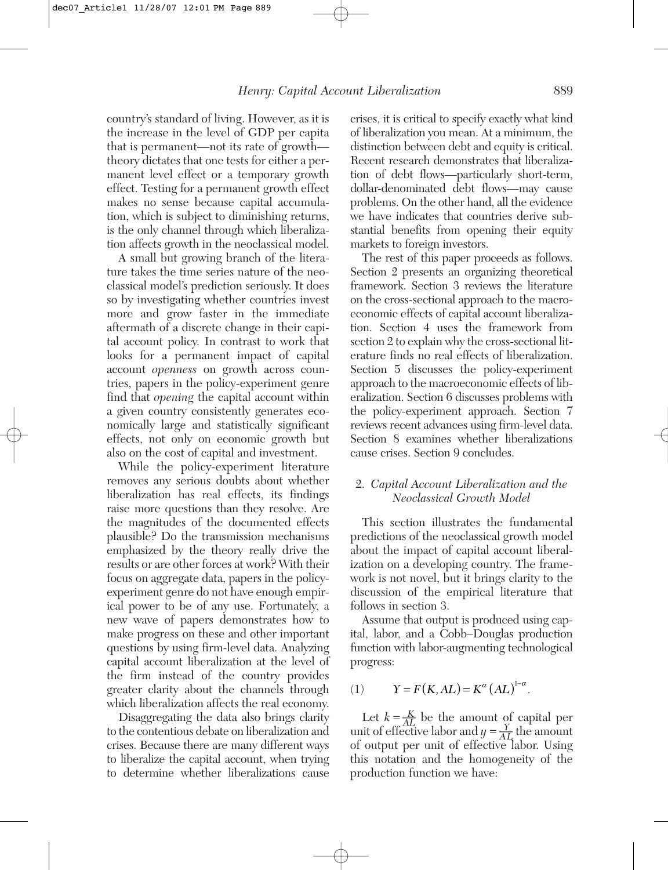country's standard of living. However, as it is the increase in the level of GDP per capita that is permanent—not its rate of growth theory dictates that one tests for either a permanent level effect or a temporary growth effect. Testing for a permanent growth effect makes no sense because capital accumulation, which is subject to diminishing returns, is the only channel through which liberalization affects growth in the neoclassical model.

A small but growing branch of the literature takes the time series nature of the neoclassical model's prediction seriously. It does so by investigating whether countries invest more and grow faster in the immediate aftermath of a discrete change in their capital account policy. In contrast to work that looks for a permanent impact of capital account *openness* on growth across countries, papers in the policy-experiment genre find that *opening* the capital account within a given country consistently generates economically large and statistically significant effects, not only on economic growth but also on the cost of capital and investment.

While the policy-experiment literature removes any serious doubts about whether liberalization has real effects, its findings raise more questions than they resolve. Are the magnitudes of the documented effects plausible? Do the transmission mechanisms emphasized by the theory really drive the results or are other forces at work? With their focus on aggregate data, papers in the policyexperiment genre do not have enough empirical power to be of any use. Fortunately, a new wave of papers demonstrates how to make progress on these and other important questions by using firm-level data. Analyzing capital account liberalization at the level of the firm instead of the country provides greater clarity about the channels through which liberalization affects the real economy.

Disaggregating the data also brings clarity to the contentious debate on liberalization and crises. Because there are many different ways to liberalize the capital account, when trying to determine whether liberalizations cause

crises, it is critical to specify exactly what kind of liberalization you mean. At a minimum, the distinction between debt and equity is critical. Recent research demonstrates that liberalization of debt flows—particularly short-term, dollar-denominated debt flows—may cause problems. On the other hand, all the evidence we have indicates that countries derive substantial benefits from opening their equity markets to foreign investors.

The rest of this paper proceeds as follows. Section 2 presents an organizing theoretical framework. Section 3 reviews the literature on the cross-sectional approach to the macroeconomic effects of capital account liberalization. Section 4 uses the framework from section 2 to explain why the cross-sectional literature finds no real effects of liberalization. Section 5 discusses the policy-experiment approach to the macroeconomic effects of liberalization. Section 6 discusses problems with the policy-experiment approach. Section 7 reviews recent advances using firm-level data. Section 8 examines whether liberalizations cause crises. Section 9 concludes.

#### 2. *Capital Account Liberalization and the Neoclassical Growth Model*

This section illustrates the fundamental predictions of the neoclassical growth model about the impact of capital account liberalization on a developing country. The framework is not novel, but it brings clarity to the discussion of the empirical literature that follows in section 3.

Assume that output is produced using capital, labor, and a Cobb–Douglas production function with labor-augmenting technological progress:

(1) 
$$
Y = F(K, AL) = K^{\alpha} (AL)^{1-\alpha}
$$
.

Let  $k = \frac{K}{AL}$  be the amount of capital per unit of effective labor and  $y = \frac{Y}{AL}$  the amount of output per unit of effective labor. Using this notation and the homogeneity of the production function we have: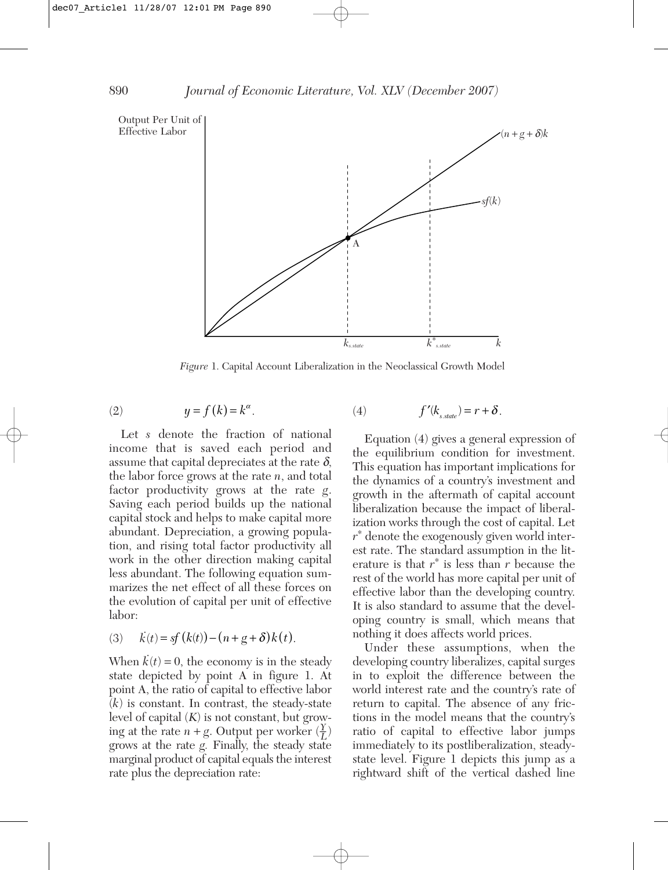

*Figure* 1. Capital Account Liberalization in the Neoclassical Growth Model

(2) 
$$
y = f(k) = k^{\alpha}.
$$
 (4) 
$$
f'(k_{s,state}) = r + \delta.
$$

Let *s* denote the fraction of national income that is saved each period and assume that capital depreciates at the rate  $\delta$ , the labor force grows at the rate *n*, and total factor productivity grows at the rate *g*. Saving each period builds up the national capital stock and helps to make capital more abundant. Depreciation, a growing population, and rising total factor productivity all work in the other direction making capital less abundant. The following equation summarizes the net effect of all these forces on the evolution of capital per unit of effective labor:

(3) 
$$
\dot{k}(t) = sf(k(t)) - (n+g+\delta)k(t).
$$

When  $\vec{k}(t) = 0$ , the economy is in the steady state depicted by point A in figure 1. At point A, the ratio of capital to effective labor (*k*) is constant. In contrast, the steady-state level of capital (*K*) is not constant, but growing at the rate  $n + g$ . Output per worker  $(\frac{\gamma}{L})$ grows at the rate *g.* Finally, the steady state marginal product of capital equals the interest rate plus the depreciation rate:

Equation (4) gives a general expression of the equilibrium condition for investment. This equation has important implications for the dynamics of a country's investment and growth in the alternath of capital account liberalization because the impact of liberalization works through the cost of capital. Let 
$$
r^*
$$
 denote the exogenously given world interest rate. The standard assumption in the literature is that  $r^*$  is less than  $r$  because the rest of the world has more capital per unit of effective labor than the developing country. It is also standard to assume that the developing country is small, which means that nothing it does affects world prices.

Under these assumptions, when the developing country liberalizes, capital surges in to exploit the difference between the world interest rate and the country's rate of return to capital. The absence of any frictions in the model means that the country's ratio of capital to effective labor jumps immediately to its postliberalization, steadystate level. Figure 1 depicts this jump as a rightward shift of the vertical dashed line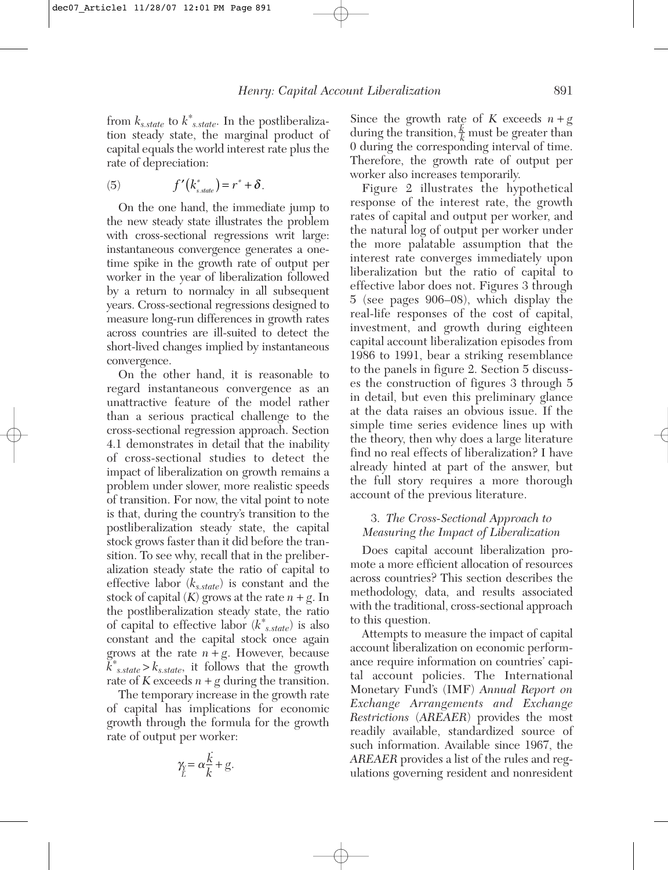from *ks.state* to *k*<sup>∗</sup> *s.state*. In the postliberalization steady state, the marginal product of capital equals the world interest rate plus the rate of depreciation:

(5) 
$$
f'(k_{s,\text{state}}^*) = r^* + \delta.
$$

On the one hand, the immediate jump to the new steady state illustrates the problem with cross-sectional regressions writ large: instantaneous convergence generates a onetime spike in the growth rate of output per worker in the year of liberalization followed by a return to normalcy in all subsequent years. Cross-sectional regressions designed to measure long-run differences in growth rates across countries are ill-suited to detect the short-lived changes implied by instantaneous convergence.

On the other hand, it is reasonable to regard instantaneous convergence as an unattractive feature of the model rather than a serious practical challenge to the cross-sectional regression approach. Section 4.1 demonstrates in detail that the inability of cross-sectional studies to detect the impact of liberalization on growth remains a problem under slower, more realistic speeds of transition. For now, the vital point to note is that, during the country's transition to the postliberalization steady state, the capital stock grows faster than it did before the transition. To see why, recall that in the preliberalization steady state the ratio of capital to effective labor (*ks.state*) is constant and the stock of capital  $(K)$  grows at the rate  $n + g$ . In the postliberalization steady state, the ratio of capital to effective labor (*k*<sup>∗</sup> *s.state*) is also constant and the capital stock once again grows at the rate  $n + g$ . However, because  $\breve{k}^*_{s.state} > k_{s.state}$ , it follows that the growth rate of  $K$  exceeds  $n + g$  during the transition.

The temporary increase in the growth rate of capital has implications for economic growth through the formula for the growth rate of output per worker:

$$
\gamma_{\vec{L}} = \alpha \frac{\vec{k}}{k} + g.
$$

Since the growth rate of *K* exceeds  $n + g$ during the transition,  $\frac{k}{k}$  must be greater than 0 during the corresponding interval of time. Therefore, the growth rate of output per worker also increases temporarily.

Figure 2 illustrates the hypothetical response of the interest rate, the growth rates of capital and output per worker, and the natural log of output per worker under the more palatable assumption that the interest rate converges immediately upon liberalization but the ratio of capital to effective labor does not. Figures 3 through 5 (see pages 906–08), which display the real-life responses of the cost of capital, investment, and growth during eighteen capital account liberalization episodes from 1986 to 1991, bear a striking resemblance to the panels in figure 2. Section 5 discusses the construction of figures 3 through 5 in detail, but even this preliminary glance at the data raises an obvious issue. If the simple time series evidence lines up with the theory, then why does a large literature find no real effects of liberalization? I have already hinted at part of the answer, but the full story requires a more thorough account of the previous literature.

## 3. *The Cross-Sectional Approach to Measuring the Impact of Liberalization*

Does capital account liberalization promote a more efficient allocation of resources across countries? This section describes the methodology, data, and results associated with the traditional, cross-sectional approach to this question.

Attempts to measure the impact of capital account liberalization on economic performance require information on countries' capital account policies. The International Monetary Fund's (IMF) *Annual Report on Exchange Arrangements and Exchange Restrictions* (*AREAER*) provides the most readily available, standardized source of such information. Available since 1967, the *AREAER* provides a list of the rules and regulations governing resident and nonresident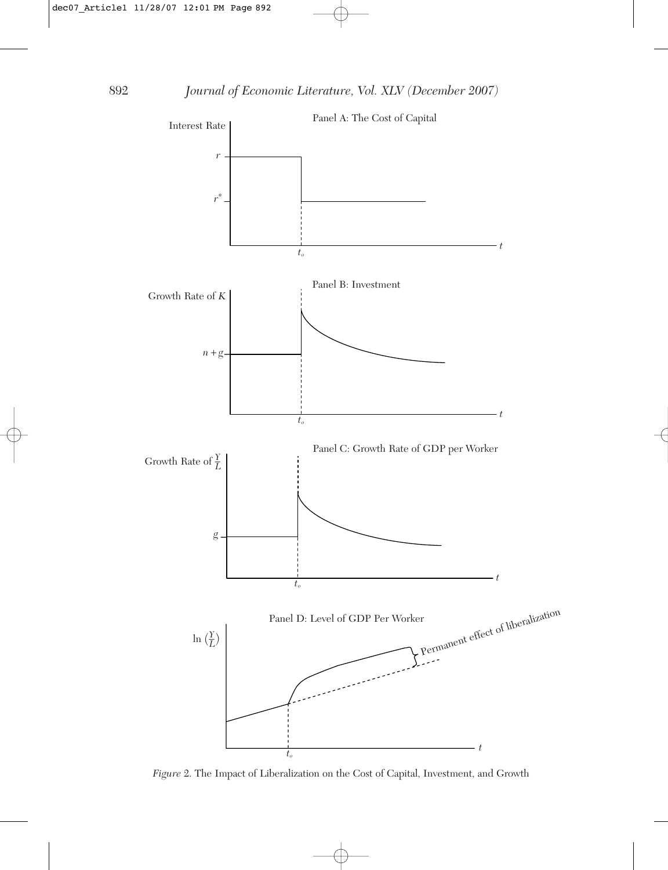

*Figure* 2. The Impact of Liberalization on the Cost of Capital, Investment, and Growth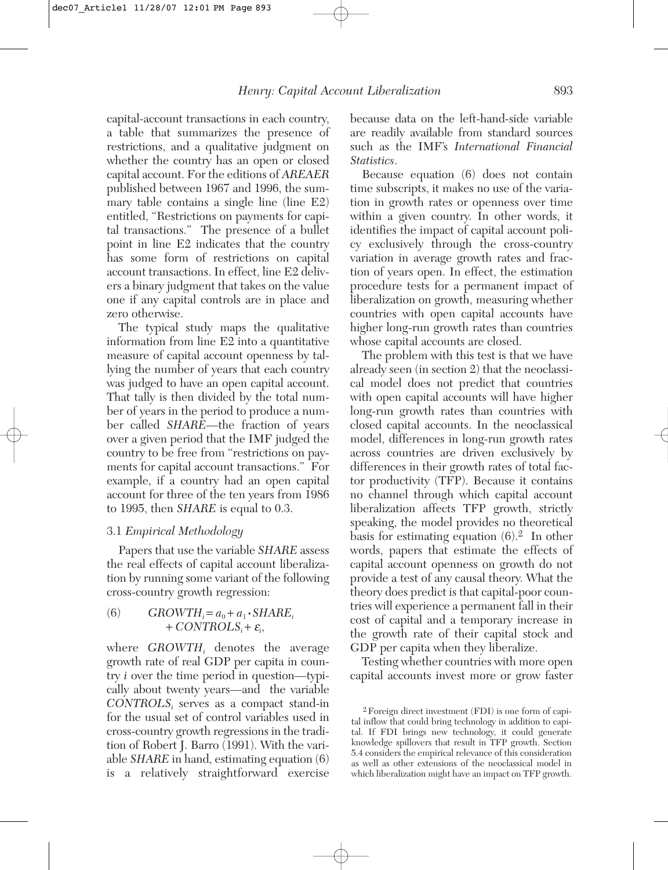capital-account transactions in each country, a table that summarizes the presence of restrictions, and a qualitative judgment on whether the country has an open or closed capital account. For the editions of *AREAER* published between 1967 and 1996, the summary table contains a single line (line E2) entitled, "Restrictions on payments for capital transactions." The presence of a bullet point in line E2 indicates that the country has some form of restrictions on capital account transactions. In effect, line E2 delivers a binary judgment that takes on the value one if any capital controls are in place and zero otherwise.

The typical study maps the qualitative information from line E2 into a quantitative measure of capital account openness by tallying the number of years that each country was judged to have an open capital account. That tally is then divided by the total number of years in the period to produce a number called *SHARE*—the fraction of years over a given period that the IMF judged the country to be free from "restrictions on payments for capital account transactions." For example, if a country had an open capital account for three of the ten years from 1986 to 1995, then *SHARE* is equal to 0.3.

#### 3.1 *Empirical Methodology*

Papers that use the variable *SHARE* assess the real effects of capital account liberalization by running some variant of the following cross-country growth regression:

(6) 
$$
GROWTH_i = a_0 + a_1 \cdot SHARE_i + CONTROLS_i + \varepsilon_i,
$$

where *GROWTH*, denotes the average growth rate of real GDP per capita in country *i* over the time period in question—typically about twenty years—and the variable *CONTROLSi* serves as a compact stand-in for the usual set of control variables used in cross-country growth regressions in the tradition of Robert J. Barro (1991). With the variable *SHARE* in hand, estimating equation (6) is a relatively straightforward exercise because data on the left-hand-side variable are readily available from standard sources such as the IMF's *International Financial Statistics*.

Because equation (6) does not contain time subscripts, it makes no use of the variation in growth rates or openness over time within a given country. In other words, it identifies the impact of capital account policy exclusively through the cross-country variation in average growth rates and fraction of years open. In effect, the estimation procedure tests for a permanent impact of liberalization on growth, measuring whether countries with open capital accounts have higher long-run growth rates than countries whose capital accounts are closed.

The problem with this test is that we have already seen (in section 2) that the neoclassical model does not predict that countries with open capital accounts will have higher long-run growth rates than countries with closed capital accounts. In the neoclassical model, differences in long-run growth rates across countries are driven exclusively by differences in their growth rates of total factor productivity (TFP). Because it contains no channel through which capital account liberalization affects TFP growth, strictly speaking, the model provides no theoretical basis for estimating equation  $(6)^2$ . In other words, papers that estimate the effects of capital account openness on growth do not provide a test of any causal theory. What the theory does predict is that capital-poor countries will experience a permanent fall in their cost of capital and a temporary increase in the growth rate of their capital stock and GDP per capita when they liberalize.

Testing whether countries with more open capital accounts invest more or grow faster

<sup>2</sup>Foreign direct investment (FDI) is one form of capital inflow that could bring technology in addition to capital. If FDI brings new technology, it could generate knowledge spillovers that result in TFP growth. Section 5.4 considers the empirical relevance of this consideration as well as other extensions of the neoclassical model in which liberalization might have an impact on TFP growth.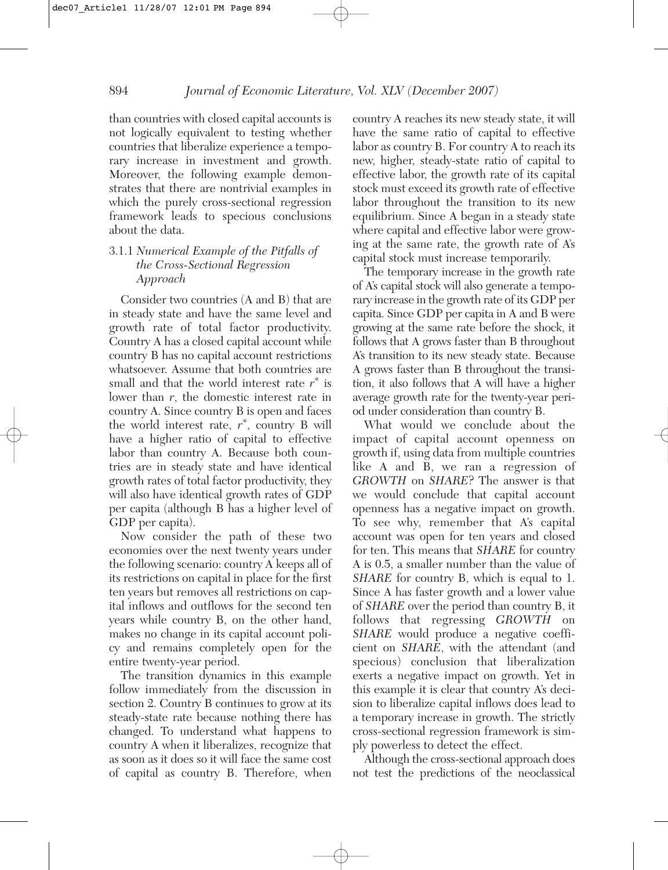than countries with closed capital accounts is not logically equivalent to testing whether countries that liberalize experience a temporary increase in investment and growth. Moreover, the following example demonstrates that there are nontrivial examples in which the purely cross-sectional regression framework leads to specious conclusions about the data.

## 3.1.1 *Numerical Example of the Pitfalls of the Cross-Sectional Regression Approach*

Consider two countries (A and B) that are in steady state and have the same level and growth rate of total factor productivity. Country A has a closed capital account while country B has no capital account restrictions whatsoever. Assume that both countries are small and that the world interest rate  $r^*$  is lower than *r*, the domestic interest rate in country A. Since country B is open and faces the world interest rate,  $r^*$ , country B will have a higher ratio of capital to effective labor than country A. Because both countries are in steady state and have identical growth rates of total factor productivity, they will also have identical growth rates of GDP per capita (although B has a higher level of GDP per capita).

Now consider the path of these two economies over the next twenty years under the following scenario: country A keeps all of its restrictions on capital in place for the first ten years but removes all restrictions on capital inflows and outflows for the second ten years while country B, on the other hand, makes no change in its capital account policy and remains completely open for the entire twenty-year period.

The transition dynamics in this example follow immediately from the discussion in section 2. Country B continues to grow at its steady-state rate because nothing there has changed. To understand what happens to country A when it liberalizes, recognize that as soon as it does so it will face the same cost of capital as country B. Therefore, when

country A reaches its new steady state, it will have the same ratio of capital to effective labor as country B. For country A to reach its new, higher, steady-state ratio of capital to effective labor, the growth rate of its capital stock must exceed its growth rate of effective labor throughout the transition to its new equilibrium. Since A began in a steady state where capital and effective labor were growing at the same rate, the growth rate of A's capital stock must increase temporarily.

The temporary increase in the growth rate of A's capital stock will also generate a temporary increase in the growth rate of its GDP per capita. Since GDP per capita in A and B were growing at the same rate before the shock, it follows that A grows faster than B throughout A's transition to its new steady state. Because A grows faster than B throughout the transition, it also follows that A will have a higher average growth rate for the twenty-year period under consideration than country B.

What would we conclude about the impact of capital account openness on growth if, using data from multiple countries like A and B, we ran a regression of *GROWTH* on *SHARE*? The answer is that we would conclude that capital account openness has a negative impact on growth. To see why, remember that A's capital account was open for ten years and closed for ten. This means that *SHARE* for country A is 0.5, a smaller number than the value of *SHARE* for country B, which is equal to 1. Since A has faster growth and a lower value of *SHARE* over the period than country B, it follows that regressing *GROWTH* on *SHARE* would produce a negative coefficient on *SHARE*, with the attendant (and specious) conclusion that liberalization exerts a negative impact on growth. Yet in this example it is clear that country A's decision to liberalize capital inflows does lead to a temporary increase in growth. The strictly cross-sectional regression framework is simply powerless to detect the effect.

Although the cross-sectional approach does not test the predictions of the neoclassical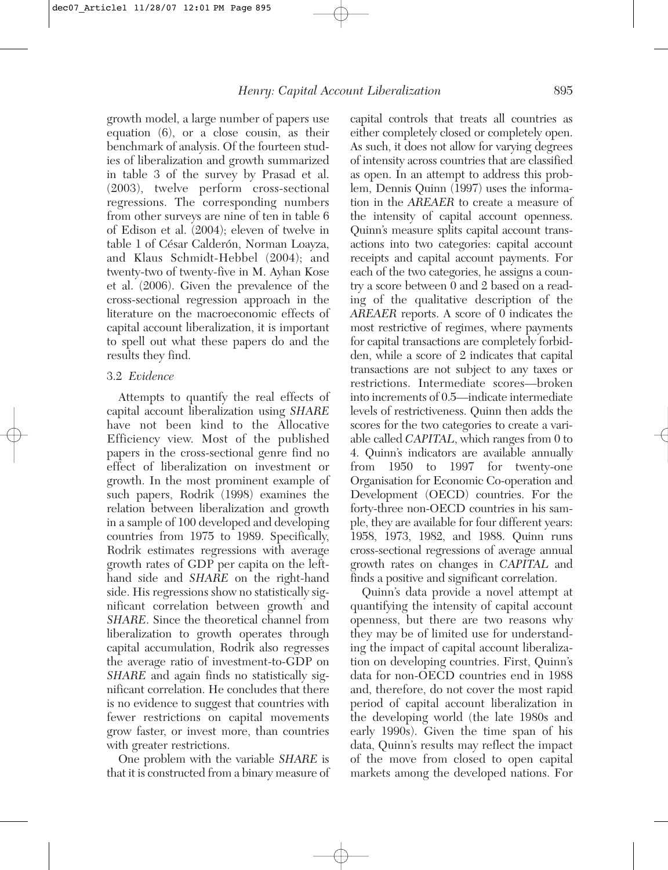growth model, a large number of papers use equation (6), or a close cousin, as their benchmark of analysis. Of the fourteen studies of liberalization and growth summarized in table 3 of the survey by Prasad et al. (2003), twelve perform cross-sectional regressions. The corresponding numbers from other surveys are nine of ten in table 6 of Edison et al. (2004); eleven of twelve in table 1 of César Calderón, Norman Loayza, and Klaus Schmidt-Hebbel (2004); and twenty-two of twenty-five in M. Ayhan Kose et al. (2006). Given the prevalence of the cross-sectional regression approach in the literature on the macroeconomic effects of capital account liberalization, it is important to spell out what these papers do and the results they find.

#### 3.2 *Evidence*

Attempts to quantify the real effects of capital account liberalization using *SHARE* have not been kind to the Allocative Efficiency view. Most of the published papers in the cross-sectional genre find no effect of liberalization on investment or growth. In the most prominent example of such papers, Rodrik (1998) examines the relation between liberalization and growth in a sample of 100 developed and developing countries from 1975 to 1989. Specifically, Rodrik estimates regressions with average growth rates of GDP per capita on the lefthand side and *SHARE* on the right-hand side. His regressions show no statistically significant correlation between growth and *SHARE*. Since the theoretical channel from liberalization to growth operates through capital accumulation, Rodrik also regresses the average ratio of investment-to-GDP on *SHARE* and again finds no statistically significant correlation. He concludes that there is no evidence to suggest that countries with fewer restrictions on capital movements grow faster, or invest more, than countries with greater restrictions.

One problem with the variable *SHARE* is that it is constructed from a binary measure of capital controls that treats all countries as either completely closed or completely open. As such, it does not allow for varying degrees of intensity across countries that are classified as open. In an attempt to address this problem, Dennis Quinn (1997) uses the information in the *AREAER* to create a measure of the intensity of capital account openness. Quinn's measure splits capital account transactions into two categories: capital account receipts and capital account payments. For each of the two categories, he assigns a country a score between 0 and 2 based on a reading of the qualitative description of the *AREAER* reports. A score of 0 indicates the most restrictive of regimes, where payments for capital transactions are completely forbidden, while a score of 2 indicates that capital transactions are not subject to any taxes or restrictions. Intermediate scores—broken into increments of 0.5—indicate intermediate levels of restrictiveness. Quinn then adds the scores for the two categories to create a variable called *CAPITAL*, which ranges from 0 to 4. Quinn's indicators are available annually from 1950 to 1997 for twenty-one Organisation for Economic Co-operation and Development (OECD) countries. For the forty-three non-OECD countries in his sample, they are available for four different years: 1958, 1973, 1982, and 1988. Quinn runs cross-sectional regressions of average annual growth rates on changes in *CAPITAL* and finds a positive and significant correlation.

Quinn's data provide a novel attempt at quantifying the intensity of capital account openness, but there are two reasons why they may be of limited use for understanding the impact of capital account liberalization on developing countries. First, Quinn's data for non-OECD countries end in 1988 and, therefore, do not cover the most rapid period of capital account liberalization in the developing world (the late 1980s and early 1990s). Given the time span of his data, Quinn's results may reflect the impact of the move from closed to open capital markets among the developed nations. For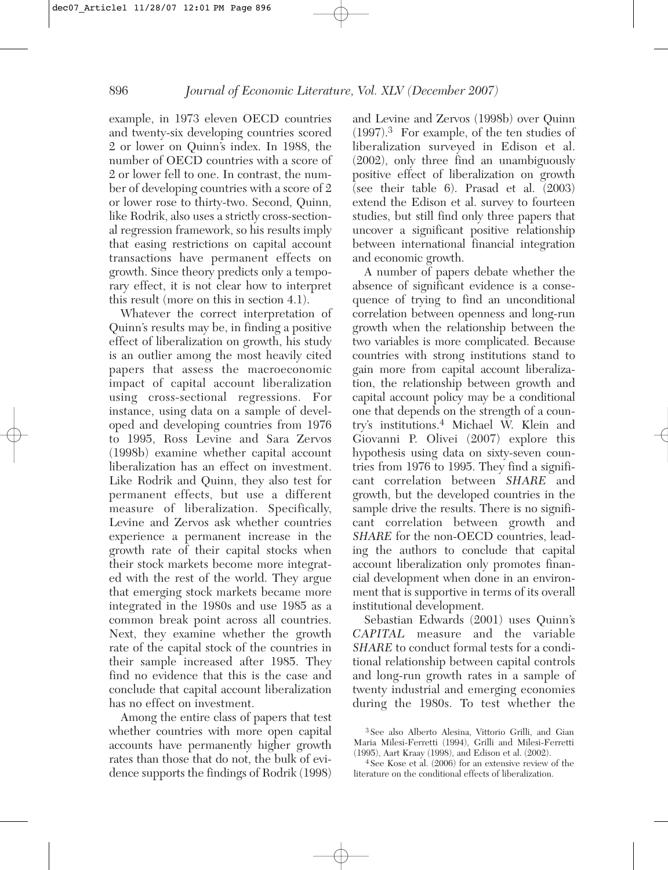example, in 1973 eleven OECD countries and twenty-six developing countries scored 2 or lower on Quinn's index. In 1988, the number of OECD countries with a score of 2 or lower fell to one. In contrast, the number of developing countries with a score of 2 or lower rose to thirty-two. Second, Quinn, like Rodrik, also uses a strictly cross-sectional regression framework, so his results imply that easing restrictions on capital account transactions have permanent effects on growth. Since theory predicts only a temporary effect, it is not clear how to interpret this result (more on this in section 4.1).

Whatever the correct interpretation of Quinn's results may be, in finding a positive effect of liberalization on growth, his study is an outlier among the most heavily cited papers that assess the macroeconomic impact of capital account liberalization using cross-sectional regressions. For instance, using data on a sample of developed and developing countries from 1976 to 1995, Ross Levine and Sara Zervos (1998b) examine whether capital account liberalization has an effect on investment. Like Rodrik and Quinn, they also test for permanent effects, but use a different measure of liberalization. Specifically, Levine and Zervos ask whether countries experience a permanent increase in the growth rate of their capital stocks when their stock markets become more integrated with the rest of the world. They argue that emerging stock markets became more integrated in the 1980s and use 1985 as a common break point across all countries. Next, they examine whether the growth rate of the capital stock of the countries in their sample increased after 1985. They find no evidence that this is the case and conclude that capital account liberalization has no effect on investment.

Among the entire class of papers that test whether countries with more open capital accounts have permanently higher growth rates than those that do not, the bulk of evidence supports the findings of Rodrik (1998)

and Levine and Zervos (1998b) over Quinn (1997).<sup>3</sup> For example, of the ten studies of liberalization surveyed in Edison et al. (2002), only three find an unambiguously positive effect of liberalization on growth (see their table 6). Prasad et al. (2003) extend the Edison et al. survey to fourteen studies, but still find only three papers that uncover a significant positive relationship between international financial integration and economic growth.

A number of papers debate whether the absence of significant evidence is a consequence of trying to find an unconditional correlation between openness and long-run growth when the relationship between the two variables is more complicated. Because countries with strong institutions stand to gain more from capital account liberalization, the relationship between growth and capital account policy may be a conditional one that depends on the strength of a country's institutions.<sup>4</sup> Michael W. Klein and Giovanni P. Olivei (2007) explore this hypothesis using data on sixty-seven countries from 1976 to 1995. They find a significant correlation between *SHARE* and growth, but the developed countries in the sample drive the results. There is no significant correlation between growth and *SHARE* for the non-OECD countries, leading the authors to conclude that capital account liberalization only promotes financial development when done in an environment that is supportive in terms of its overall institutional development.

Sebastian Edwards (2001) uses Quinn's *CAPITAL* measure and the variable *SHARE* to conduct formal tests for a conditional relationship between capital controls and long-run growth rates in a sample of twenty industrial and emerging economies during the 1980s. To test whether the

<sup>3</sup> See also Alberto Alesina, Vittorio Grilli, and Gian Maria Milesi-Ferretti (1994), Grilli and Milesi-Ferretti (1995), Aart Kraay (1998), and Edison et al. (2002).

<sup>4</sup> See Kose et al. (2006) for an extensive review of the literature on the conditional effects of liberalization.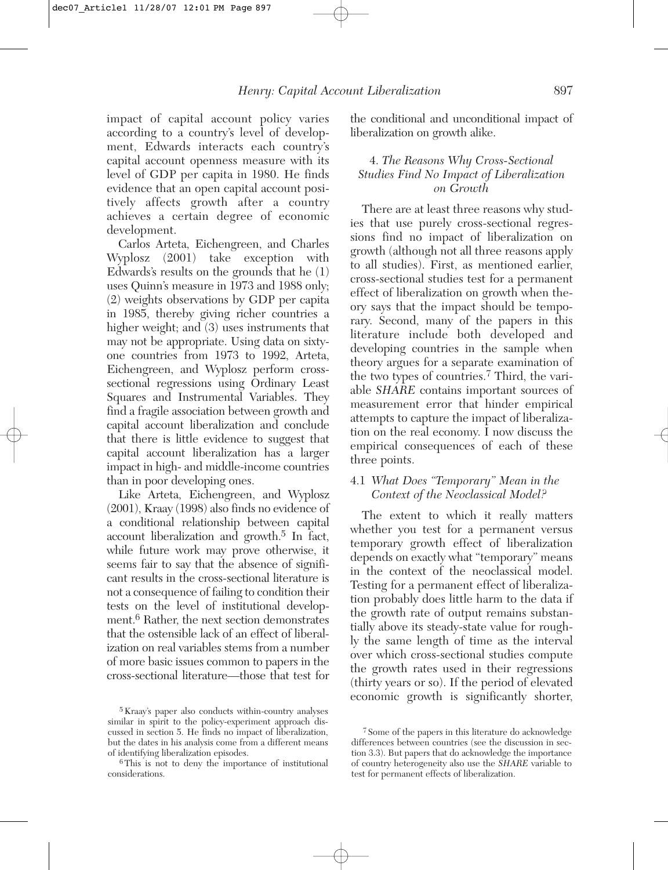impact of capital account policy varies according to a country's level of development, Edwards interacts each country's capital account openness measure with its level of GDP per capita in 1980. He finds evidence that an open capital account positively affects growth after a country achieves a certain degree of economic development.

Carlos Arteta, Eichengreen, and Charles Wyplosz (2001) take exception with Edwards's results on the grounds that he (1) uses Quinn's measure in 1973 and 1988 only; (2) weights observations by GDP per capita in 1985, thereby giving richer countries a higher weight; and (3) uses instruments that may not be appropriate. Using data on sixtyone countries from 1973 to 1992, Arteta, Eichengreen, and Wyplosz perform crosssectional regressions using Ordinary Least Squares and Instrumental Variables. They find a fragile association between growth and capital account liberalization and conclude that there is little evidence to suggest that capital account liberalization has a larger impact in high- and middle-income countries than in poor developing ones.

Like Arteta, Eichengreen, and Wyplosz (2001), Kraay (1998) also finds no evidence of a conditional relationship between capital account liberalization and growth.<sup>5</sup> In fact, while future work may prove otherwise, it seems fair to say that the absence of significant results in the cross-sectional literature is not a consequence of failing to condition their tests on the level of institutional development.<sup>6</sup> Rather, the next section demonstrates that the ostensible lack of an effect of liberalization on real variables stems from a number of more basic issues common to papers in the cross-sectional literature—those that test for

the conditional and unconditional impact of liberalization on growth alike.

#### 4. *The Reasons Why Cross-Sectional Studies Find No Impact of Liberalization on Growth*

There are at least three reasons why studies that use purely cross-sectional regressions find no impact of liberalization on growth (although not all three reasons apply to all studies). First, as mentioned earlier, cross-sectional studies test for a permanent effect of liberalization on growth when theory says that the impact should be temporary. Second, many of the papers in this literature include both developed and developing countries in the sample when theory argues for a separate examination of the two types of countries.<sup>7</sup> Third, the variable *SHARE* contains important sources of measurement error that hinder empirical attempts to capture the impact of liberalization on the real economy. I now discuss the empirical consequences of each of these three points.

#### 4.1 *What Does "Temporary" Mean in the Context of the Neoclassical Model?*

The extent to which it really matters whether you test for a permanent versus temporary growth effect of liberalization depends on exactly what "temporary" means in the context of the neoclassical model. Testing for a permanent effect of liberalization probably does little harm to the data if the growth rate of output remains substantially above its steady-state value for roughly the same length of time as the interval over which cross-sectional studies compute the growth rates used in their regressions (thirty years or so). If the period of elevated economic growth is significantly shorter,

<sup>5</sup> Kraay's paper also conducts within-country analyses similar in spirit to the policy-experiment approach discussed in section 5. He finds no impact of liberalization, but the dates in his analysis come from a different means of identifying liberalization episodes.

<sup>6</sup>This is not to deny the importance of institutional considerations.

<sup>7</sup> Some of the papers in this literature do acknowledge differences between countries (see the discussion in section 3.3). But papers that do acknowledge the importance of country heterogeneity also use the *SHARE* variable to test for permanent effects of liberalization.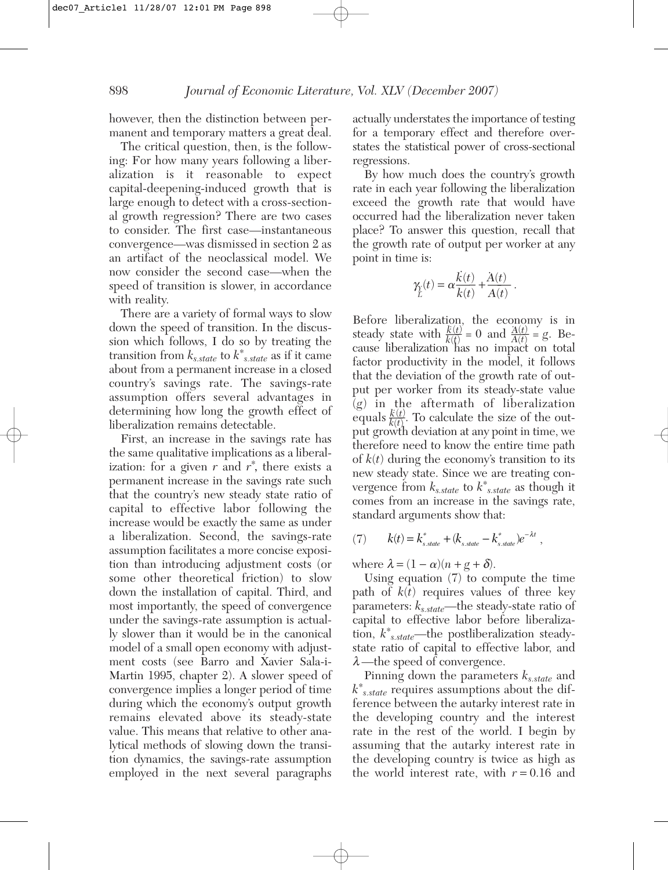however, then the distinction between permanent and temporary matters a great deal.

The critical question, then, is the following: For how many years following a liberalization is it reasonable to expect capital-deepening-induced growth that is large enough to detect with a cross-sectional growth regression? There are two cases to consider. The first case—instantaneous convergence—was dismissed in section 2 as an artifact of the neoclassical model. We now consider the second case—when the speed of transition is slower, in accordance with reality.

There are a variety of formal ways to slow down the speed of transition. In the discussion which follows, I do so by treating the transition from *ks.state* to *k*<sup>∗</sup> *s.state* as if it came about from a permanent increase in a closed country's savings rate. The savings-rate assumption offers several advantages in determining how long the growth effect of liberalization remains detectable.

First, an increase in the savings rate has the same qualitative implications as a liberalization: for a given  $r$  and  $r^*$ , there exists a permanent increase in the savings rate such that the country's new steady state ratio of capital to effective labor following the increase would be exactly the same as under a liberalization. Second, the savings-rate assumption facilitates a more concise exposition than introducing adjustment costs (or some other theoretical friction) to slow down the installation of capital. Third, and most importantly, the speed of convergence under the savings-rate assumption is actually slower than it would be in the canonical model of a small open economy with adjustment costs (see Barro and Xavier Sala-i-Martin 1995, chapter 2). A slower speed of convergence implies a longer period of time during which the economy's output growth remains elevated above its steady-state value. This means that relative to other analytical methods of slowing down the transition dynamics, the savings-rate assumption employed in the next several paragraphs

actually understates the importance of testing for a temporary effect and therefore overstates the statistical power of cross-sectional regressions.

By how much does the country's growth rate in each year following the liberalization exceed the growth rate that would have occurred had the liberalization never taken place? To answer this question, recall that the growth rate of output per worker at any point in time is:

$$
\gamma_{\stackrel{\circ}{L}}(t) = \alpha \frac{\dot{k}(t)}{k(t)} + \frac{A(t)}{A(t)}.
$$

Before liberalization, the economy is in steady state with  $\frac{k(t)}{k(t)} = 0$  and  $\frac{A(t)}{A(t)} = g$ . Because liberalization has no impact on total factor productivity in the model, it follows that the deviation of the growth rate of output per worker from its steady-state value (*g*) in the aftermath of liberalization *.* equals  $\frac{k(t)}{k(t)}$ . To calculate the size of the output growth deviation at any point in time, we therefore need to know the entire time path of *k*(*t*) during the economy's transition to its new steady state. Since we are treating convergence from *ks.state* to *k*<sup>∗</sup> *s.state* as though it comes from an increase in the savings rate, standard arguments show that:

$$
(7) \qquad k(t) = k_{s,\text{state}}^* + (k_{s,\text{state}} - k_{s,\text{state}}^*)e^{-\lambda t},
$$

where  $\lambda = (1 - \alpha)(n + g + \delta)$ .

Using equation (7) to compute the time path of  $k(t)$  requires values of three key parameters: *ks.state*—the steady-state ratio of capital to effective labor before liberalization, *k*<sup>∗</sup> *s.state*—the postliberalization steadystate ratio of capital to effective labor, and  $\lambda$ —the speed of convergence.

Pinning down the parameters *ks.state* and *k*∗ *s.state* requires assumptions about the difference between the autarky interest rate in the developing country and the interest rate in the rest of the world. I begin by assuming that the autarky interest rate in the developing country is twice as high as the world interest rate, with *r* = 0.16 and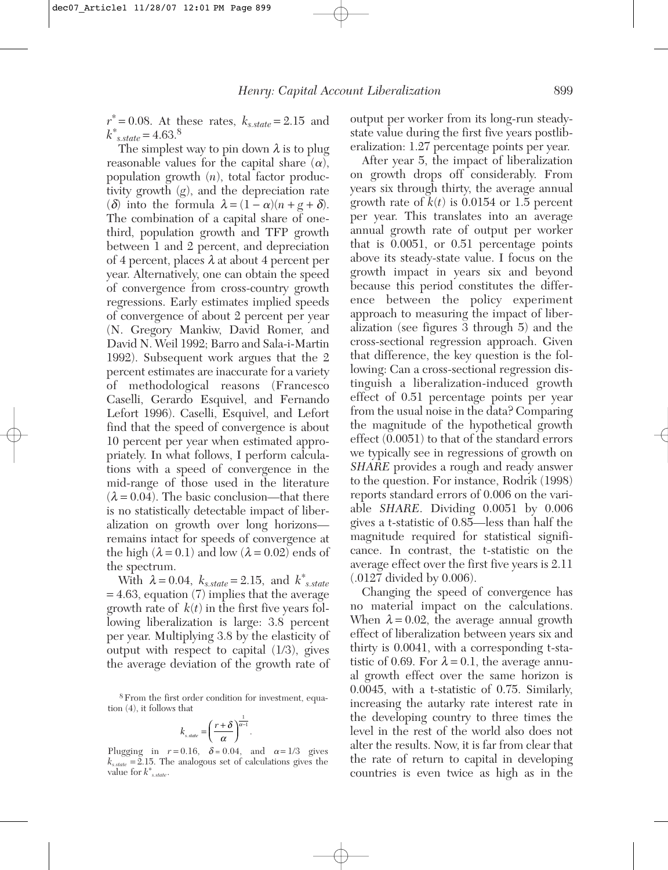$r^* = 0.08$ . At these rates,  $k_{s.state} = 2.15$  and  $k^*$ <sub>*s.state* = 4.63.<sup>8</sup></sub>

The simplest way to pin down  $\lambda$  is to plug reasonable values for the capital share  $(\alpha)$ , population growth (*n*), total factor productivity growth (*g*), and the depreciation rate (δ) into the formula  $\lambda = (1 - \alpha)(n + g + \delta)$ . The combination of a capital share of onethird, population growth and TFP growth between 1 and 2 percent, and depreciation of 4 percent, places  $\lambda$  at about 4 percent per year. Alternatively, one can obtain the speed of convergence from cross-country growth regressions. Early estimates implied speeds of convergence of about 2 percent per year (N. Gregory Mankiw, David Romer, and David N. Weil 1992; Barro and Sala-i-Martin 1992). Subsequent work argues that the 2 percent estimates are inaccurate for a variety of methodological reasons (Francesco Caselli, Gerardo Esquivel, and Fernando Lefort 1996). Caselli, Esquivel, and Lefort find that the speed of convergence is about 10 percent per year when estimated appropriately. In what follows, I perform calculations with a speed of convergence in the mid-range of those used in the literature  $(\lambda = 0.04)$ . The basic conclusion—that there is no statistically detectable impact of liberalization on growth over long horizons remains intact for speeds of convergence at the high  $(\lambda = 0.1)$  and low  $(\lambda = 0.02)$  ends of the spectrum.

 $W$ ith  $λ = 0.04, k_{s.state} = 2.15, and k_{s.state}^*$ = 4.63, equation (7) implies that the average growth rate of  $k(t)$  in the first five years following liberalization is large: 3.8 percent per year. Multiplying 3.8 by the elasticity of output with respect to capital (1/3), gives the average deviation of the growth rate of

8From the first order condition for investment, equation (4), it follows that

$$
k_{s,\text{state}} = \left(\frac{r+\delta}{\alpha}\right)^{\frac{1}{\alpha-1}}.
$$

Plugging in  $r = 0.16$ ,  $\delta = 0.04$ , and  $\alpha = 1/3$  gives  $k_{s,state} = 2.15$ . The analogous set of calculations gives the value for *k*<sup>∗</sup> *s.state*.

output per worker from its long-run steadystate value during the first five years postliberalization: 1.27 percentage points per year.

After year 5, the impact of liberalization on growth drops off considerably. From years six through thirty, the average annual growth rate of  $k(t)$  is 0.0154 or 1.5 percent per year. This translates into an average annual growth rate of output per worker that is 0.0051, or 0.51 percentage points above its steady-state value. I focus on the growth impact in years six and beyond because this period constitutes the difference between the policy experiment approach to measuring the impact of liberalization (see figures 3 through 5) and the cross-sectional regression approach. Given that difference, the key question is the following: Can a cross-sectional regression distinguish a liberalization-induced growth effect of 0.51 percentage points per year from the usual noise in the data? Comparing the magnitude of the hypothetical growth effect (0.0051) to that of the standard errors we typically see in regressions of growth on *SHARE* provides a rough and ready answer to the question. For instance, Rodrik (1998) reports standard errors of 0.006 on the variable *SHARE*. Dividing 0.0051 by 0.006 gives a t-statistic of 0.85—less than half the magnitude required for statistical significance. In contrast, the t-statistic on the average effect over the first five years is 2.11 (.0127 divided by 0.006).

Changing the speed of convergence has no material impact on the calculations. When  $\lambda = 0.02$ , the average annual growth effect of liberalization between years six and thirty is 0.0041, with a corresponding t-statistic of 0.69. For  $\lambda = 0.1$ , the average annual growth effect over the same horizon is 0.0045, with a t-statistic of 0.75. Similarly, increasing the autarky rate interest rate in the developing country to three times the level in the rest of the world also does not alter the results. Now, it is far from clear that the rate of return to capital in developing countries is even twice as high as in the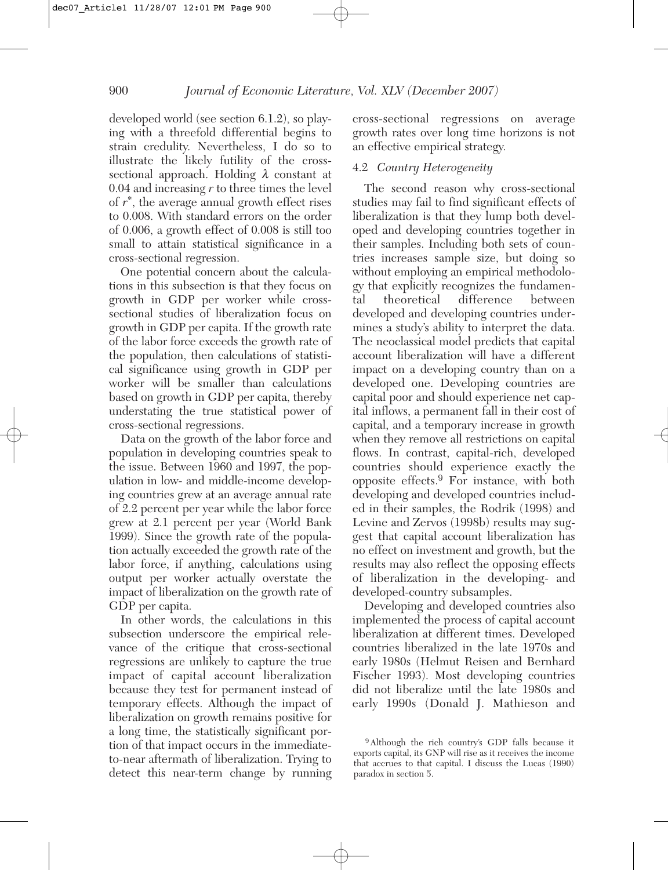developed world (see section 6.1.2), so playing with a threefold differential begins to strain credulity. Nevertheless, I do so to illustrate the likely futility of the crosssectional approach. Holding  $\lambda$  constant at 0.04 and increasing *r* to three times the level of *r*<sup>∗</sup> , the average annual growth effect rises to 0.008. With standard errors on the order of 0.006, a growth effect of 0.008 is still too small to attain statistical significance in a cross-sectional regression.

One potential concern about the calculations in this subsection is that they focus on growth in GDP per worker while crosssectional studies of liberalization focus on growth in GDP per capita. If the growth rate of the labor force exceeds the growth rate of the population, then calculations of statistical significance using growth in GDP per worker will be smaller than calculations based on growth in GDP per capita, thereby understating the true statistical power of cross-sectional regressions.

Data on the growth of the labor force and population in developing countries speak to the issue. Between 1960 and 1997, the population in low- and middle-income developing countries grew at an average annual rate of 2.2 percent per year while the labor force grew at 2.1 percent per year (World Bank 1999). Since the growth rate of the population actually exceeded the growth rate of the labor force, if anything, calculations using output per worker actually overstate the impact of liberalization on the growth rate of GDP per capita.

In other words, the calculations in this subsection underscore the empirical relevance of the critique that cross-sectional regressions are unlikely to capture the true impact of capital account liberalization because they test for permanent instead of temporary effects. Although the impact of liberalization on growth remains positive for a long time, the statistically significant portion of that impact occurs in the immediateto-near aftermath of liberalization. Trying to detect this near-term change by running

cross-sectional regressions on average growth rates over long time horizons is not an effective empirical strategy.

#### 4.2 *Country Heterogeneity*

The second reason why cross-sectional studies may fail to find significant effects of liberalization is that they lump both developed and developing countries together in their samples. Including both sets of countries increases sample size, but doing so without employing an empirical methodology that explicitly recognizes the fundamental theoretical difference between developed and developing countries undermines a study's ability to interpret the data. The neoclassical model predicts that capital account liberalization will have a different impact on a developing country than on a developed one. Developing countries are capital poor and should experience net capital inflows, a permanent fall in their cost of capital, and a temporary increase in growth when they remove all restrictions on capital flows. In contrast, capital-rich, developed countries should experience exactly the opposite effects.<sup>9</sup> For instance, with both developing and developed countries included in their samples, the Rodrik (1998) and Levine and Zervos (1998b) results may suggest that capital account liberalization has no effect on investment and growth, but the results may also reflect the opposing effects of liberalization in the developing- and developed-country subsamples.

Developing and developed countries also implemented the process of capital account liberalization at different times. Developed countries liberalized in the late 1970s and early 1980s (Helmut Reisen and Bernhard Fischer 1993). Most developing countries did not liberalize until the late 1980s and early 1990s (Donald J. Mathieson and

<sup>9</sup>Although the rich country's GDP falls because it exports capital, its GNP will rise as it receives the income that accrues to that capital. I discuss the Lucas (1990) paradox in section 5.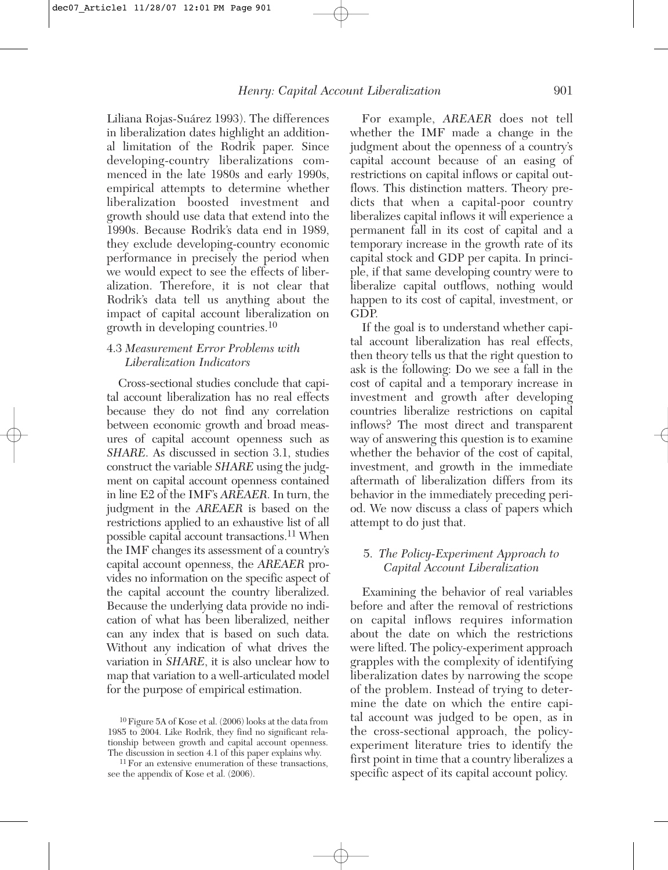Liliana Rojas-Suárez 1993). The differences in liberalization dates highlight an additional limitation of the Rodrik paper. Since developing-country liberalizations commenced in the late 1980s and early 1990s, empirical attempts to determine whether liberalization boosted investment and growth should use data that extend into the 1990s. Because Rodrik's data end in 1989, they exclude developing-country economic performance in precisely the period when we would expect to see the effects of liberalization. Therefore, it is not clear that Rodrik's data tell us anything about the impact of capital account liberalization on growth in developing countries.<sup>10</sup>

#### 4.3 *Measurement Error Problems with Liberalization Indicators*

Cross-sectional studies conclude that capital account liberalization has no real effects because they do not find any correlation between economic growth and broad measures of capital account openness such as *SHARE*. As discussed in section 3.1, studies construct the variable *SHARE* using the judgment on capital account openness contained in line E2 of the IMF's *AREAER*. In turn, the judgment in the *AREAER* is based on the restrictions applied to an exhaustive list of all possible capital account transactions.11 When the IMF changes its assessment of a country's capital account openness, the *AREAER* provides no information on the specific aspect of the capital account the country liberalized. Because the underlying data provide no indication of what has been liberalized, neither can any index that is based on such data. Without any indication of what drives the variation in *SHARE*, it is also unclear how to map that variation to a well-articulated model for the purpose of empirical estimation.

For example, *AREAER* does not tell whether the IMF made a change in the judgment about the openness of a country's capital account because of an easing of restrictions on capital inflows or capital outflows. This distinction matters. Theory predicts that when a capital-poor country liberalizes capital inflows it will experience a permanent fall in its cost of capital and a temporary increase in the growth rate of its capital stock and GDP per capita. In principle, if that same developing country were to liberalize capital outflows, nothing would happen to its cost of capital, investment, or GDP.

If the goal is to understand whether capital account liberalization has real effects, then theory tells us that the right question to ask is the following: Do we see a fall in the cost of capital and a temporary increase in investment and growth after developing countries liberalize restrictions on capital inflows? The most direct and transparent way of answering this question is to examine whether the behavior of the cost of capital, investment, and growth in the immediate aftermath of liberalization differs from its behavior in the immediately preceding period. We now discuss a class of papers which attempt to do just that.

#### 5. *The Policy-Experiment Approach to Capital Account Liberalization*

Examining the behavior of real variables before and after the removal of restrictions on capital inflows requires information about the date on which the restrictions were lifted. The policy-experiment approach grapples with the complexity of identifying liberalization dates by narrowing the scope of the problem. Instead of trying to determine the date on which the entire capital account was judged to be open, as in the cross-sectional approach, the policyexperiment literature tries to identify the first point in time that a country liberalizes a specific aspect of its capital account policy.

<sup>10</sup>Figure 5A of Kose et al. (2006) looks at the data from 1985 to 2004. Like Rodrik, they find no significant relationship between growth and capital account openness. The discussion in section 4.1 of this paper explains why.

<sup>&</sup>lt;sup>11</sup> For an extensive enumeration of these transactions, see the appendix of Kose et al. (2006).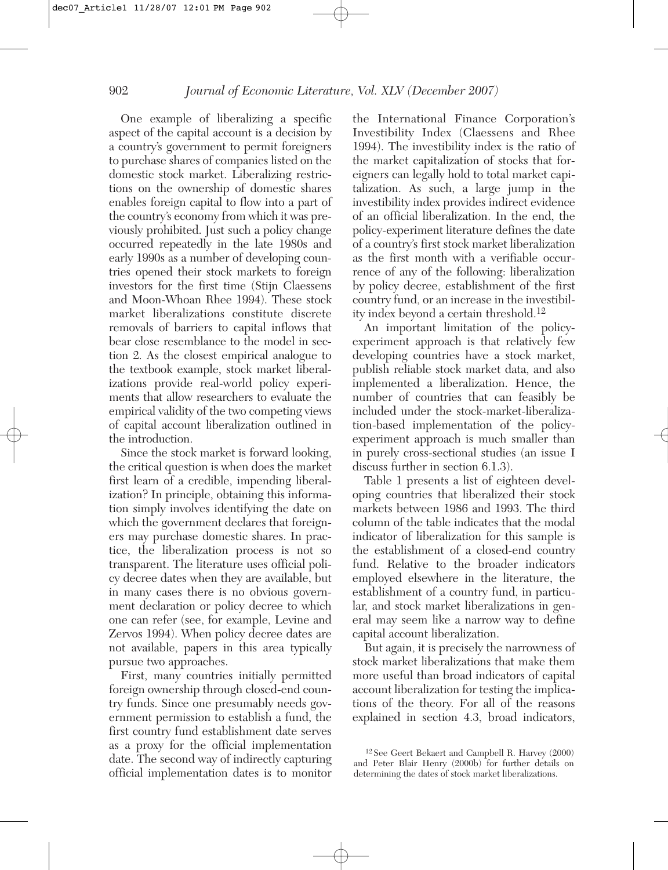One example of liberalizing a specific aspect of the capital account is a decision by a country's government to permit foreigners to purchase shares of companies listed on the domestic stock market. Liberalizing restrictions on the ownership of domestic shares enables foreign capital to flow into a part of the country's economy from which it was previously prohibited. Just such a policy change occurred repeatedly in the late 1980s and early 1990s as a number of developing countries opened their stock markets to foreign investors for the first time (Stijn Claessens and Moon-Whoan Rhee 1994). These stock market liberalizations constitute discrete removals of barriers to capital inflows that bear close resemblance to the model in section 2. As the closest empirical analogue to the textbook example, stock market liberalizations provide real-world policy experiments that allow researchers to evaluate the empirical validity of the two competing views of capital account liberalization outlined in the introduction.

Since the stock market is forward looking, the critical question is when does the market first learn of a credible, impending liberalization? In principle, obtaining this information simply involves identifying the date on which the government declares that foreigners may purchase domestic shares. In practice, the liberalization process is not so transparent. The literature uses official policy decree dates when they are available, but in many cases there is no obvious government declaration or policy decree to which one can refer (see, for example, Levine and Zervos 1994). When policy decree dates are not available, papers in this area typically pursue two approaches.

First, many countries initially permitted foreign ownership through closed-end country funds. Since one presumably needs government permission to establish a fund, the first country fund establishment date serves as a proxy for the official implementation date. The second way of indirectly capturing official implementation dates is to monitor

the International Finance Corporation's Investibility Index (Claessens and Rhee 1994). The investibility index is the ratio of the market capitalization of stocks that foreigners can legally hold to total market capitalization. As such, a large jump in the investibility index provides indirect evidence of an official liberalization. In the end, the policy-experiment literature defines the date of a country's first stock market liberalization as the first month with a verifiable occurrence of any of the following: liberalization by policy decree, establishment of the first country fund, or an increase in the investibility index beyond a certain threshold.<sup>12</sup>

An important limitation of the policyexperiment approach is that relatively few developing countries have a stock market, publish reliable stock market data, and also implemented a liberalization. Hence, the number of countries that can feasibly be included under the stock-market-liberalization-based implementation of the policyexperiment approach is much smaller than in purely cross-sectional studies (an issue I discuss further in section 6.1.3).

Table 1 presents a list of eighteen developing countries that liberalized their stock markets between 1986 and 1993. The third column of the table indicates that the modal indicator of liberalization for this sample is the establishment of a closed-end country fund. Relative to the broader indicators employed elsewhere in the literature, the establishment of a country fund, in particular, and stock market liberalizations in general may seem like a narrow way to define capital account liberalization.

But again, it is precisely the narrowness of stock market liberalizations that make them more useful than broad indicators of capital account liberalization for testing the implications of the theory. For all of the reasons explained in section 4.3, broad indicators,

<sup>12</sup> See Geert Bekaert and Campbell R. Harvey (2000) and Peter Blair Henry (2000b) for further details on determining the dates of stock market liberalizations.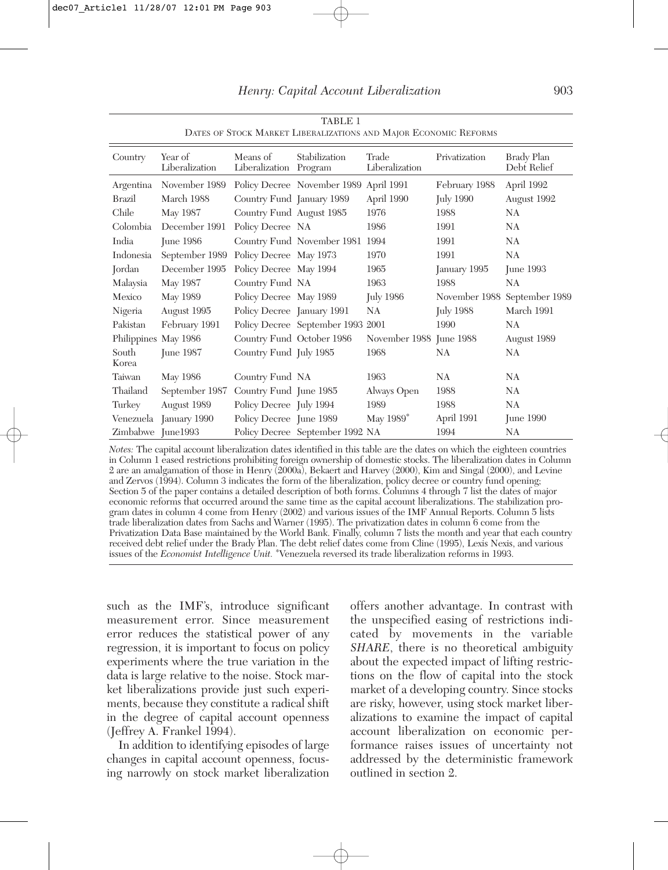| Country              | Year of<br>Liberalization | Means of<br>Liberalization Program | Stabilization                          | Trade<br>Liberalization | Privatization    | <b>Brady Plan</b><br>Debt Relief |
|----------------------|---------------------------|------------------------------------|----------------------------------------|-------------------------|------------------|----------------------------------|
| Argentina            | November 1989             |                                    | Policy Decree November 1989 April 1991 |                         | February 1988    | April 1992                       |
| Brazil               | March 1988                | Country Fund January 1989          |                                        | April 1990              | <b>July 1990</b> | August 1992                      |
| Chile                | May 1987                  | Country Fund August 1985           |                                        | 1976                    | 1988             | NA.                              |
| Colombia             | December 1991             | Policy Decree NA                   |                                        | 1986                    | 1991             | NA.                              |
| India                | <b>June 1986</b>          |                                    | Country Fund November 1981 1994        |                         | 1991             | NA                               |
| Indonesia            | September 1989            | Policy Decree May 1973             |                                        | 1970                    | 1991             | NA                               |
| Jordan               | December 1995             | Policy Decree May 1994             |                                        | 1965                    | January 1995     | June 1993                        |
| Malaysia             | May 1987                  | Country Fund NA                    |                                        | 1963                    | 1988             | NA                               |
| Mexico               | May 1989                  | Policy Decree May 1989             |                                        | July 1986               |                  | November 1988 September 1989     |
| Nigeria              | August 1995               | Policy Decree January 1991         |                                        | NA                      | <b>July 1988</b> | March 1991                       |
| Pakistan             | February 1991             |                                    | Policy Decree September 1993 2001      |                         | 1990             | NA                               |
| Philippines May 1986 |                           | Country Fund October 1986          |                                        | November 1988 June 1988 |                  | August 1989                      |
| South<br>Korea       | <b>Iune 1987</b>          | Country Fund July 1985             |                                        | 1968                    | NA               | NA.                              |
| Taiwan               | May 1986                  | Country Fund NA                    |                                        | 1963                    | NA               | NA.                              |
| Thailand             | September 1987            | Country Fund June 1985             |                                        | Always Open             | 1988             | NA.                              |
| Turkey               | August 1989               | Policy Decree July 1994            |                                        | 1989                    | 1988             | NA                               |
|                      | Venezuela January 1990    | Policy Decree June 1989            |                                        | May 1989 <sup>*</sup>   | April 1991       | June 1990                        |
| Zimbabwe June1993    |                           |                                    | Policy Decree September 1992 NA        |                         | 1994             | NA                               |

TABLE 1 DATES OF STOCK MARKET LIBERALIZATIONS AND MAJOR ECONOMIC REFORMS

*Notes:* The capital account liberalization dates identified in this table are the dates on which the eighteen countries in Column 1 eased restrictions prohibiting foreign ownership of domestic stocks. The liberalization dates in Column 2 are an amalgamation of those in Henry (2000a), Bekaert and Harvey (2000), Kim and Singal (2000), and Levine and Zervos (1994). Column 3 indicates the form of the liberalization, policy decree or country fund opening; Section 5 of the paper contains a detailed description of both forms. Columns 4 through 7 list the dates of major economic reforms that occurred around the same time as the capital account liberalizations. The stabilization program dates in column 4 come from Henry (2002) and various issues of the IMF Annual Reports. Column 5 lists trade liberalization dates from Sachs and Warner (1995). The privatization dates in column 6 come from the Privatization Data Base maintained by the World Bank. Finally, column 7 lists the month and year that each country received debt relief under the Brady Plan. The debt relief dates come from Cline (1995), Lexis Nexis, and various issues of the *Economist Intelligence Unit.* <sup>∗</sup> Venezuela reversed its trade liberalization reforms in 1993.

such as the IMF's, introduce significant measurement error. Since measurement error reduces the statistical power of any regression, it is important to focus on policy experiments where the true variation in the data is large relative to the noise. Stock market liberalizations provide just such experiments, because they constitute a radical shift in the degree of capital account openness (Jeffrey A. Frankel 1994).

In addition to identifying episodes of large changes in capital account openness, focusing narrowly on stock market liberalization offers another advantage. In contrast with the unspecified easing of restrictions indicated by movements in the variable *SHARE*, there is no theoretical ambiguity about the expected impact of lifting restrictions on the flow of capital into the stock market of a developing country. Since stocks are risky, however, using stock market liberalizations to examine the impact of capital account liberalization on economic performance raises issues of uncertainty not addressed by the deterministic framework outlined in section 2.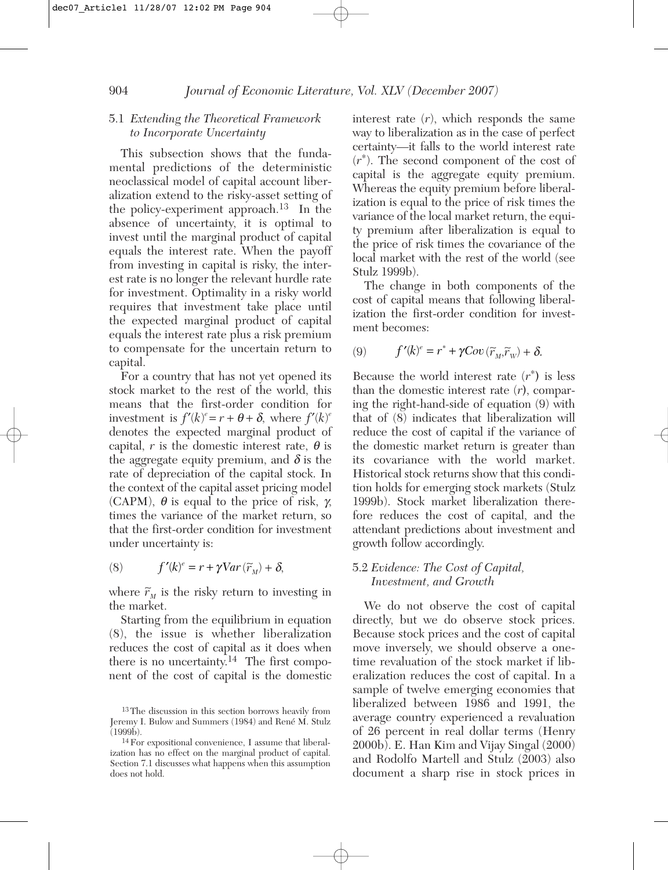#### 5.1 *Extending the Theoretical Framework to Incorporate Uncertainty*

This subsection shows that the fundamental predictions of the deterministic neoclassical model of capital account liberalization extend to the risky-asset setting of the policy-experiment approach.<sup>13</sup> In the absence of uncertainty, it is optimal to invest until the marginal product of capital equals the interest rate. When the payoff from investing in capital is risky, the interest rate is no longer the relevant hurdle rate for investment. Optimality in a risky world requires that investment take place until the expected marginal product of capital equals the interest rate plus a risk premium to compensate for the uncertain return to capital.

For a country that has not yet opened its stock market to the rest of the world, this means that the first-order condition for investment is  $f'(k)^e = r + \theta + \delta$ , where  $f'(k)^e$ denotes the expected marginal product of capital,  $r$  is the domestic interest rate,  $\theta$  is the aggregate equity premium, and  $\delta$  is the rate of depreciation of the capital stock. In the context of the capital asset pricing model (CAPM),  $\theta$  is equal to the price of risk,  $\gamma$ , times the variance of the market return, so that the first-order condition for investment under uncertainty is:

(8) 
$$
f'(k)^e = r + \gamma Var(\widetilde{r}_M) + \delta,
$$

where  $\tilde{r}_M$  is the risky return to investing in the market.

Starting from the equilibrium in equation (8), the issue is whether liberalization reduces the cost of capital as it does when there is no uncertainty.<sup>14</sup> The first component of the cost of capital is the domestic

interest rate  $(r)$ , which responds the same way to liberalization as in the case of perfect certainty—it falls to the world interest rate (*r*∗ ). The second component of the cost of capital is the aggregate equity premium. Whereas the equity premium before liberalization is equal to the price of risk times the variance of the local market return, the equity premium after liberalization is equal to the price of risk times the covariance of the local market with the rest of the world (see Stulz 1999b).

The change in both components of the cost of capital means that following liberalization the first-order condition for investment becomes:

$$
(9) \t f'(k)^e = r^* + \gamma Cov(\widetilde{r}_M, \widetilde{r}_W) + \delta.
$$

Because the world interest rate  $(r^*)$  is less than the domestic interest rate (*r***)**, comparing the right-hand-side of equation (9) with that of (8) indicates that liberalization will reduce the cost of capital if the variance of the domestic market return is greater than its covariance with the world market. Historical stock returns show that this condition holds for emerging stock markets (Stulz 1999b). Stock market liberalization therefore reduces the cost of capital, and the attendant predictions about investment and growth follow accordingly.

#### 5.2 *Evidence: The Cost of Capital, Investment, and Growth*

We do not observe the cost of capital directly, but we do observe stock prices. Because stock prices and the cost of capital move inversely, we should observe a onetime revaluation of the stock market if liberalization reduces the cost of capital. In a sample of twelve emerging economies that liberalized between 1986 and 1991, the average country experienced a revaluation of 26 percent in real dollar terms (Henry 2000b). E. Han Kim and Vijay Singal (2000) and Rodolfo Martell and Stulz (2003) also document a sharp rise in stock prices in

<sup>13</sup>The discussion in this section borrows heavily from Jeremy I. Bulow and Summers (1984) and René M. Stulz  $(1999b)$ .

<sup>14</sup>For expositional convenience, I assume that liberalization has no effect on the marginal product of capital. Section 7.1 discusses what happens when this assumption does not hold.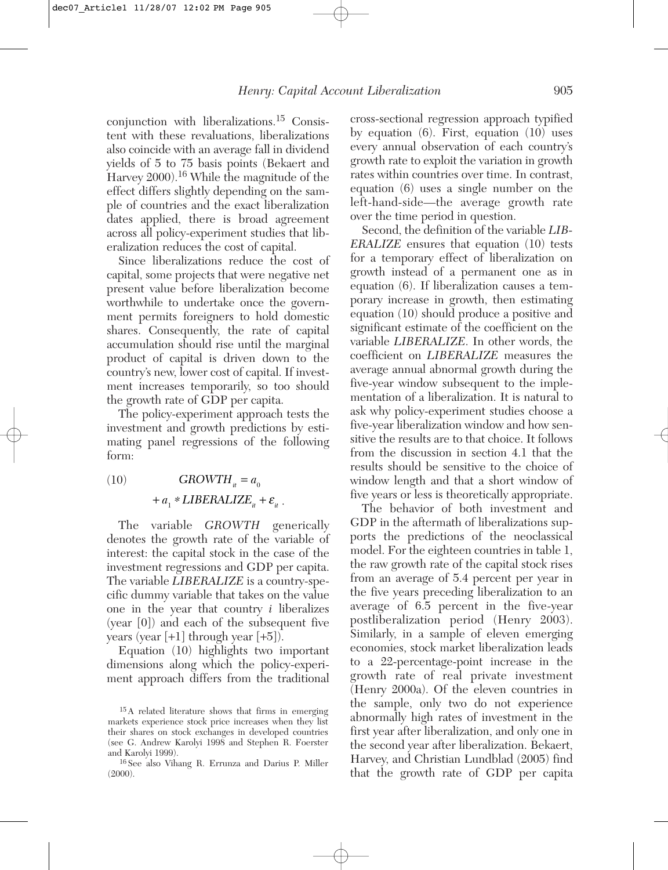conjunction with liberalizations.15 Consistent with these revaluations, liberalizations also coincide with an average fall in dividend yields of 5 to 75 basis points (Bekaert and Harvey 2000).<sup>16</sup> While the magnitude of the effect differs slightly depending on the sample of countries and the exact liberalization dates applied, there is broad agreement across all policy-experiment studies that liberalization reduces the cost of capital.

Since liberalizations reduce the cost of capital, some projects that were negative net present value before liberalization become worthwhile to undertake once the government permits foreigners to hold domestic shares. Consequently, the rate of capital accumulation should rise until the marginal product of capital is driven down to the country's new, lower cost of capital. If investment increases temporarily, so too should the growth rate of GDP per capita.

The policy-experiment approach tests the investment and growth predictions by estimating panel regressions of the following form:

(10)  $+a_1 * LIBERALIZE_{it} + \varepsilon_{it}$ .  $GROWTH_{it} = a_0$ 

The variable *GROWTH* generically denotes the growth rate of the variable of interest: the capital stock in the case of the investment regressions and GDP per capita. The variable *LIBERALIZE* is a country-specific dummy variable that takes on the value one in the year that country *i* liberalizes (year [0]) and each of the subsequent five years (year [+1] through year [+5]).

Equation (10) highlights two important dimensions along which the policy-experiment approach differs from the traditional cross-sectional regression approach typified by equation (6). First, equation (10) uses every annual observation of each country's growth rate to exploit the variation in growth rates within countries over time. In contrast, equation (6) uses a single number on the left-hand-side—the average growth rate over the time period in question.

Second, the definition of the variable *LIB-ERALIZE* ensures that equation (10) tests for a temporary effect of liberalization on growth instead of a permanent one as in equation (6). If liberalization causes a temporary increase in growth, then estimating equation (10) should produce a positive and significant estimate of the coefficient on the variable *LIBERALIZE*. In other words, the coefficient on *LIBERALIZE* measures the average annual abnormal growth during the five-year window subsequent to the implementation of a liberalization. It is natural to ask why policy-experiment studies choose a five-year liberalization window and how sensitive the results are to that choice. It follows from the discussion in section 4.1 that the results should be sensitive to the choice of window length and that a short window of five years or less is theoretically appropriate.

The behavior of both investment and GDP in the aftermath of liberalizations supports the predictions of the neoclassical model. For the eighteen countries in table 1, the raw growth rate of the capital stock rises from an average of 5.4 percent per year in the five years preceding liberalization to an average of 6.5 percent in the five-year postliberalization period (Henry 2003). Similarly, in a sample of eleven emerging economies, stock market liberalization leads to a 22-percentage-point increase in the growth rate of real private investment (Henry 2000a). Of the eleven countries in the sample, only two do not experience abnormally high rates of investment in the first year after liberalization, and only one in the second year after liberalization. Bekaert, Harvey, and Christian Lundblad (2005) find that the growth rate of GDP per capita

<sup>15</sup>A related literature shows that firms in emerging markets experience stock price increases when they list their shares on stock exchanges in developed countries (see G. Andrew Karolyi 1998 and Stephen R. Foerster and Karolyi 1999).

<sup>16</sup> See also Vihang R. Errunza and Darius P. Miller (2000).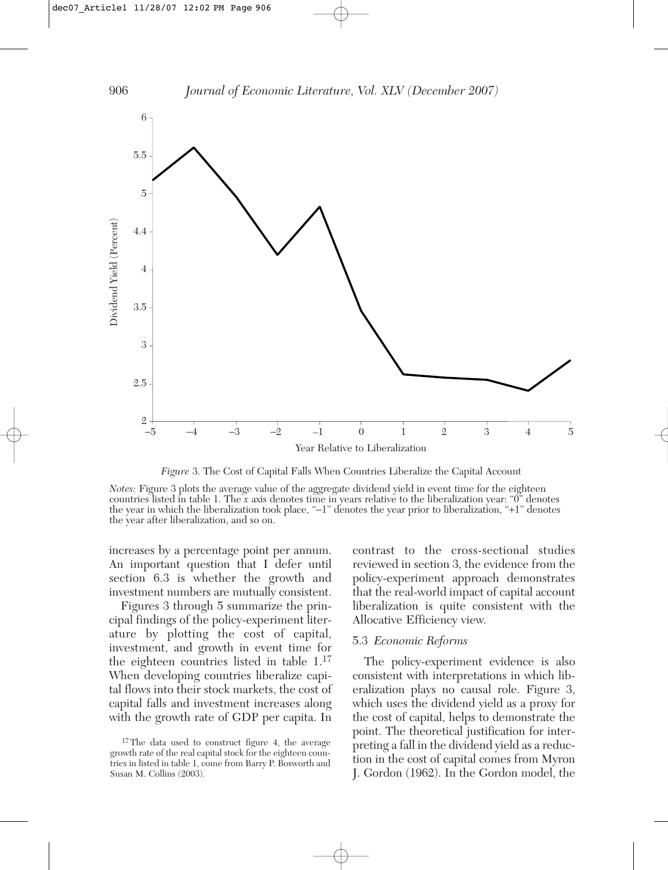

*Figure* 3. The Cost of Capital Falls When Countries Liberalize the Capital Account

*Notes:* Figure 3 plots the average value of the aggregate dividend yield in event time for the eighteen countries listed in table 1. The *x* axis denotes time in years relative to the liberalization year: "0" denotes the year in which the liberalization took place, "−1" denotes the year prior to liberalization, "+1" denotes the year after liberalization, and so on.

increases by a percentage point per annum. An important question that I defer until section 6.3 is whether the growth and investment numbers are mutually consistent.

Figures 3 through 5 summarize the principal findings of the policy-experiment literature by plotting the cost of capital, investment, and growth in event time for the eighteen countries listed in table 1.<sup>17</sup> When developing countries liberalize capital flows into their stock markets, the cost of capital falls and investment increases along with the growth rate of GDP per capita. In

contrast to the cross-sectional studies reviewed in section 3, the evidence from the policy-experiment approach demonstrates that the real-world impact of capital account liberalization is quite consistent with the Allocative Efficiency view.

#### 5.3 *Economic Reforms*

The policy-experiment evidence is also consistent with interpretations in which liberalization plays no causal role. Figure 3, which uses the dividend yield as a proxy for the cost of capital, helps to demonstrate the point. The theoretical justification for interpreting a fall in the dividend yield as a reduction in the cost of capital comes from Myron J. Gordon (1962). In the Gordon model, the

<sup>&</sup>lt;sup>17</sup>The data used to construct figure 4, the average growth rate of the real capital stock for the eighteen countries in listed in table 1, come from Barry P. Bosworth and Susan M. Collins (2003).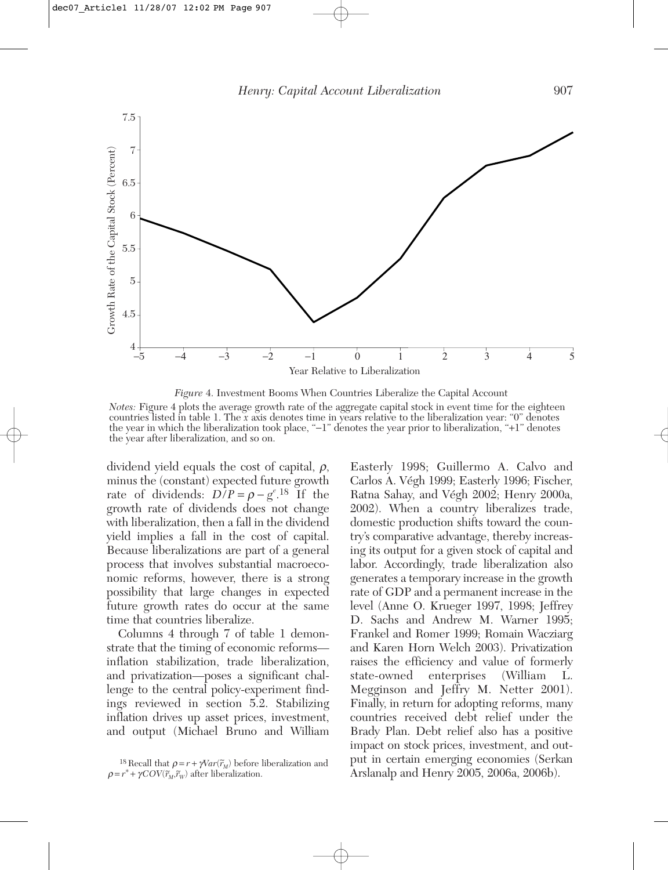

*Figure* 4. Investment Booms When Countries Liberalize the Capital Account *Notes:* Figure 4 plots the average growth rate of the aggregate capital stock in event time for the eighteen countries listed in table 1. The *x* axis denotes time in years relative to the liberalization year: "0" denotes the year in which the liberalization took place, "−1" denotes the year prior to liberalization, "+1" denotes the year after liberalization, and so on.

dividend yield equals the cost of capital,  $\rho$ , minus the (constant) expected future growth rate of dividends:  $D/P = \rho - g^{e}$ .<sup>18</sup> If the growth rate of dividends does not change with liberalization, then a fall in the dividend yield implies a fall in the cost of capital. Because liberalizations are part of a general process that involves substantial macroeconomic reforms, however, there is a strong possibility that large changes in expected future growth rates do occur at the same time that countries liberalize.

Columns 4 through 7 of table 1 demonstrate that the timing of economic reforms inflation stabilization, trade liberalization, and privatization—poses a significant challenge to the central policy-experiment findings reviewed in section 5.2. Stabilizing inflation drives up asset prices, investment, and output (Michael Bruno and William

Easterly 1998; Guillermo A. Calvo and Carlos A. Végh 1999; Easterly 1996; Fischer, Ratna Sahay, and Végh 2002; Henry 2000a, 2002). When a country liberalizes trade, domestic production shifts toward the country's comparative advantage, thereby increasing its output for a given stock of capital and labor. Accordingly, trade liberalization also generates a temporary increase in the growth rate of GDP and a permanent increase in the level (Anne O. Krueger 1997, 1998; Jeffrey D. Sachs and Andrew M. Warner 1995; Frankel and Romer 1999; Romain Wacziarg and Karen Horn Welch 2003). Privatization raises the efficiency and value of formerly state-owned enterprises (William L. Megginson and Jeffry M. Netter 2001). Finally, in return for adopting reforms, many countries received debt relief under the Brady Plan. Debt relief also has a positive impact on stock prices, investment, and output in certain emerging economies (Serkan Arslanalp and Henry 2005, 2006a, 2006b).

<sup>&</sup>lt;sup>18</sup> Recall that  $\rho = r + \gamma Var(\tilde{r}_M)$  before liberalization and  $\rho = r^* + \gamma COV(\tilde{r}_M, \tilde{r}_W)$  after liberalization.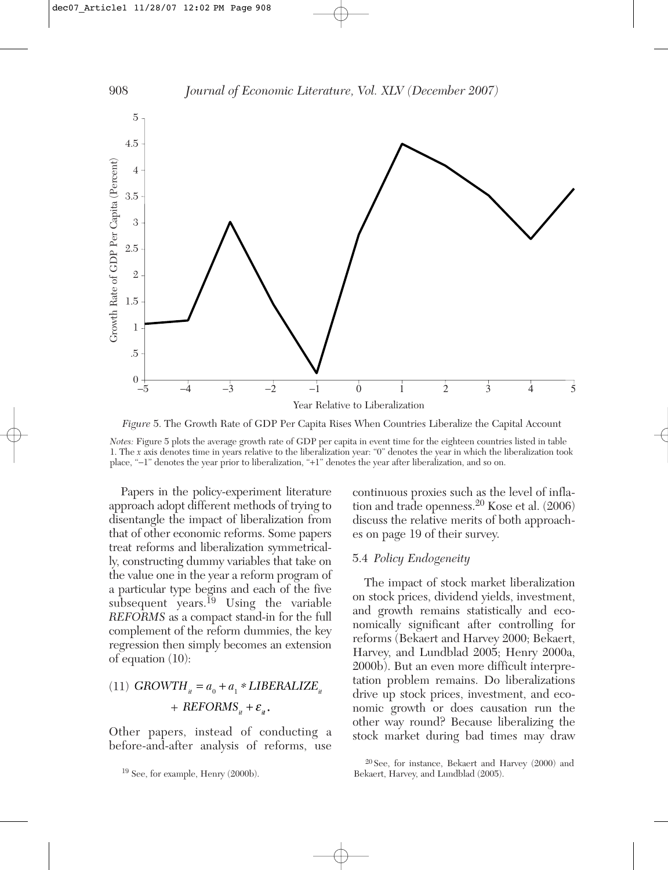

*Figure* 5. The Growth Rate of GDP Per Capita Rises When Countries Liberalize the Capital Account

*Notes:* Figure 5 plots the average growth rate of GDP per capita in event time for the eighteen countries listed in table 1. The *x* axis denotes time in years relative to the liberalization year: "0" denotes the year in which the liberalization took place, "−1" denotes the year prior to liberalization, "+1" denotes the year after liberalization, and so on.

Papers in the policy-experiment literature approach adopt different methods of trying to disentangle the impact of liberalization from that of other economic reforms. Some papers treat reforms and liberalization symmetrically, constructing dummy variables that take on the value one in the year a reform program of a particular type begins and each of the five subsequent years.<sup>19</sup> Using the variable *REFORMS* as a compact stand-in for the full complement of the reform dummies, the key regression then simply becomes an extension of equation (10):

## (11)  $GROWTH_{it} = a_0 + a_1 * LIBERALIZE_{it}$  $+$  *REFORMS*<sub>*it*</sub>  $+$   $\varepsilon$ <sub>*it*</sub>.

Other papers, instead of conducting a before-and-after analysis of reforms, use continuous proxies such as the level of inflation and trade openness.<sup>20</sup> Kose et al. (2006) discuss the relative merits of both approaches on page 19 of their survey.

#### 5.4 *Policy Endogeneity*

The impact of stock market liberalization on stock prices, dividend yields, investment, and growth remains statistically and economically significant after controlling for reforms (Bekaert and Harvey 2000; Bekaert, Harvey, and Lundblad 2005; Henry 2000a, 2000b). But an even more difficult interpretation problem remains. Do liberalizations drive up stock prices, investment, and economic growth or does causation run the other way round? Because liberalizing the stock market during bad times may draw

<sup>20</sup> See, for instance, Bekaert and Harvey (2000) and Bekaert, Harvey, and Lundblad (2005).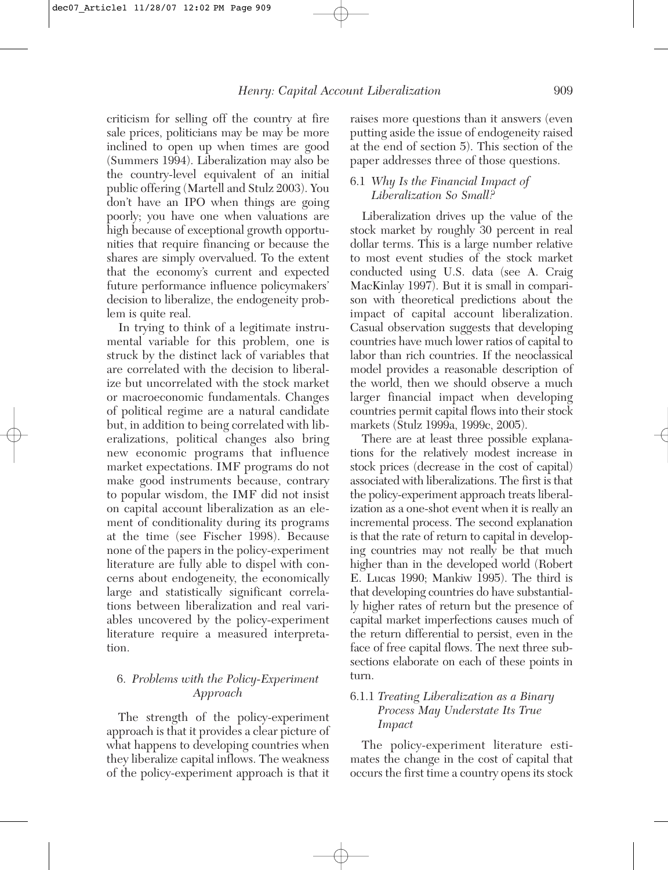criticism for selling off the country at fire sale prices, politicians may be may be more inclined to open up when times are good (Summers 1994). Liberalization may also be the country-level equivalent of an initial public offering (Martell and Stulz 2003). You don't have an IPO when things are going poorly; you have one when valuations are high because of exceptional growth opportunities that require financing or because the shares are simply overvalued. To the extent that the economy's current and expected future performance influence policymakers' decision to liberalize, the endogeneity problem is quite real.

In trying to think of a legitimate instrumental variable for this problem, one is struck by the distinct lack of variables that are correlated with the decision to liberalize but uncorrelated with the stock market or macroeconomic fundamentals. Changes of political regime are a natural candidate but, in addition to being correlated with liberalizations, political changes also bring new economic programs that influence market expectations. IMF programs do not make good instruments because, contrary to popular wisdom, the IMF did not insist on capital account liberalization as an element of conditionality during its programs at the time (see Fischer 1998). Because none of the papers in the policy-experiment literature are fully able to dispel with concerns about endogeneity, the economically large and statistically significant correlations between liberalization and real variables uncovered by the policy-experiment literature require a measured interpretation.

## 6. *Problems with the Policy-Experiment Approach*

The strength of the policy-experiment approach is that it provides a clear picture of what happens to developing countries when they liberalize capital inflows. The weakness of the policy-experiment approach is that it

raises more questions than it answers (even putting aside the issue of endogeneity raised at the end of section 5). This section of the paper addresses three of those questions.

## 6.1 *Why Is the Financial Impact of Liberalization So Small?*

Liberalization drives up the value of the stock market by roughly 30 percent in real dollar terms. This is a large number relative to most event studies of the stock market conducted using U.S. data (see A. Craig MacKinlay 1997). But it is small in comparison with theoretical predictions about the impact of capital account liberalization. Casual observation suggests that developing countries have much lower ratios of capital to labor than rich countries. If the neoclassical model provides a reasonable description of the world, then we should observe a much larger financial impact when developing countries permit capital flows into their stock markets (Stulz 1999a, 1999c, 2005).

There are at least three possible explanations for the relatively modest increase in stock prices (decrease in the cost of capital) associated with liberalizations. The first is that the policy-experiment approach treats liberalization as a one-shot event when it is really an incremental process. The second explanation is that the rate of return to capital in developing countries may not really be that much higher than in the developed world (Robert E. Lucas 1990; Mankiw 1995). The third is that developing countries do have substantially higher rates of return but the presence of capital market imperfections causes much of the return differential to persist, even in the face of free capital flows. The next three subsections elaborate on each of these points in turn.

## 6.1.1 *Treating Liberalization as a Binary Process May Understate Its True Impact*

The policy-experiment literature estimates the change in the cost of capital that occurs the first time a country opens its stock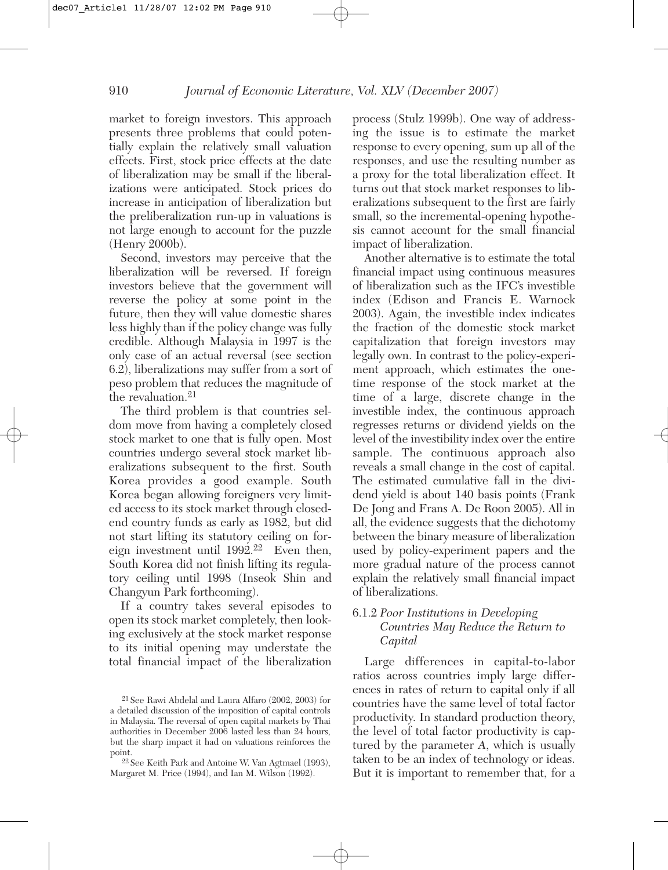market to foreign investors. This approach presents three problems that could potentially explain the relatively small valuation effects. First, stock price effects at the date of liberalization may be small if the liberalizations were anticipated. Stock prices do increase in anticipation of liberalization but the preliberalization run-up in valuations is not large enough to account for the puzzle (Henry 2000b).

Second, investors may perceive that the liberalization will be reversed. If foreign investors believe that the government will reverse the policy at some point in the future, then they will value domestic shares less highly than if the policy change was fully credible. Although Malaysia in 1997 is the only case of an actual reversal (see section 6.2), liberalizations may suffer from a sort of peso problem that reduces the magnitude of the revaluation.<sup>21</sup>

The third problem is that countries seldom move from having a completely closed stock market to one that is fully open. Most countries undergo several stock market liberalizations subsequent to the first. South Korea provides a good example. South Korea began allowing foreigners very limited access to its stock market through closedend country funds as early as 1982, but did not start lifting its statutory ceiling on foreign investment until  $1992<sup>22</sup>$  Even then, South Korea did not finish lifting its regulatory ceiling until 1998 (Inseok Shin and Changyun Park forthcoming).

If a country takes several episodes to open its stock market completely, then looking exclusively at the stock market response to its initial opening may understate the total financial impact of the liberalization

process (Stulz 1999b). One way of addressing the issue is to estimate the market response to every opening, sum up all of the responses, and use the resulting number as a proxy for the total liberalization effect. It turns out that stock market responses to liberalizations subsequent to the first are fairly small, so the incremental-opening hypothesis cannot account for the small financial impact of liberalization.

Another alternative is to estimate the total financial impact using continuous measures of liberalization such as the IFC's investible index (Edison and Francis E. Warnock 2003). Again, the investible index indicates the fraction of the domestic stock market capitalization that foreign investors may legally own. In contrast to the policy-experiment approach, which estimates the onetime response of the stock market at the time of a large, discrete change in the investible index, the continuous approach regresses returns or dividend yields on the level of the investibility index over the entire sample. The continuous approach also reveals a small change in the cost of capital. The estimated cumulative fall in the dividend yield is about 140 basis points (Frank De Jong and Frans A. De Roon 2005). All in all, the evidence suggests that the dichotomy between the binary measure of liberalization used by policy-experiment papers and the more gradual nature of the process cannot explain the relatively small financial impact of liberalizations.

#### 6.1.2 *Poor Institutions in Developing Countries May Reduce the Return to Capital*

Large differences in capital-to-labor ratios across countries imply large differences in rates of return to capital only if all countries have the same level of total factor productivity. In standard production theory, the level of total factor productivity is captured by the parameter *A*, which is usually taken to be an index of technology or ideas. But it is important to remember that, for a

<sup>21</sup> See Rawi Abdelal and Laura Alfaro (2002, 2003) for a detailed discussion of the imposition of capital controls in Malaysia. The reversal of open capital markets by Thai authorities in December 2006 lasted less than 24 hours, but the sharp impact it had on valuations reinforces the point.

<sup>22</sup> See Keith Park and Antoine W. Van Agtmael (1993), Margaret M. Price (1994), and Ian M. Wilson (1992).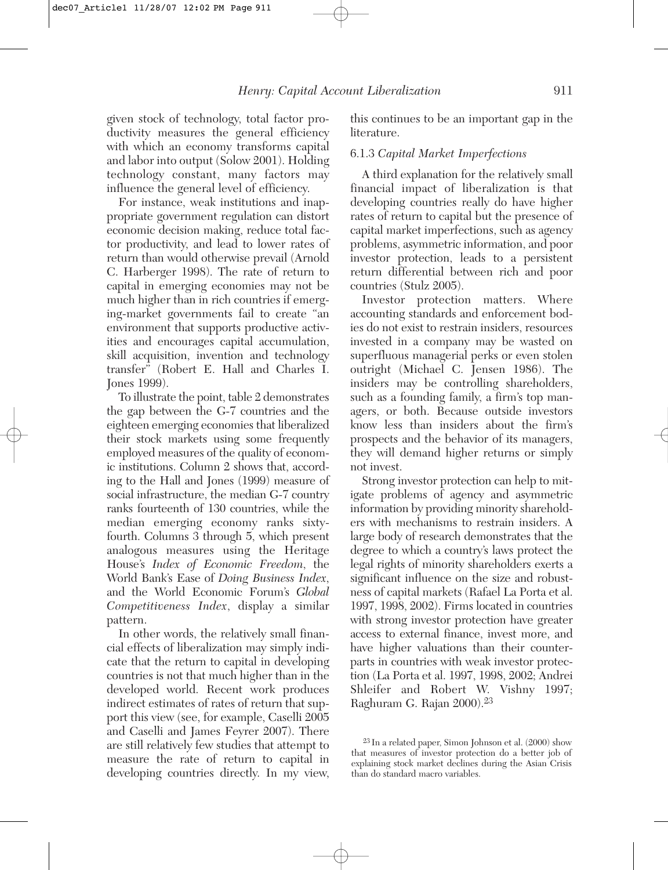given stock of technology, total factor productivity measures the general efficiency with which an economy transforms capital and labor into output (Solow 2001). Holding technology constant, many factors may influence the general level of efficiency.

For instance, weak institutions and inappropriate government regulation can distort economic decision making, reduce total factor productivity, and lead to lower rates of return than would otherwise prevail (Arnold C. Harberger 1998). The rate of return to capital in emerging economies may not be much higher than in rich countries if emerging-market governments fail to create "an environment that supports productive activities and encourages capital accumulation, skill acquisition, invention and technology transfer" (Robert E. Hall and Charles I. Jones 1999).

To illustrate the point, table 2 demonstrates the gap between the G-7 countries and the eighteen emerging economies that liberalized their stock markets using some frequently employed measures of the quality of economic institutions. Column 2 shows that, according to the Hall and Jones (1999) measure of social infrastructure, the median G-7 country ranks fourteenth of 130 countries, while the median emerging economy ranks sixtyfourth. Columns 3 through 5, which present analogous measures using the Heritage House's *Index of Economic Freedom*, the World Bank's Ease of *Doing Business Index*, and the World Economic Forum's *Global Competitiveness Index*, display a similar pattern.

In other words, the relatively small financial effects of liberalization may simply indicate that the return to capital in developing countries is not that much higher than in the developed world. Recent work produces indirect estimates of rates of return that support this view (see, for example, Caselli 2005 and Caselli and James Feyrer 2007). There are still relatively few studies that attempt to measure the rate of return to capital in developing countries directly. In my view,

this continues to be an important gap in the literature.

#### 6.1.3 *Capital Market Imperfections*

A third explanation for the relatively small financial impact of liberalization is that developing countries really do have higher rates of return to capital but the presence of capital market imperfections, such as agency problems, asymmetric information, and poor investor protection, leads to a persistent return differential between rich and poor countries (Stulz 2005).

Investor protection matters. Where accounting standards and enforcement bodies do not exist to restrain insiders, resources invested in a company may be wasted on superfluous managerial perks or even stolen outright (Michael C. Jensen 1986). The insiders may be controlling shareholders, such as a founding family, a firm's top managers, or both. Because outside investors know less than insiders about the firm's prospects and the behavior of its managers, they will demand higher returns or simply not invest.

Strong investor protection can help to mitigate problems of agency and asymmetric information by providing minority shareholders with mechanisms to restrain insiders. A large body of research demonstrates that the degree to which a country's laws protect the legal rights of minority shareholders exerts a significant influence on the size and robustness of capital markets (Rafael La Porta et al. 1997, 1998, 2002). Firms located in countries with strong investor protection have greater access to external finance, invest more, and have higher valuations than their counterparts in countries with weak investor protection (La Porta et al. 1997, 1998, 2002; Andrei Shleifer and Robert W. Vishny 1997; Raghuram G. Rajan 2000).<sup>23</sup>

<sup>23</sup> In a related paper, Simon Johnson et al. (2000) show that measures of investor protection do a better job of explaining stock market declines during the Asian Crisis than do standard macro variables.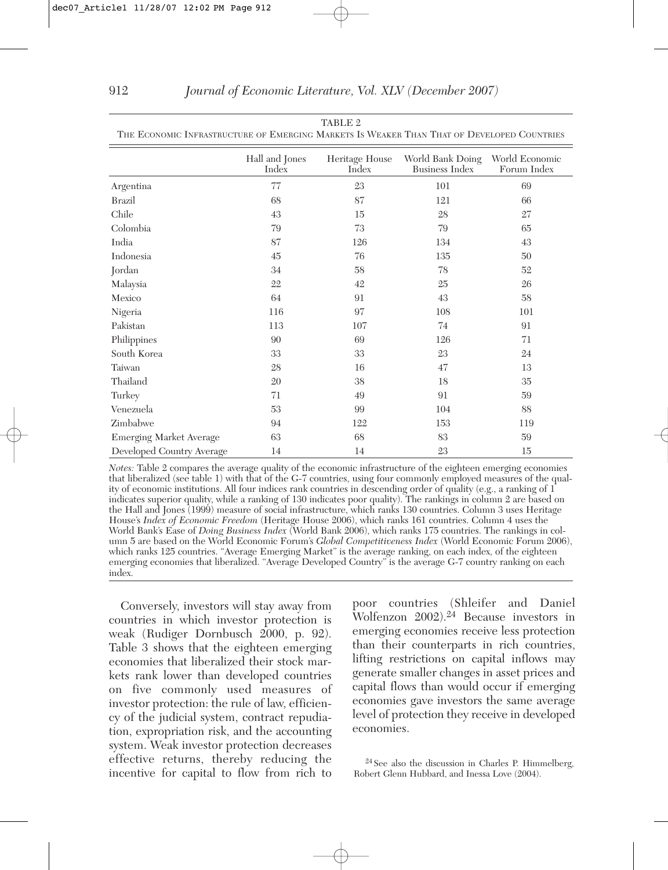| THE ECONOMIC INFRASTRUCTURE OF EMERGING MARKETS IS WEAKER THAN THAT OF DEVELOPED COUNTRIES |                         |                         |                                           |                               |  |  |  |
|--------------------------------------------------------------------------------------------|-------------------------|-------------------------|-------------------------------------------|-------------------------------|--|--|--|
|                                                                                            | Hall and Jones<br>Index | Heritage House<br>Index | World Bank Doing<br><b>Business Index</b> | World Economic<br>Forum Index |  |  |  |
| Argentina                                                                                  | 77                      | 23                      | 101                                       | 69                            |  |  |  |
| <b>Brazil</b>                                                                              | 68                      | 87                      | 121                                       | 66                            |  |  |  |
| Chile                                                                                      | 43                      | 15                      | 28                                        | 27                            |  |  |  |
| Colombia                                                                                   | 79                      | 73                      | 79                                        | 65                            |  |  |  |
| India                                                                                      | 87                      | 126                     | 134                                       | 43                            |  |  |  |
| Indonesia                                                                                  | 45                      | 76                      | 135                                       | 50                            |  |  |  |
| Jordan                                                                                     | 34                      | 58                      | 78                                        | 52                            |  |  |  |
| Malaysia                                                                                   | 22                      | 42                      | 25                                        | 26                            |  |  |  |
| Mexico                                                                                     | 64                      | 91                      | 43                                        | 58                            |  |  |  |
| Nigeria                                                                                    | 116                     | 97                      | 108                                       | 101                           |  |  |  |
| Pakistan                                                                                   | 113                     | 107                     | 74                                        | 91                            |  |  |  |
| Philippines                                                                                | 90                      | 69                      | 126                                       | 71                            |  |  |  |
| South Korea                                                                                | 33                      | 33                      | 23                                        | 24                            |  |  |  |
| Taiwan                                                                                     | 28                      | 16                      | 47                                        | 13                            |  |  |  |
| Thailand                                                                                   | 20                      | 38                      | 18                                        | 35                            |  |  |  |
| Turkey                                                                                     | 71                      | 49                      | 91                                        | 59                            |  |  |  |
| Venezuela                                                                                  | 53                      | 99                      | 104                                       | 88                            |  |  |  |
| Zimbabwe                                                                                   | 94                      | 122                     | 153                                       | 119                           |  |  |  |
| <b>Emerging Market Average</b>                                                             | 63                      | 68                      | 83                                        | 59                            |  |  |  |
| Developed Country Average                                                                  | 14                      | 14                      | 23                                        | 15                            |  |  |  |

| TABLE 2                                                                                    |  |
|--------------------------------------------------------------------------------------------|--|
| THE ECONOMIC INFRASTRUCTURE OF EMERGING MARKETS IS WEAKER THAN THAT OF DEVELOPED COUNTRIES |  |

*Notes:* Table 2 compares the average quality of the economic infrastructure of the eighteen emerging economies that liberalized (see table 1) with that of the G-7 countries, using four commonly employed measures of the quality of economic institutions. All four indices rank countries in descending order of quality (e.g., a ranking of 1 indicates superior quality, while a ranking of 130 indicates poor quality). The rankings in column 2 are based on the Hall and Jones (1999) measure of social infrastructure, which ranks 130 countries. Column 3 uses Heritage House's *Index of Economic Freedom* (Heritage House 2006), which ranks 161 countries. Column 4 uses the World Bank's Ease of *Doing Business Index* (World Bank 2006), which ranks 175 countries. The rankings in column 5 are based on the World Economic Forum's *Global Competitiveness Index* (World Economic Forum 2006), which ranks 125 countries. "Average Emerging Market" is the average ranking, on each index, of the eighteen emerging economies that liberalized. "Average Developed Country" is the average G-7 country ranking on each index.

Conversely, investors will stay away from countries in which investor protection is weak (Rudiger Dornbusch 2000, p. 92). Table 3 shows that the eighteen emerging economies that liberalized their stock markets rank lower than developed countries on five commonly used measures of investor protection: the rule of law, efficiency of the judicial system, contract repudiation, expropriation risk, and the accounting system. Weak investor protection decreases effective returns, thereby reducing the incentive for capital to flow from rich to poor countries (Shleifer and Daniel Wolfenzon 2002).<sup>24</sup> Because investors in emerging economies receive less protection than their counterparts in rich countries, lifting restrictions on capital inflows may generate smaller changes in asset prices and capital flows than would occur if emerging economies gave investors the same average level of protection they receive in developed economies.

<sup>24</sup> See also the discussion in Charles P. Himmelberg, Robert Glenn Hubbard, and Inessa Love (2004).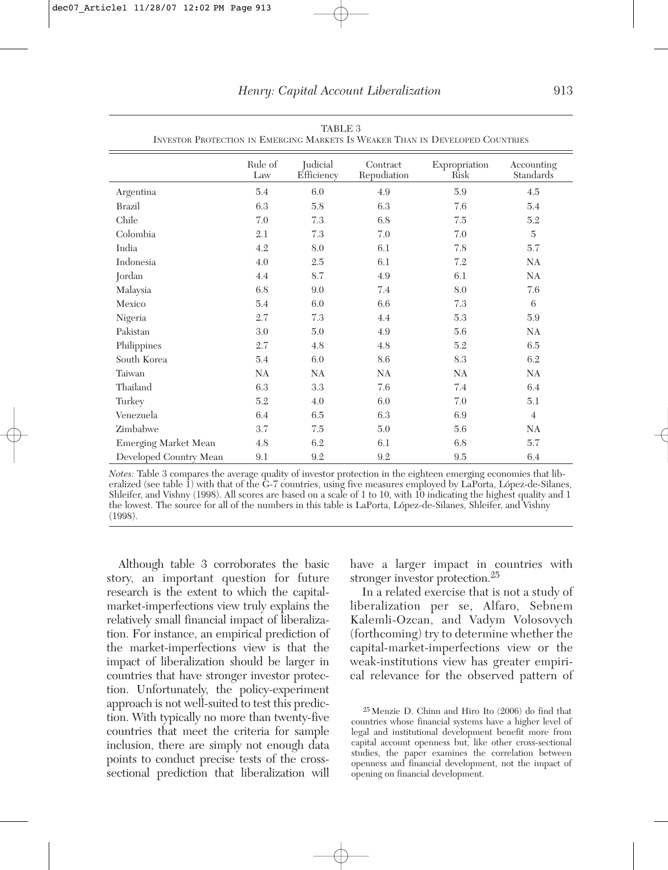|                             | Rule of<br>Law | Judicial<br>Efficiency | Contract<br>Repudiation | Expropriation<br>Risk | Accounting<br>Standards |
|-----------------------------|----------------|------------------------|-------------------------|-----------------------|-------------------------|
| Argentina                   | 5.4            | 6.0                    | 4.9                     | 5.9                   | 4.5                     |
| Brazil                      | 6.3            | 5.8                    | 6.3                     | 7.6                   | 5.4                     |
| Chile                       | 7.0            | 7.3                    | 6.8                     | 7.5                   | 5.2                     |
| Colombia                    | 2.1            | 7.3                    | 7.0                     | 7.0                   | $\bf 5$                 |
| India                       | 4.2            | 8.0                    | 6.1                     | 7.8                   | 5.7                     |
| Indonesia                   | 4.0            | 2.5                    | 6.1                     | 7.2                   | NA                      |
| Jordan                      | 4.4            | 8.7                    | 4.9                     | 6.1                   | NA                      |
| Malaysia                    | 6.8            | 9.0                    | 7.4                     | 8.0                   | 7.6                     |
| Mexico                      | 5.4            | 6.0                    | 6.6                     | 7.3                   | 6                       |
| Nigeria                     | 2.7            | 7.3                    | 4.4                     | 5.3                   | $5.9\,$                 |
| Pakistan                    | 3.0            | 5.0                    | 4.9                     | 5.6                   | NA                      |
| Philippines                 | 2.7            | 4.8                    | 4.8                     | 5.2                   | 6.5                     |
| South Korea                 | 5.4            | 6.0                    | 8.6                     | 8.3                   | 6.2                     |
| Taiwan                      | NA             | NA                     | NA                      | NA                    | NA                      |
| Thailand                    | 6.3            | 3.3                    | 7.6                     | 7.4                   | 6.4                     |
| Turkey                      | 5.2            | 4.0                    | 6.0                     | 7.0                   | 5.1                     |
| Venezuela                   | 6.4            | 6.5                    | 6.3                     | 6.9                   | $\overline{4}$          |
| Zimbabwe                    | 3.7            | 7.5                    | 5.0                     | 5.6                   | NA                      |
| <b>Emerging Market Mean</b> | 4.8            | 6.2                    | 6.1                     | 6.8                   | 5.7                     |
| Developed Country Mean      | 9.1            | 9.2                    | 9.2                     | 9.5                   | 6.4                     |

TABLE 3 INVESTOR PROTECTION IN EMERGING MARKETS IS WEAKER THAN IN DEVELOPED COUNTRIES

*Notes:* Table 3 compares the average quality of investor protection in the eighteen emerging economies that liberalized (see table 1) with that of the G-7 countries, using five measures employed by LaPorta, López-de-Silanes, Shleifer, and Vishny (1998). All scores are based on a scale of 1 to 10, with 10 indicating the highest quality and 1 the lowest. The source for all of the numbers in this table is LaPorta, López-de-Silanes, Shleifer, and Vishny (1998).

Although table 3 corroborates the basic story, an important question for future research is the extent to which the capitalmarket-imperfections view truly explains the relatively small financial impact of liberalization. For instance, an empirical prediction of the market-imperfections view is that the impact of liberalization should be larger in countries that have stronger investor protection. Unfortunately, the policy-experiment approach is not well-suited to test this prediction. With typically no more than twenty-five countries that meet the criteria for sample inclusion, there are simply not enough data points to conduct precise tests of the crosssectional prediction that liberalization will

have a larger impact in countries with stronger investor protection.<sup>25</sup>

In a related exercise that is not a study of liberalization per se, Alfaro, Sebnem Kalemli-Ozcan, and Vadym Volosovych (forthcoming) try to determine whether the capital-market-imperfections view or the weak-institutions view has greater empirical relevance for the observed pattern of

25Menzie D. Chinn and Hiro Ito (2006) do find that countries whose financial systems have a higher level of legal and institutional development benefit more from capital account openness but, like other cross-sectional studies, the paper examines the correlation between openness and financial development, not the impact of opening on financial development.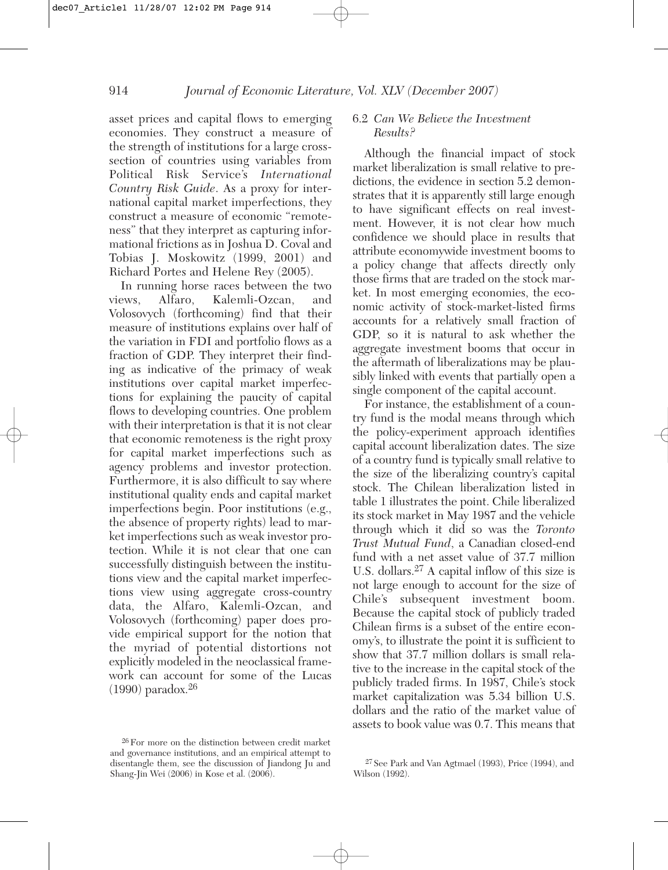asset prices and capital flows to emerging economies. They construct a measure of the strength of institutions for a large crosssection of countries using variables from Political Risk Service's *International Country Risk Guide*. As a proxy for international capital market imperfections, they construct a measure of economic "remoteness" that they interpret as capturing informational frictions as in Joshua D. Coval and Tobias J. Moskowitz (1999, 2001) and Richard Portes and Helene Rey (2005).

In running horse races between the two views, Alfaro, Kalemli-Ozcan, and Volosovych (forthcoming) find that their measure of institutions explains over half of the variation in FDI and portfolio flows as a fraction of GDP. They interpret their finding as indicative of the primacy of weak institutions over capital market imperfections for explaining the paucity of capital flows to developing countries. One problem with their interpretation is that it is not clear that economic remoteness is the right proxy for capital market imperfections such as agency problems and investor protection. Furthermore, it is also difficult to say where institutional quality ends and capital market imperfections begin. Poor institutions (e.g., the absence of property rights) lead to market imperfections such as weak investor protection. While it is not clear that one can successfully distinguish between the institutions view and the capital market imperfections view using aggregate cross-country data, the Alfaro, Kalemli-Ozcan, and Volosovych (forthcoming) paper does provide empirical support for the notion that the myriad of potential distortions not explicitly modeled in the neoclassical framework can account for some of the Lucas  $(1990)$  paradox.<sup>26</sup>

#### 6.2 *Can We Believe the Investment Results?*

Although the financial impact of stock market liberalization is small relative to predictions, the evidence in section 5.2 demonstrates that it is apparently still large enough to have significant effects on real investment. However, it is not clear how much confidence we should place in results that attribute economywide investment booms to a policy change that affects directly only those firms that are traded on the stock market. In most emerging economies, the economic activity of stock-market-listed firms accounts for a relatively small fraction of GDP, so it is natural to ask whether the aggregate investment booms that occur in the aftermath of liberalizations may be plausibly linked with events that partially open a single component of the capital account.

For instance, the establishment of a country fund is the modal means through which the policy-experiment approach identifies capital account liberalization dates. The size of a country fund is typically small relative to the size of the liberalizing country's capital stock. The Chilean liberalization listed in table 1 illustrates the point. Chile liberalized its stock market in May 1987 and the vehicle through which it did so was the *Toronto Trust Mutual Fund*, a Canadian closed-end fund with a net asset value of 37.7 million U.S. dollars.<sup>27</sup> A capital inflow of this size is not large enough to account for the size of Chile's subsequent investment boom. Because the capital stock of publicly traded Chilean firms is a subset of the entire economy's, to illustrate the point it is sufficient to show that 37.7 million dollars is small relative to the increase in the capital stock of the publicly traded firms. In 1987, Chile's stock market capitalization was 5.34 billion U.S. dollars and the ratio of the market value of assets to book value was 0.7. This means that

<sup>26</sup>For more on the distinction between credit market and governance institutions, and an empirical attempt to disentangle them, see the discussion of Jiandong Ju and Shang-Jin Wei (2006) in Kose et al. (2006).

<sup>27</sup> See Park and Van Agtmael (1993), Price (1994), and Wilson (1992).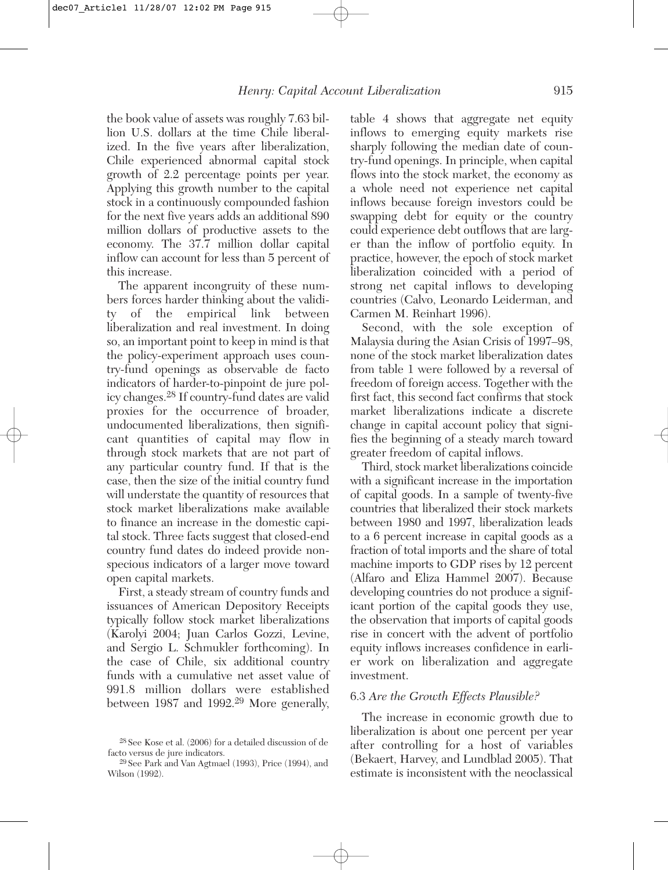the book value of assets was roughly 7.63 billion U.S. dollars at the time Chile liberalized. In the five years after liberalization, Chile experienced abnormal capital stock growth of 2.2 percentage points per year. Applying this growth number to the capital stock in a continuously compounded fashion for the next five years adds an additional 890 million dollars of productive assets to the economy. The 37.7 million dollar capital inflow can account for less than 5 percent of this increase.

The apparent incongruity of these numbers forces harder thinking about the validity of the empirical link between liberalization and real investment. In doing so, an important point to keep in mind is that the policy-experiment approach uses country-fund openings as observable de facto indicators of harder-to-pinpoint de jure policy changes.28 If country-fund dates are valid proxies for the occurrence of broader, undocumented liberalizations, then significant quantities of capital may flow in through stock markets that are not part of any particular country fund. If that is the case, then the size of the initial country fund will understate the quantity of resources that stock market liberalizations make available to finance an increase in the domestic capital stock. Three facts suggest that closed-end country fund dates do indeed provide nonspecious indicators of a larger move toward open capital markets.

First, a steady stream of country funds and issuances of American Depository Receipts typically follow stock market liberalizations (Karolyi 2004; Juan Carlos Gozzi, Levine, and Sergio L. Schmukler forthcoming). In the case of Chile, six additional country funds with a cumulative net asset value of 991.8 million dollars were established between 1987 and 1992.29 More generally, table 4 shows that aggregate net equity inflows to emerging equity markets rise sharply following the median date of country-fund openings. In principle, when capital flows into the stock market, the economy as a whole need not experience net capital inflows because foreign investors could be swapping debt for equity or the country could experience debt outflows that are larger than the inflow of portfolio equity. In practice, however, the epoch of stock market liberalization coincided with a period of strong net capital inflows to developing countries (Calvo, Leonardo Leiderman, and Carmen M. Reinhart 1996).

Second, with the sole exception of Malaysia during the Asian Crisis of 1997–98, none of the stock market liberalization dates from table 1 were followed by a reversal of freedom of foreign access. Together with the first fact, this second fact confirms that stock market liberalizations indicate a discrete change in capital account policy that signifies the beginning of a steady march toward greater freedom of capital inflows.

Third, stock market liberalizations coincide with a significant increase in the importation of capital goods. In a sample of twenty-five countries that liberalized their stock markets between 1980 and 1997, liberalization leads to a 6 percent increase in capital goods as a fraction of total imports and the share of total machine imports to GDP rises by 12 percent (Alfaro and Eliza Hammel 2007). Because developing countries do not produce a significant portion of the capital goods they use, the observation that imports of capital goods rise in concert with the advent of portfolio equity inflows increases confidence in earlier work on liberalization and aggregate investment.

#### 6.3 *Are the Growth Effects Plausible?*

The increase in economic growth due to liberalization is about one percent per year after controlling for a host of variables (Bekaert, Harvey, and Lundblad 2005). That estimate is inconsistent with the neoclassical

<sup>28</sup> See Kose et al. (2006) for a detailed discussion of de facto versus de jure indicators.

<sup>29</sup> See Park and Van Agtmael (1993), Price (1994), and Wilson (1992).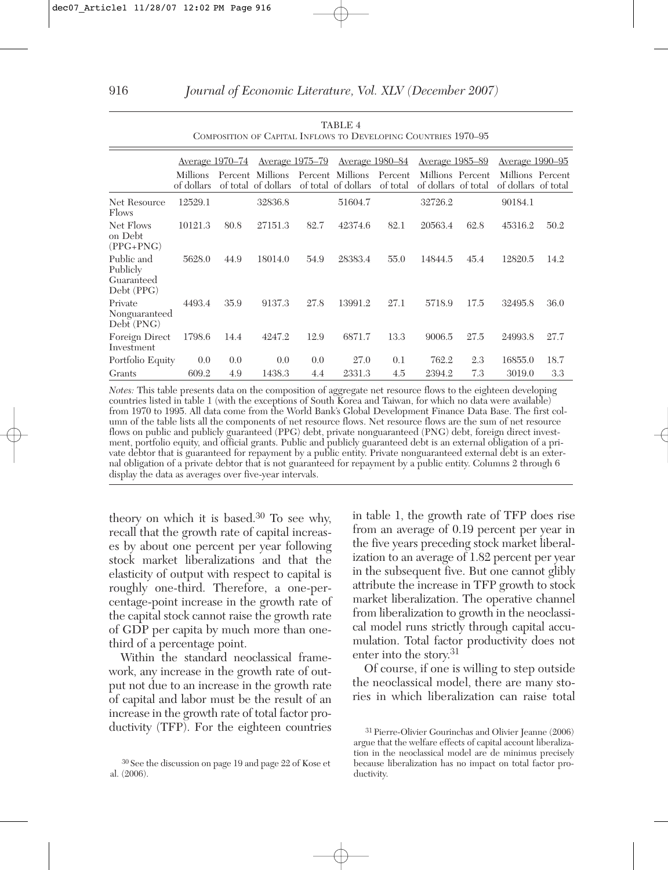|                                                    |                        | Average 1970–74 |                                         |      | <u>Average 1975–79</u> Average 1980–84  |                     | <u>Average 1985–89</u>                  |      | Average 1990–95                         |      |
|----------------------------------------------------|------------------------|-----------------|-----------------------------------------|------|-----------------------------------------|---------------------|-----------------------------------------|------|-----------------------------------------|------|
|                                                    | Millions<br>of dollars |                 | Percent Millions<br>of total of dollars |      | Percent Millions<br>of total of dollars | Percent<br>of total | Millions Percent<br>of dollars of total |      | Millions Percent<br>of dollars of total |      |
| Net Resource<br>Flows                              | 12529.1                |                 | 32836.8                                 |      | 51604.7                                 |                     | 32726.2                                 |      | 90184.1                                 |      |
| Net Flows<br>on Debt<br>$(PPG+PNG)$                | 10121.3                | 80.8            | 27151.3                                 | 82.7 | 42374.6                                 | 82.1                | 20563.4                                 | 62.8 | 45316.2                                 | 50.2 |
| Public and<br>Publicly<br>Guaranteed<br>Debt (PPG) | 5628.0                 | 44.9            | 18014.0                                 | 54.9 | 28383.4                                 | 55.0                | 14844.5                                 | 45.4 | 12820.5                                 | 14.2 |
| Private<br>Nonguaranteed<br>Debt (PNG)             | 4493.4                 | 35.9            | 9137.3                                  | 27.8 | 13991.2                                 | 27.1                | 5718.9                                  | 17.5 | 32495.8                                 | 36.0 |
| Foreign Direct<br>Investment                       | 1798.6                 | 14.4            | 4247.2                                  | 12.9 | 6871.7                                  | 13.3                | 9006.5                                  | 27.5 | 24993.8                                 | 27.7 |
| Portfolio Equity                                   | 0.0                    | 0.0             | 0.0                                     | 0.0  | 27.0                                    | 0.1                 | 762.2                                   | 2.3  | 16855.0                                 | 18.7 |
| Grants                                             | 609.2                  | 4.9             | 1438.3                                  | 4.4  | 2331.3                                  | 4.5                 | 2394.2                                  | 7.3  | 3019.0                                  | 3.3  |

| TABLE 4                                                        |  |
|----------------------------------------------------------------|--|
| COMPOSITION OF CAPITAL INFLOWS TO DEVELOPING COUNTRIES 1970-95 |  |

*Notes:* This table presents data on the composition of aggregate net resource flows to the eighteen developing countries listed in table 1 (with the exceptions of South Korea and Taiwan, for which no data were available) from 1970 to 1995. All data come from the World Bank's Global Development Finance Data Base. The first column of the table lists all the components of net resource flows. Net resource flows are the sum of net resource flows on public and publicly guaranteed (PPG) debt, private nonguaranteed (PNG) debt, foreign direct investment, portfolio equity, and official grants. Public and publicly guaranteed debt is an external obligation of a private debtor that is guaranteed for repayment by a public entity. Private nonguaranteed external debt is an external obligation of a private debtor that is not guaranteed for repayment by a public entity. Columns 2 through 6 display the data as averages over five-year intervals.

theory on which it is based.30 To see why, recall that the growth rate of capital increases by about one percent per year following stock market liberalizations and that the elasticity of output with respect to capital is roughly one-third. Therefore, a one-percentage-point increase in the growth rate of the capital stock cannot raise the growth rate of GDP per capita by much more than onethird of a percentage point.

Within the standard neoclassical framework, any increase in the growth rate of output not due to an increase in the growth rate of capital and labor must be the result of an increase in the growth rate of total factor productivity (TFP). For the eighteen countries in table 1, the growth rate of TFP does rise from an average of 0.19 percent per year in the five years preceding stock market liberalization to an average of 1.82 percent per year in the subsequent five. But one cannot glibly attribute the increase in TFP growth to stock market liberalization. The operative channel from liberalization to growth in the neoclassical model runs strictly through capital accumulation. Total factor productivity does not enter into the story.<sup>31</sup>

Of course, if one is willing to step outside the neoclassical model, there are many stories in which liberalization can raise total

<sup>30</sup> See the discussion on page 19 and page 22 of Kose et al. (2006).

<sup>31</sup> Pierre-Olivier Gourinchas and Olivier Jeanne (2006) argue that the welfare effects of capital account liberalization in the neoclassical model are de minimus precisely because liberalization has no impact on total factor productivity.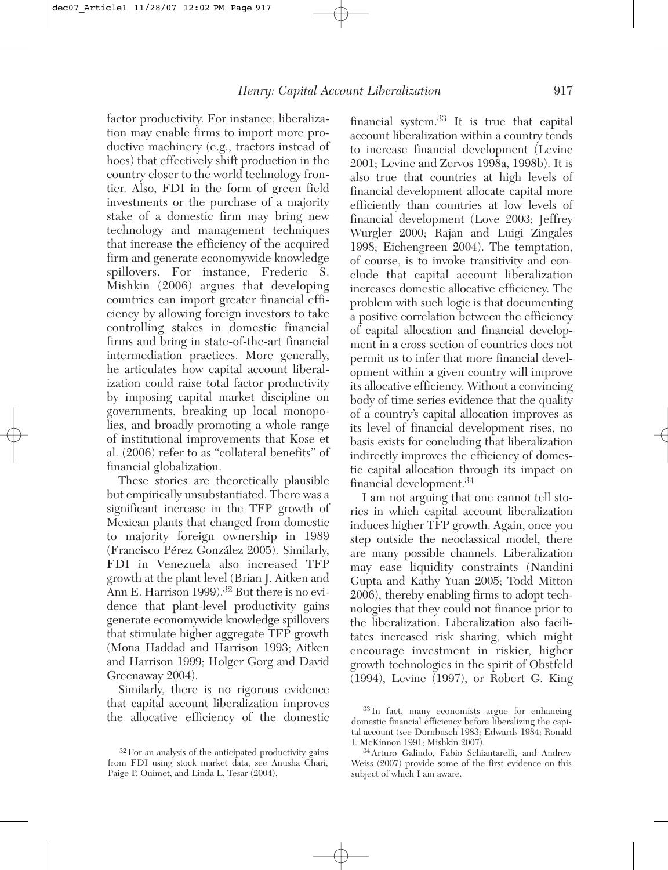factor productivity. For instance, liberalization may enable firms to import more productive machinery (e.g., tractors instead of hoes) that effectively shift production in the country closer to the world technology frontier. Also, FDI in the form of green field investments or the purchase of a majority stake of a domestic firm may bring new technology and management techniques that increase the efficiency of the acquired firm and generate economywide knowledge spillovers. For instance, Frederic S. Mishkin (2006) argues that developing countries can import greater financial efficiency by allowing foreign investors to take controlling stakes in domestic financial firms and bring in state-of-the-art financial intermediation practices. More generally, he articulates how capital account liberalization could raise total factor productivity by imposing capital market discipline on governments, breaking up local monopolies, and broadly promoting a whole range of institutional improvements that Kose et al. (2006) refer to as "collateral benefits" of financial globalization.

These stories are theoretically plausible but empirically unsubstantiated. There was a significant increase in the TFP growth of Mexican plants that changed from domestic to majority foreign ownership in 1989 (Francisco Pérez González 2005). Similarly, FDI in Venezuela also increased TFP growth at the plant level (Brian J. Aitken and Ann E. Harrison 1999).<sup>32</sup> But there is no evidence that plant-level productivity gains generate economywide knowledge spillovers that stimulate higher aggregate TFP growth (Mona Haddad and Harrison 1993; Aitken and Harrison 1999; Holger Gorg and David Greenaway 2004).

Similarly, there is no rigorous evidence that capital account liberalization improves the allocative efficiency of the domestic financial system.33 It is true that capital account liberalization within a country tends to increase financial development (Levine 2001; Levine and Zervos 1998a, 1998b). It is also true that countries at high levels of financial development allocate capital more efficiently than countries at low levels of financial development (Love 2003; Jeffrey Wurgler 2000; Rajan and Luigi Zingales 1998; Eichengreen 2004). The temptation, of course, is to invoke transitivity and conclude that capital account liberalization increases domestic allocative efficiency. The problem with such logic is that documenting a positive correlation between the efficiency of capital allocation and financial development in a cross section of countries does not permit us to infer that more financial development within a given country will improve its allocative efficiency. Without a convincing body of time series evidence that the quality of a country's capital allocation improves as its level of financial development rises, no basis exists for concluding that liberalization indirectly improves the efficiency of domestic capital allocation through its impact on financial development.34

I am not arguing that one cannot tell stories in which capital account liberalization induces higher TFP growth. Again, once you step outside the neoclassical model, there are many possible channels. Liberalization may ease liquidity constraints (Nandini Gupta and Kathy Yuan 2005; Todd Mitton 2006), thereby enabling firms to adopt technologies that they could not finance prior to the liberalization. Liberalization also facilitates increased risk sharing, which might encourage investment in riskier, higher growth technologies in the spirit of Obstfeld (1994), Levine (1997), or Robert G. King

<sup>32</sup>For an analysis of the anticipated productivity gains from FDI using stock market data, see Anusha Chari, Paige P. Ouimet, and Linda L. Tesar (2004).

<sup>33</sup> In fact, many economists argue for enhancing domestic financial efficiency before liberalizing the capital account (see Dornbusch 1983; Edwards 1984; Ronald I. McKinnon 1991; Mishkin 2007).

<sup>34</sup>Arturo Galindo, Fabio Schiantarelli, and Andrew Weiss (2007) provide some of the first evidence on this subject of which I am aware.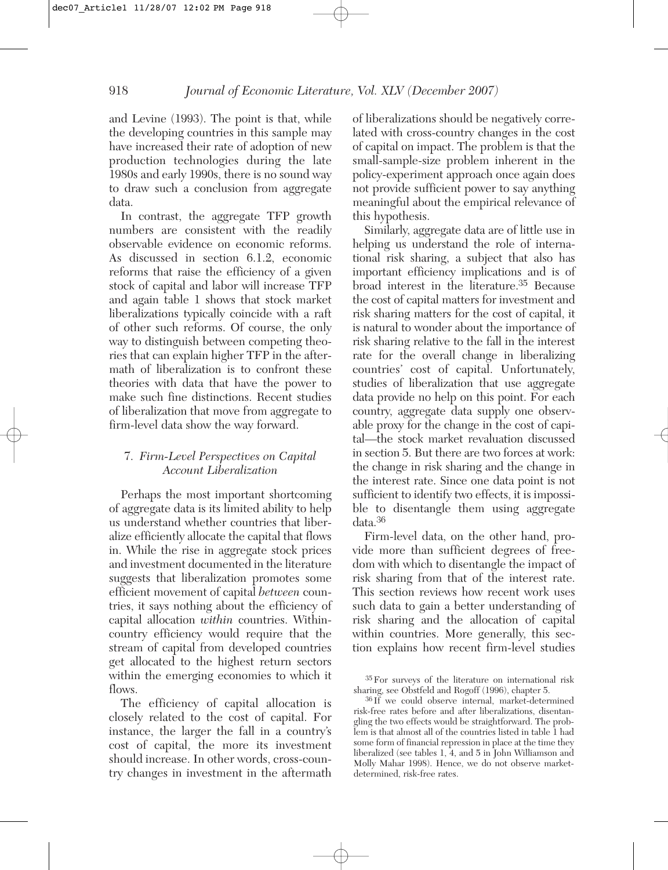and Levine (1993). The point is that, while the developing countries in this sample may have increased their rate of adoption of new production technologies during the late 1980s and early 1990s, there is no sound way to draw such a conclusion from aggregate data.

In contrast, the aggregate TFP growth numbers are consistent with the readily observable evidence on economic reforms. As discussed in section 6.1.2, economic reforms that raise the efficiency of a given stock of capital and labor will increase TFP and again table 1 shows that stock market liberalizations typically coincide with a raft of other such reforms. Of course, the only way to distinguish between competing theories that can explain higher TFP in the aftermath of liberalization is to confront these theories with data that have the power to make such fine distinctions. Recent studies of liberalization that move from aggregate to firm-level data show the way forward.

#### 7. *Firm-Level Perspectives on Capital Account Liberalization*

Perhaps the most important shortcoming of aggregate data is its limited ability to help us understand whether countries that liberalize efficiently allocate the capital that flows in. While the rise in aggregate stock prices and investment documented in the literature suggests that liberalization promotes some efficient movement of capital *between* countries, it says nothing about the efficiency of capital allocation *within* countries. Withincountry efficiency would require that the stream of capital from developed countries get allocated to the highest return sectors within the emerging economies to which it flows.

The efficiency of capital allocation is closely related to the cost of capital. For instance, the larger the fall in a country's cost of capital, the more its investment should increase. In other words, cross-country changes in investment in the aftermath of liberalizations should be negatively correlated with cross-country changes in the cost of capital on impact. The problem is that the small-sample-size problem inherent in the policy-experiment approach once again does not provide sufficient power to say anything meaningful about the empirical relevance of this hypothesis.

Similarly, aggregate data are of little use in helping us understand the role of international risk sharing, a subject that also has important efficiency implications and is of broad interest in the literature.35 Because the cost of capital matters for investment and risk sharing matters for the cost of capital, it is natural to wonder about the importance of risk sharing relative to the fall in the interest rate for the overall change in liberalizing countries' cost of capital. Unfortunately, studies of liberalization that use aggregate data provide no help on this point. For each country, aggregate data supply one observable proxy for the change in the cost of capital—the stock market revaluation discussed in section 5. But there are two forces at work: the change in risk sharing and the change in the interest rate. Since one data point is not sufficient to identify two effects, it is impossible to disentangle them using aggregate data.36

Firm-level data, on the other hand, provide more than sufficient degrees of freedom with which to disentangle the impact of risk sharing from that of the interest rate. This section reviews how recent work uses such data to gain a better understanding of risk sharing and the allocation of capital within countries. More generally, this section explains how recent firm-level studies

<sup>35</sup>For surveys of the literature on international risk sharing, see Obstfeld and Rogoff (1996), chapter 5.

<sup>36</sup> If we could observe internal, market-determined risk-free rates before and after liberalizations, disentangling the two effects would be straightforward. The problem is that almost all of the countries listed in table 1 had some form of financial repression in place at the time they liberalized (see tables 1, 4, and 5 in John Williamson and Molly Mahar 1998). Hence, we do not observe marketdetermined, risk-free rates.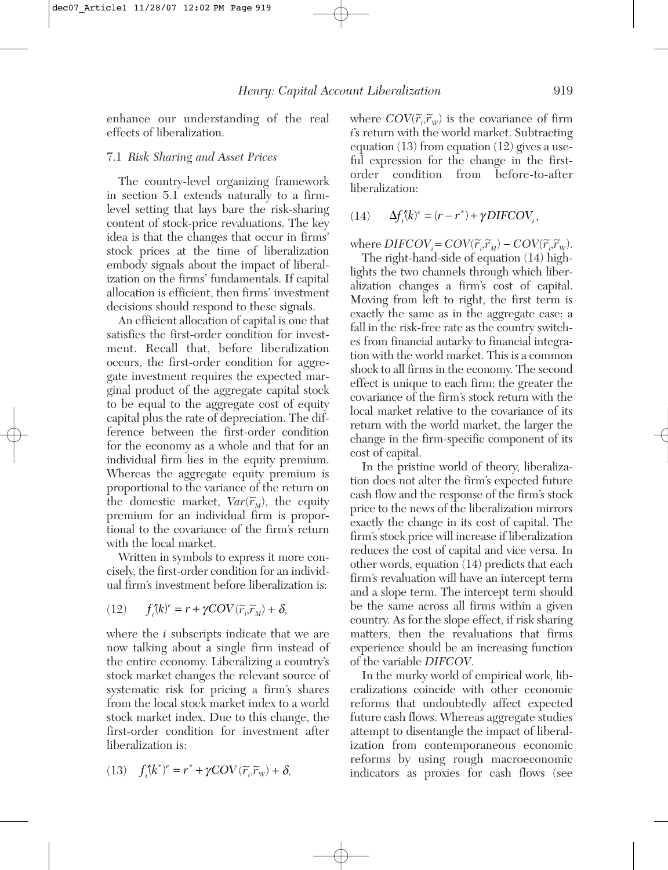enhance our understanding of the real effects of liberalization.

#### 7.1 *Risk Sharing and Asset Prices*

The country-level organizing framework in section 5.1 extends naturally to a firmlevel setting that lays bare the risk-sharing content of stock-price revaluations. The key idea is that the changes that occur in firms' stock prices at the time of liberalization embody signals about the impact of liberalization on the firms' fundamentals. If capital allocation is efficient, then firms' investment decisions should respond to these signals.

An efficient allocation of capital is one that satisfies the first-order condition for investment. Recall that, before liberalization occurs, the first-order condition for aggregate investment requires the expected marginal product of the aggregate capital stock to be equal to the aggregate cost of equity capital plus the rate of depreciation. The difference between the first-order condition for the economy as a whole and that for an individual firm lies in the equity premium. Whereas the aggregate equity premium is proportional to the variance of the return on  $t$ he domestic market,  $Var(\tilde{r}_M)$ , the equity premium for an individual firm is proportional to the covariance of the firm's return with the local market.

Written in symbols to express it more concisely, the first-order condition for an individual firm's investment before liberalization is:

(12) 
$$
f_i^{\prime}(k)^e = r + \gamma COV(\widetilde{r}_i, \widetilde{r}_M) + \delta,
$$

where the *i* subscripts indicate that we are now talking about a single firm instead of the entire economy. Liberalizing a country's stock market changes the relevant source of systematic risk for pricing a firm's shares from the local stock market index to a world stock market index. Due to this change, the first-order condition for investment after liberalization is:

(13) 
$$
f_i^{\prime}(k^*)^e = r^* + \gamma COV(\widetilde{r}_i, \widetilde{r}_w) + \delta,
$$

where  $COV(\tilde{r}_i, \tilde{r}_w)$  is the covariance of firm *i*'s return with the world market. Subtracting equation (13) from equation (12) gives a useful expression for the change in the firstorder condition from before-to-after liberalization:

$$
(14) \qquad \Delta f_i^{\prime\prime}(k)^e = (r - r^*) + \gamma DIFCOV_i,
$$

 $\text{where } DIFCOV_i = COV(\widetilde{r}_i, \widetilde{r}_M) - COV(\widetilde{r}_i, \widetilde{r}_W).$ 

The right-hand-side of equation (14) highlights the two channels through which liberalization changes a firm's cost of capital. Moving from left to right, the first term is exactly the same as in the aggregate case: a fall in the risk-free rate as the country switches from financial autarky to financial integration with the world market. This is a common shock to all firms in the economy. The second effect is unique to each firm: the greater the covariance of the firm's stock return with the local market relative to the covariance of its return with the world market, the larger the change in the firm-specific component of its cost of capital.

In the pristine world of theory, liberalization does not alter the firm's expected future cash flow and the response of the firm's stock price to the news of the liberalization mirrors exactly the change in its cost of capital. The firm's stock price will increase if liberalization reduces the cost of capital and vice versa. In other words, equation (14) predicts that each firm's revaluation will have an intercept term and a slope term. The intercept term should be the same across all firms within a given country. As for the slope effect, if risk sharing matters, then the revaluations that firms experience should be an increasing function of the variable *DIFCOV*.

In the murky world of empirical work, liberalizations coincide with other economic reforms that undoubtedly affect expected future cash flows. Whereas aggregate studies attempt to disentangle the impact of liberalization from contemporaneous economic reforms by using rough macroeconomic indicators as proxies for cash flows (see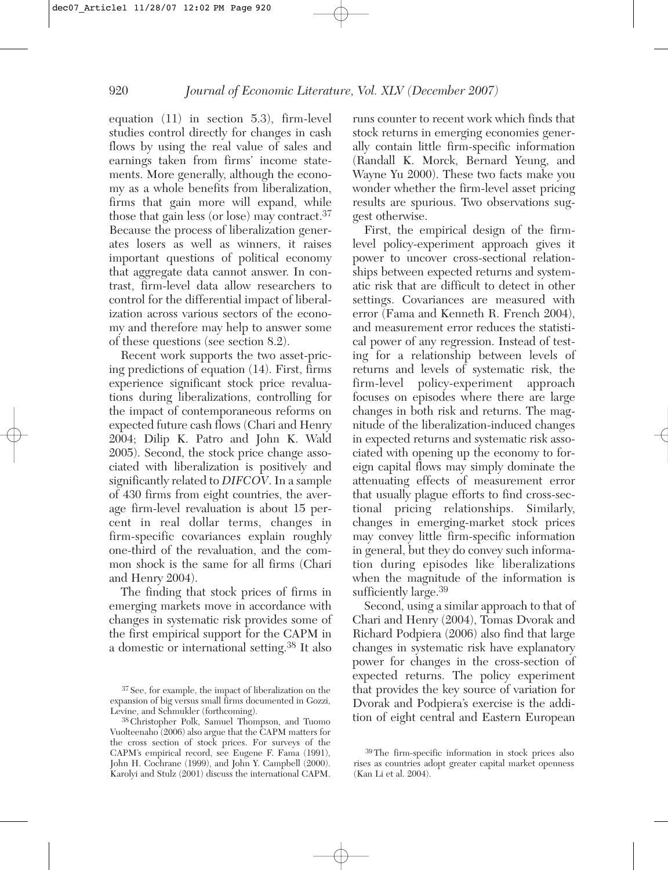equation (11) in section 5.3), firm-level studies control directly for changes in cash flows by using the real value of sales and earnings taken from firms' income statements. More generally, although the economy as a whole benefits from liberalization, firms that gain more will expand, while those that gain less (or lose) may contract.<sup>37</sup> Because the process of liberalization generates losers as well as winners, it raises important questions of political economy that aggregate data cannot answer. In contrast, firm-level data allow researchers to control for the differential impact of liberalization across various sectors of the economy and therefore may help to answer some of these questions (see section 8.2).

Recent work supports the two asset-pricing predictions of equation (14). First, firms experience significant stock price revaluations during liberalizations, controlling for the impact of contemporaneous reforms on expected future cash flows (Chari and Henry 2004; Dilip K. Patro and John K. Wald 2005). Second, the stock price change associated with liberalization is positively and significantly related to *DIFCOV*. In a sample of 430 firms from eight countries, the average firm-level revaluation is about 15 percent in real dollar terms, changes in firm-specific covariances explain roughly one-third of the revaluation, and the common shock is the same for all firms (Chari and Henry 2004).

The finding that stock prices of firms in emerging markets move in accordance with changes in systematic risk provides some of the first empirical support for the CAPM in a domestic or international setting.38 It also

runs counter to recent work which finds that stock returns in emerging economies generally contain little firm-specific information (Randall K. Morck, Bernard Yeung, and Wayne Yu 2000). These two facts make you wonder whether the firm-level asset pricing results are spurious. Two observations suggest otherwise.

First, the empirical design of the firmlevel policy-experiment approach gives it power to uncover cross-sectional relationships between expected returns and systematic risk that are difficult to detect in other settings. Covariances are measured with error (Fama and Kenneth R. French 2004), and measurement error reduces the statistical power of any regression. Instead of testing for a relationship between levels of returns and levels of systematic risk, the firm-level policy-experiment approach focuses on episodes where there are large changes in both risk and returns. The magnitude of the liberalization-induced changes in expected returns and systematic risk associated with opening up the economy to foreign capital flows may simply dominate the attenuating effects of measurement error that usually plague efforts to find cross-sectional pricing relationships. Similarly, changes in emerging-market stock prices may convey little firm-specific information in general, but they do convey such information during episodes like liberalizations when the magnitude of the information is sufficiently large.<sup>39</sup>

Second, using a similar approach to that of Chari and Henry (2004), Tomas Dvorak and Richard Podpiera (2006) also find that large changes in systematic risk have explanatory power for changes in the cross-section of expected returns. The policy experiment that provides the key source of variation for Dvorak and Podpiera's exercise is the addition of eight central and Eastern European

<sup>37</sup> See, for example, the impact of liberalization on the expansion of big versus small firms documented in Gozzi, Levine, and Schmukler (forthcoming).

<sup>38</sup> Christopher Polk, Samuel Thompson, and Tuomo Vuolteenaho (2006) also argue that the CAPM matters for the cross section of stock prices. For surveys of the CAPM's empirical record, see Eugene F. Fama (1991), John H. Cochrane (1999), and John Y. Campbell (2000). Karolyi and Stulz (2001) discuss the international CAPM.

<sup>39</sup>The firm-specific information in stock prices also rises as countries adopt greater capital market openness (Kan Li et al. 2004).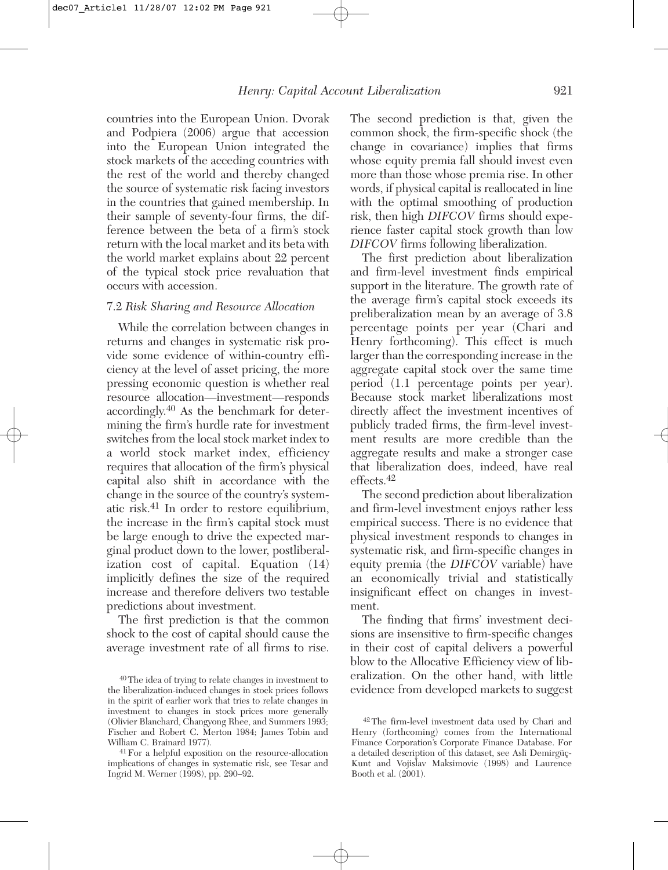countries into the European Union. Dvorak and Podpiera (2006) argue that accession into the European Union integrated the stock markets of the acceding countries with the rest of the world and thereby changed the source of systematic risk facing investors in the countries that gained membership. In their sample of seventy-four firms, the difference between the beta of a firm's stock return with the local market and its beta with the world market explains about 22 percent of the typical stock price revaluation that occurs with accession.

#### 7.2 *Risk Sharing and Resource Allocation*

While the correlation between changes in returns and changes in systematic risk provide some evidence of within-country efficiency at the level of asset pricing, the more pressing economic question is whether real resource allocation—investment—responds accordingly.40 As the benchmark for determining the firm's hurdle rate for investment switches from the local stock market index to a world stock market index, efficiency requires that allocation of the firm's physical capital also shift in accordance with the change in the source of the country's systematic risk.41 In order to restore equilibrium, the increase in the firm's capital stock must be large enough to drive the expected marginal product down to the lower, postliberalization cost of capital. Equation (14) implicitly defines the size of the required increase and therefore delivers two testable predictions about investment.

The first prediction is that the common shock to the cost of capital should cause the average investment rate of all firms to rise.

41For a helpful exposition on the resource-allocation implications of changes in systematic risk, see Tesar and Ingrid M. Werner (1998), pp. 290–92.

The second prediction is that, given the common shock, the firm-specific shock (the change in covariance) implies that firms whose equity premia fall should invest even more than those whose premia rise. In other words, if physical capital is reallocated in line with the optimal smoothing of production risk, then high *DIFCOV* firms should experience faster capital stock growth than low *DIFCOV* firms following liberalization.

The first prediction about liberalization and firm-level investment finds empirical support in the literature. The growth rate of the average firm's capital stock exceeds its preliberalization mean by an average of 3.8 percentage points per year (Chari and Henry forthcoming). This effect is much larger than the corresponding increase in the aggregate capital stock over the same time period (1.1 percentage points per year). Because stock market liberalizations most directly affect the investment incentives of publicly traded firms, the firm-level investment results are more credible than the aggregate results and make a stronger case that liberalization does, indeed, have real effects.<sup>42</sup>

The second prediction about liberalization and firm-level investment enjoys rather less empirical success. There is no evidence that physical investment responds to changes in systematic risk, and firm-specific changes in equity premia (the *DIFCOV* variable) have an economically trivial and statistically insignificant effect on changes in investment.

The finding that firms' investment decisions are insensitive to firm-specific changes in their cost of capital delivers a powerful blow to the Allocative Efficiency view of liberalization. On the other hand, with little evidence from developed markets to suggest

<sup>40</sup>The idea of trying to relate changes in investment to the liberalization-induced changes in stock prices follows in the spirit of earlier work that tries to relate changes in investment to changes in stock prices more generally (Olivier Blanchard, Changyong Rhee, and Summers 1993; Fischer and Robert C. Merton 1984; James Tobin and William C. Brainard 1977).

<sup>42</sup>The firm-level investment data used by Chari and Henry (forthcoming) comes from the International Finance Corporation's Corporate Finance Database. For a detailed description of this dataset, see Asli Demirgüç-Kunt and Vojislav Maksimovic (1998) and Laurence Booth et al. (2001).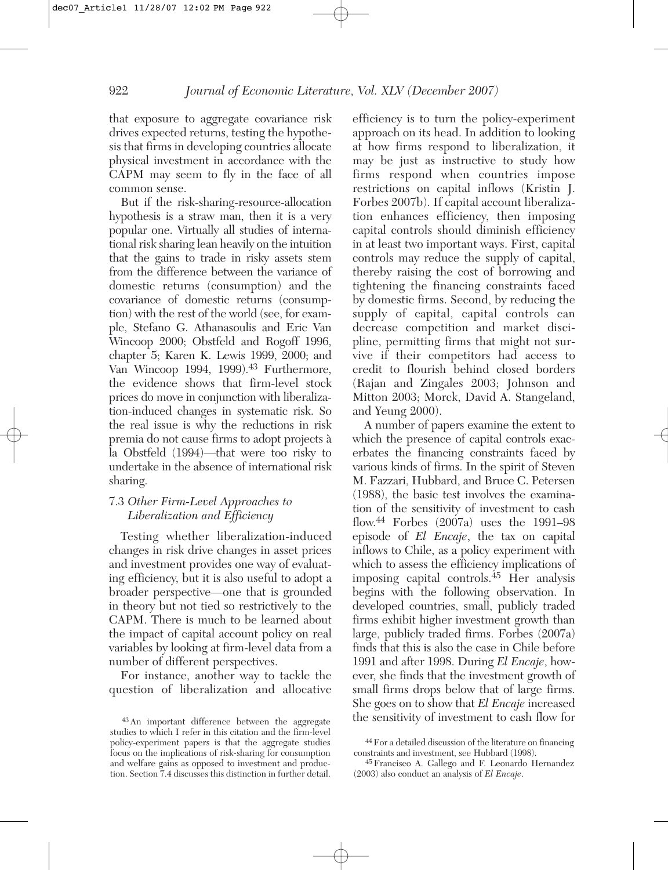that exposure to aggregate covariance risk drives expected returns, testing the hypothesis that firms in developing countries allocate physical investment in accordance with the CAPM may seem to fly in the face of all common sense.

But if the risk-sharing-resource-allocation hypothesis is a straw man, then it is a very popular one. Virtually all studies of international risk sharing lean heavily on the intuition that the gains to trade in risky assets stem from the difference between the variance of domestic returns (consumption) and the covariance of domestic returns (consumption) with the rest of the world (see, for example, Stefano G. Athanasoulis and Eric Van Wincoop 2000; Obstfeld and Rogoff 1996, chapter 5; Karen K. Lewis 1999, 2000; and Van Wincoop 1994, 1999).<sup>43</sup> Furthermore, the evidence shows that firm-level stock prices do move in conjunction with liberalization-induced changes in systematic risk. So the real issue is why the reductions in risk premia do not cause firms to adopt projects à la Obstfeld (1994)—that were too risky to undertake in the absence of international risk sharing.

## 7.3 *Other Firm-Level Approaches to Liberalization and Efficiency*

Testing whether liberalization-induced changes in risk drive changes in asset prices and investment provides one way of evaluating efficiency, but it is also useful to adopt a broader perspective—one that is grounded in theory but not tied so restrictively to the CAPM. There is much to be learned about the impact of capital account policy on real variables by looking at firm-level data from a number of different perspectives.

For instance, another way to tackle the question of liberalization and allocative efficiency is to turn the policy-experiment approach on its head. In addition to looking at how firms respond to liberalization, it may be just as instructive to study how firms respond when countries impose restrictions on capital inflows (Kristin J. Forbes 2007b). If capital account liberalization enhances efficiency, then imposing capital controls should diminish efficiency in at least two important ways. First, capital controls may reduce the supply of capital, thereby raising the cost of borrowing and tightening the financing constraints faced by domestic firms. Second, by reducing the supply of capital, capital controls can decrease competition and market discipline, permitting firms that might not survive if their competitors had access to credit to flourish behind closed borders (Rajan and Zingales 2003; Johnson and Mitton 2003; Morck, David A. Stangeland, and Yeung 2000).

A number of papers examine the extent to which the presence of capital controls exacerbates the financing constraints faced by various kinds of firms. In the spirit of Steven M. Fazzari, Hubbard, and Bruce C. Petersen (1988), the basic test involves the examination of the sensitivity of investment to cash flow.44 Forbes (2007a) uses the 1991–98 episode of *El Encaje*, the tax on capital inflows to Chile, as a policy experiment with which to assess the efficiency implications of imposing capital controls.<sup>45</sup> Her analysis begins with the following observation. In developed countries, small, publicly traded firms exhibit higher investment growth than large, publicly traded firms. Forbes (2007a) finds that this is also the case in Chile before 1991 and after 1998. During *El Encaje*, however, she finds that the investment growth of small firms drops below that of large firms. She goes on to show that *El Encaje* increased the sensitivity of investment to cash flow for

<sup>43</sup>An important difference between the aggregate studies to which I refer in this citation and the firm-level policy-experiment papers is that the aggregate studies focus on the implications of risk-sharing for consumption and welfare gains as opposed to investment and production. Section 7.4 discusses this distinction in further detail.

<sup>44</sup>For a detailed discussion of the literature on financing constraints and investment, see Hubbard (1998).

<sup>45</sup>Francisco A. Gallego and F. Leonardo Hernandez (2003) also conduct an analysis of *El Encaje*.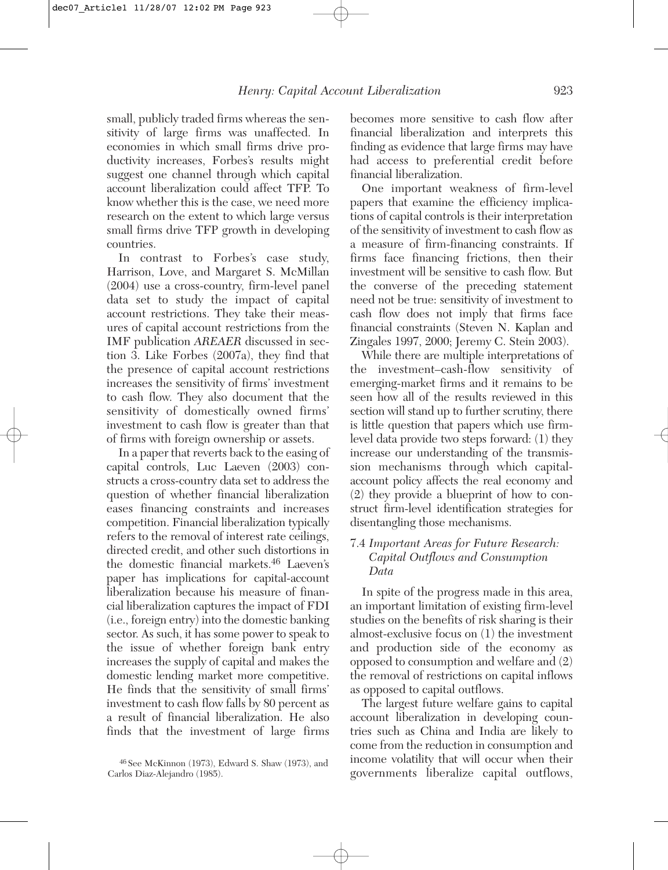small, publicly traded firms whereas the sensitivity of large firms was unaffected. In economies in which small firms drive productivity increases, Forbes's results might suggest one channel through which capital account liberalization could affect TFP. To know whether this is the case, we need more research on the extent to which large versus small firms drive TFP growth in developing countries.

In contrast to Forbes's case study, Harrison, Love, and Margaret S. McMillan (2004) use a cross-country, firm-level panel data set to study the impact of capital account restrictions. They take their measures of capital account restrictions from the IMF publication *AREAER* discussed in section 3. Like Forbes (2007a), they find that the presence of capital account restrictions increases the sensitivity of firms' investment to cash flow. They also document that the sensitivity of domestically owned firms' investment to cash flow is greater than that of firms with foreign ownership or assets.

In a paper that reverts back to the easing of capital controls, Luc Laeven (2003) constructs a cross-country data set to address the question of whether financial liberalization eases financing constraints and increases competition. Financial liberalization typically refers to the removal of interest rate ceilings, directed credit, and other such distortions in the domestic financial markets.46 Laeven's paper has implications for capital-account liberalization because his measure of financial liberalization captures the impact of FDI (i.e., foreign entry) into the domestic banking sector. As such, it has some power to speak to the issue of whether foreign bank entry increases the supply of capital and makes the domestic lending market more competitive. He finds that the sensitivity of small firms' investment to cash flow falls by 80 percent as a result of financial liberalization. He also finds that the investment of large firms

becomes more sensitive to cash flow after financial liberalization and interprets this finding as evidence that large firms may have had access to preferential credit before financial liberalization.

One important weakness of firm-level papers that examine the efficiency implications of capital controls is their interpretation of the sensitivity of investment to cash flow as a measure of firm-financing constraints. If firms face financing frictions, then their investment will be sensitive to cash flow. But the converse of the preceding statement need not be true: sensitivity of investment to cash flow does not imply that firms face financial constraints (Steven N. Kaplan and Zingales 1997, 2000; Jeremy C. Stein 2003).

While there are multiple interpretations of the investment–cash-flow sensitivity of emerging-market firms and it remains to be seen how all of the results reviewed in this section will stand up to further scrutiny, there is little question that papers which use firmlevel data provide two steps forward: (1) they increase our understanding of the transmission mechanisms through which capitalaccount policy affects the real economy and (2) they provide a blueprint of how to construct firm-level identification strategies for disentangling those mechanisms.

#### 7.4 *Important Areas for Future Research: Capital Outflows and Consumption Data*

In spite of the progress made in this area, an important limitation of existing firm-level studies on the benefits of risk sharing is their almost-exclusive focus on (1) the investment and production side of the economy as opposed to consumption and welfare and (2) the removal of restrictions on capital inflows as opposed to capital outflows.

The largest future welfare gains to capital account liberalization in developing countries such as China and India are likely to come from the reduction in consumption and income volatility that will occur when their governments liberalize capital outflows,

<sup>46</sup> See McKinnon (1973), Edward S. Shaw (1973), and Carlos Diaz-Alejandro (1985).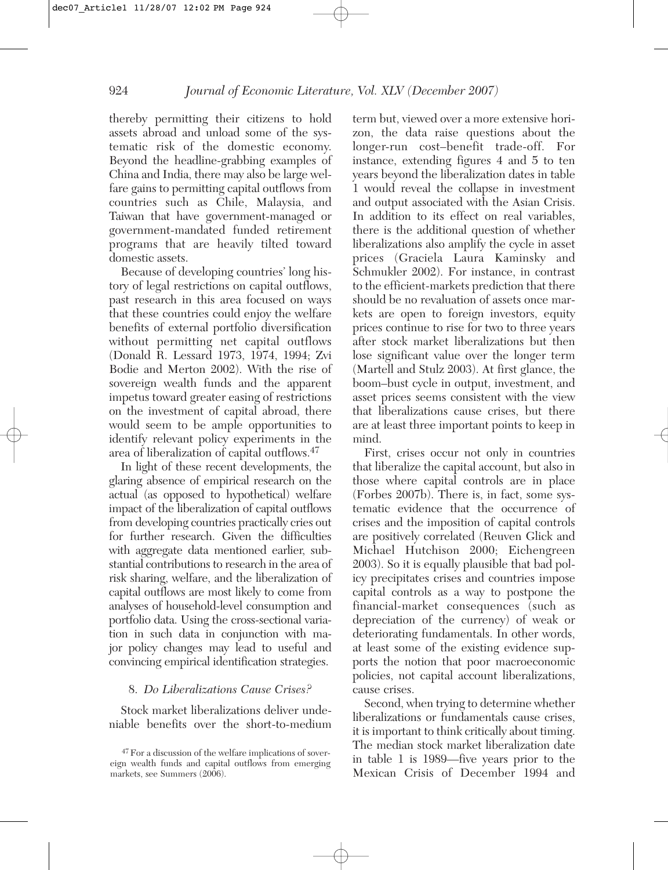thereby permitting their citizens to hold assets abroad and unload some of the systematic risk of the domestic economy. Beyond the headline-grabbing examples of China and India, there may also be large welfare gains to permitting capital outflows from countries such as Chile, Malaysia, and Taiwan that have government-managed or government-mandated funded retirement programs that are heavily tilted toward domestic assets.

Because of developing countries' long history of legal restrictions on capital outflows, past research in this area focused on ways that these countries could enjoy the welfare benefits of external portfolio diversification without permitting net capital outflows (Donald R. Lessard 1973, 1974, 1994; Zvi Bodie and Merton 2002). With the rise of sovereign wealth funds and the apparent impetus toward greater easing of restrictions on the investment of capital abroad, there would seem to be ample opportunities to identify relevant policy experiments in the area of liberalization of capital outflows.47

In light of these recent developments, the glaring absence of empirical research on the actual (as opposed to hypothetical) welfare impact of the liberalization of capital outflows from developing countries practically cries out for further research. Given the difficulties with aggregate data mentioned earlier, substantial contributions to research in the area of risk sharing, welfare, and the liberalization of capital outflows are most likely to come from analyses of household-level consumption and portfolio data. Using the cross-sectional variation in such data in conjunction with major policy changes may lead to useful and convincing empirical identification strategies.

## 8. *Do Liberalizations Cause Crises?*

Stock market liberalizations deliver undeniable benefits over the short-to-medium term but, viewed over a more extensive horizon, the data raise questions about the longer-run cost–benefit trade-off. For instance, extending figures 4 and 5 to ten years beyond the liberalization dates in table 1 would reveal the collapse in investment and output associated with the Asian Crisis. In addition to its effect on real variables, there is the additional question of whether liberalizations also amplify the cycle in asset prices (Graciela Laura Kaminsky and Schmukler 2002). For instance, in contrast to the efficient-markets prediction that there should be no revaluation of assets once markets are open to foreign investors, equity prices continue to rise for two to three years after stock market liberalizations but then lose significant value over the longer term (Martell and Stulz 2003). At first glance, the boom–bust cycle in output, investment, and asset prices seems consistent with the view that liberalizations cause crises, but there are at least three important points to keep in mind.

First, crises occur not only in countries that liberalize the capital account, but also in those where capital controls are in place (Forbes 2007b). There is, in fact, some systematic evidence that the occurrence of crises and the imposition of capital controls are positively correlated (Reuven Glick and Michael Hutchison 2000; Eichengreen 2003). So it is equally plausible that bad policy precipitates crises and countries impose capital controls as a way to postpone the financial-market consequences (such as depreciation of the currency) of weak or deteriorating fundamentals. In other words, at least some of the existing evidence supports the notion that poor macroeconomic policies, not capital account liberalizations, cause crises.

Second, when trying to determine whether liberalizations or fundamentals cause crises, it is important to think critically about timing. The median stock market liberalization date in table 1 is 1989—five years prior to the Mexican Crisis of December 1994 and

<sup>47</sup>For a discussion of the welfare implications of sovereign wealth funds and capital outflows from emerging markets, see Summers  $(2006)$ .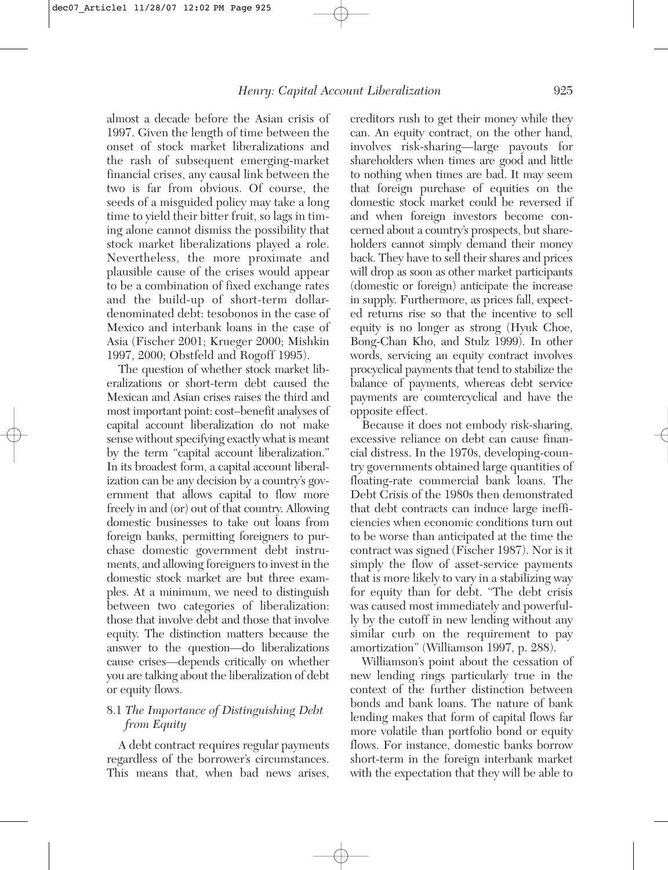almost a decade before the Asian crisis of 1997. Given the length of time between the onset of stock market liberalizations and the rash of subsequent emerging-market financial crises, any causal link between the two is far from obvious. Of course, the seeds of a misguided policy may take a long time to yield their bitter fruit, so lags in timing alone cannot dismiss the possibility that stock market liberalizations played a role. Nevertheless, the more proximate and plausible cause of the crises would appear to be a combination of fixed exchange rates and the build-up of short-term dollardenominated debt: tesobonos in the case of Mexico and interbank loans in the case of Asia (Fischer 2001; Krueger 2000; Mishkin 1997, 2000; Obstfeld and Rogoff 1995).

The question of whether stock market liberalizations or short-term debt caused the Mexican and Asian crises raises the third and most important point: cost–benefit analyses of capital account liberalization do not make sense without specifying exactly what is meant by the term "capital account liberalization." In its broadest form, a capital account liberalization can be any decision by a country's government that allows capital to flow more freely in and (or) out of that country. Allowing domestic businesses to take out loans from foreign banks, permitting foreigners to purchase domestic government debt instruments, and allowing foreigners to invest in the domestic stock market are but three examples. At a minimum, we need to distinguish between two categories of liberalization: those that involve debt and those that involve equity. The distinction matters because the answer to the question—do liberalizations cause crises—depends critically on whether you are talking about the liberalization of debt or equity flows.

## 8.1 *The Importance of Distinguishing Debt from Equity*

A debt contract requires regular payments regardless of the borrower's circumstances. This means that, when bad news arises,

creditors rush to get their money while they can. An equity contract, on the other hand, involves risk-sharing—large payouts for shareholders when times are good and little to nothing when times are bad. It may seem that foreign purchase of equities on the domestic stock market could be reversed if and when foreign investors become concerned about a country's prospects, but shareholders cannot simply demand their money back. They have to sell their shares and prices will drop as soon as other market participants (domestic or foreign) anticipate the increase in supply. Furthermore, as prices fall, expected returns rise so that the incentive to sell equity is no longer as strong (Hyuk Choe, Bong-Chan Kho, and Stulz 1999). In other words, servicing an equity contract involves procyclical payments that tend to stabilize the balance of payments, whereas debt service payments are countercyclical and have the opposite effect.

Because it does not embody risk-sharing, excessive reliance on debt can cause financial distress. In the 1970s, developing-country governments obtained large quantities of floating-rate commercial bank loans. The Debt Crisis of the 1980s then demonstrated that debt contracts can induce large inefficiencies when economic conditions turn out to be worse than anticipated at the time the contract was signed (Fischer 1987). Nor is it simply the flow of asset-service payments that is more likely to vary in a stabilizing way for equity than for debt. "The debt crisis was caused most immediately and powerfully by the cutoff in new lending without any similar curb on the requirement to pay amortization" (Williamson 1997, p. 288).

Williamson's point about the cessation of new lending rings particularly true in the context of the further distinction between bonds and bank loans. The nature of bank lending makes that form of capital flows far more volatile than portfolio bond or equity flows. For instance, domestic banks borrow short-term in the foreign interbank market with the expectation that they will be able to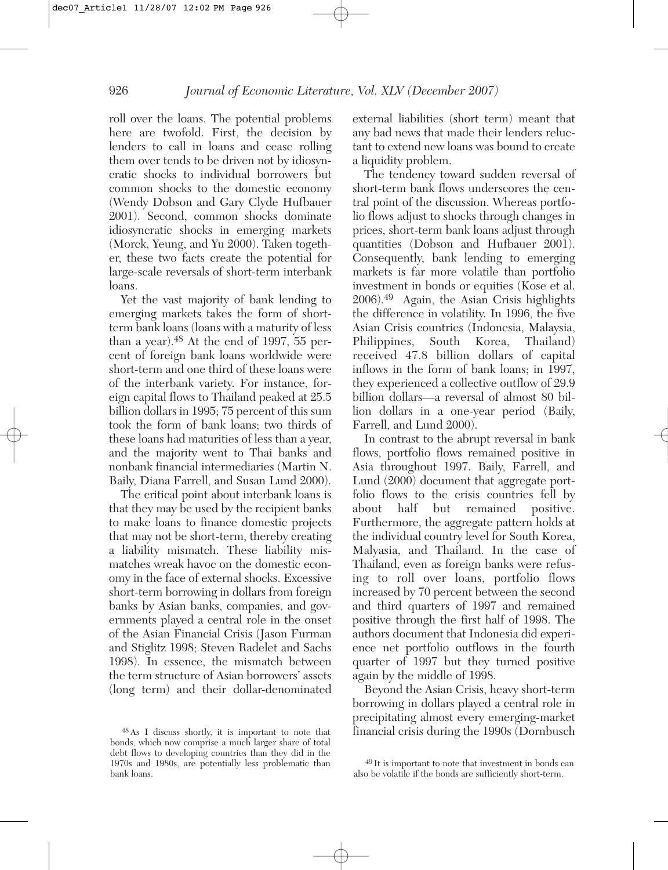roll over the loans. The potential problems here are twofold. First, the decision by lenders to call in loans and cease rolling them over tends to be driven not by idiosyncratic shocks to individual borrowers but common shocks to the domestic economy (Wendy Dobson and Gary Clyde Hufbauer 2001). Second, common shocks dominate idiosyncratic shocks in emerging markets (Morck, Yeung, and Yu 2000). Taken together, these two facts create the potential for large-scale reversals of short-term interbank loans.

Yet the vast majority of bank lending to emerging markets takes the form of shortterm bank loans (loans with a maturity of less than a year).<sup>48</sup> At the end of 1997, 55 percent of foreign bank loans worldwide were short-term and one third of these loans were of the interbank variety. For instance, foreign capital flows to Thailand peaked at 25.5 billion dollars in 1995; 75 percent of this sum took the form of bank loans; two thirds of these loans had maturities of less than a year, and the majority went to Thai banks and nonbank financial intermediaries (Martin N. Baily, Diana Farrell, and Susan Lund 2000).

The critical point about interbank loans is that they may be used by the recipient banks to make loans to finance domestic projects that may not be short-term, thereby creating a liability mismatch. These liability mismatches wreak havoc on the domestic economy in the face of external shocks. Excessive short-term borrowing in dollars from foreign banks by Asian banks, companies, and governments played a central role in the onset of the Asian Financial Crisis (Jason Furman and Stiglitz 1998; Steven Radelet and Sachs 1998). In essence, the mismatch between the term structure of Asian borrowers' assets (long term) and their dollar-denominated

48As I discuss shortly, it is important to note that bonds, which now comprise a much larger share of total debt flows to developing countries than they did in the 1970s and 1980s, are potentially less problematic than bank loans.

external liabilities (short term) meant that any bad news that made their lenders reluctant to extend new loans was bound to create a liquidity problem.

The tendency toward sudden reversal of short-term bank flows underscores the central point of the discussion. Whereas portfolio flows adjust to shocks through changes in prices, short-term bank loans adjust through quantities (Dobson and Hufbauer 2001). Consequently, bank lending to emerging markets is far more volatile than portfolio investment in bonds or equities (Kose et al. 2006).49 Again, the Asian Crisis highlights the difference in volatility. In 1996, the five Asian Crisis countries (Indonesia, Malaysia, Philippines, South Korea, Thailand) received 47.8 billion dollars of capital inflows in the form of bank loans; in 1997, they experienced a collective outflow of 29.9 billion dollars—a reversal of almost 80 billion dollars in a one-year period (Baily, Farrell, and Lund 2000).

In contrast to the abrupt reversal in bank flows, portfolio flows remained positive in Asia throughout 1997. Baily, Farrell, and Lund (2000) document that aggregate portfolio flows to the crisis countries fell by about half but remained positive. Furthermore, the aggregate pattern holds at the individual country level for South Korea, Malyasia, and Thailand. In the case of Thailand, even as foreign banks were refusing to roll over loans, portfolio flows increased by 70 percent between the second and third quarters of 1997 and remained positive through the first half of 1998. The authors document that Indonesia did experience net portfolio outflows in the fourth quarter of 1997 but they turned positive again by the middle of 1998.

Beyond the Asian Crisis, heavy short-term borrowing in dollars played a central role in precipitating almost every emerging-market financial crisis during the 1990s (Dornbusch

<sup>49</sup> It is important to note that investment in bonds can also be volatile if the bonds are sufficiently short-term.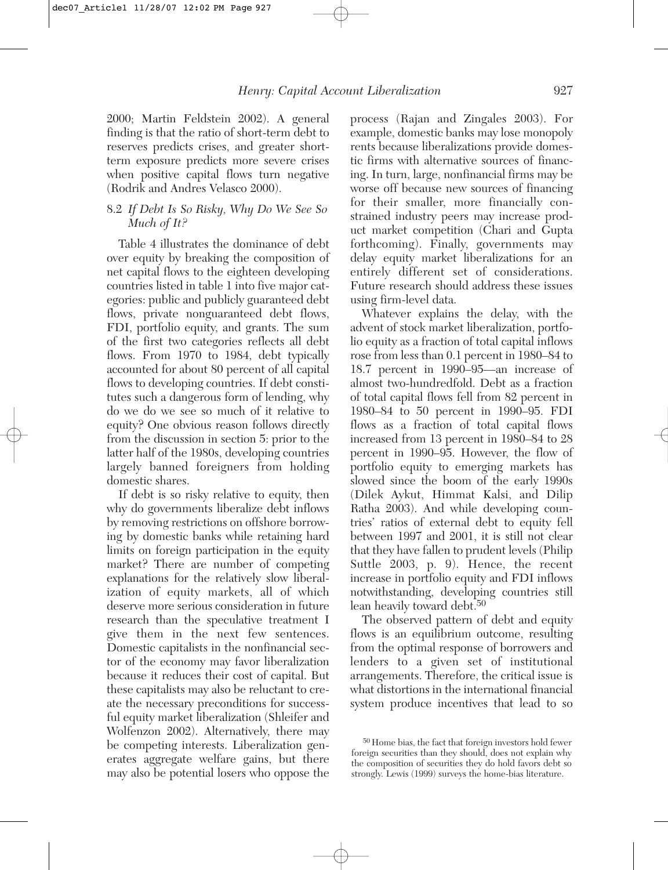2000; Martin Feldstein 2002). A general finding is that the ratio of short-term debt to reserves predicts crises, and greater shortterm exposure predicts more severe crises when positive capital flows turn negative (Rodrik and Andres Velasco 2000).

#### 8.2 *If Debt Is So Risky, Why Do We See So Much of It?*

Table 4 illustrates the dominance of debt over equity by breaking the composition of net capital flows to the eighteen developing countries listed in table 1 into five major categories: public and publicly guaranteed debt flows, private nonguaranteed debt flows, FDI, portfolio equity, and grants. The sum of the first two categories reflects all debt flows. From 1970 to 1984, debt typically accounted for about 80 percent of all capital flows to developing countries. If debt constitutes such a dangerous form of lending, why do we do we see so much of it relative to equity? One obvious reason follows directly from the discussion in section 5: prior to the latter half of the 1980s, developing countries largely banned foreigners from holding domestic shares.

If debt is so risky relative to equity, then why do governments liberalize debt inflows by removing restrictions on offshore borrowing by domestic banks while retaining hard limits on foreign participation in the equity market? There are number of competing explanations for the relatively slow liberalization of equity markets, all of which deserve more serious consideration in future research than the speculative treatment I give them in the next few sentences. Domestic capitalists in the nonfinancial sector of the economy may favor liberalization because it reduces their cost of capital. But these capitalists may also be reluctant to create the necessary preconditions for successful equity market liberalization (Shleifer and Wolfenzon 2002). Alternatively, there may be competing interests. Liberalization generates aggregate welfare gains, but there may also be potential losers who oppose the

process (Rajan and Zingales 2003). For example, domestic banks may lose monopoly rents because liberalizations provide domestic firms with alternative sources of financing. In turn, large, nonfinancial firms may be worse off because new sources of financing for their smaller, more financially constrained industry peers may increase product market competition (Chari and Gupta forthcoming). Finally, governments may delay equity market liberalizations for an entirely different set of considerations. Future research should address these issues using firm-level data.

Whatever explains the delay, with the advent of stock market liberalization, portfolio equity as a fraction of total capital inflows rose from less than 0.1 percent in 1980–84 to 18.7 percent in 1990–95—an increase of almost two-hundredfold. Debt as a fraction of total capital flows fell from 82 percent in 1980–84 to 50 percent in 1990–95. FDI flows as a fraction of total capital flows increased from 13 percent in 1980–84 to 28 percent in 1990–95. However, the flow of portfolio equity to emerging markets has slowed since the boom of the early 1990s (Dilek Aykut, Himmat Kalsi, and Dilip Ratha 2003). And while developing countries' ratios of external debt to equity fell between 1997 and 2001, it is still not clear that they have fallen to prudent levels (Philip Suttle 2003, p. 9). Hence, the recent increase in portfolio equity and FDI inflows notwithstanding, developing countries still lean heavily toward debt.<sup>50</sup>

The observed pattern of debt and equity flows is an equilibrium outcome, resulting from the optimal response of borrowers and lenders to a given set of institutional arrangements. Therefore, the critical issue is what distortions in the international financial system produce incentives that lead to so

<sup>50</sup> Home bias, the fact that foreign investors hold fewer foreign securities than they should, does not explain why the composition of securities they do hold favors debt so strongly. Lewis (1999) surveys the home-bias literature.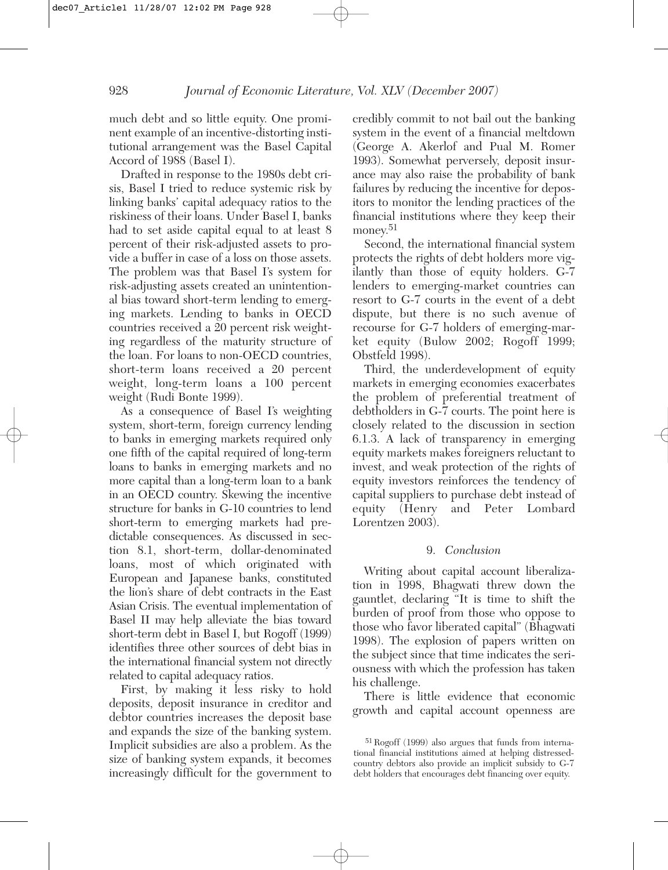much debt and so little equity. One prominent example of an incentive-distorting institutional arrangement was the Basel Capital Accord of 1988 (Basel I).

Drafted in response to the 1980s debt crisis, Basel I tried to reduce systemic risk by linking banks' capital adequacy ratios to the riskiness of their loans. Under Basel I, banks had to set aside capital equal to at least 8 percent of their risk-adjusted assets to provide a buffer in case of a loss on those assets. The problem was that Basel I's system for risk-adjusting assets created an unintentional bias toward short-term lending to emerging markets. Lending to banks in OECD countries received a 20 percent risk weighting regardless of the maturity structure of the loan. For loans to non-OECD countries, short-term loans received a 20 percent weight, long-term loans a 100 percent weight (Rudi Bonte 1999).

As a consequence of Basel I's weighting system, short-term, foreign currency lending to banks in emerging markets required only one fifth of the capital required of long-term loans to banks in emerging markets and no more capital than a long-term loan to a bank in an OECD country. Skewing the incentive structure for banks in G-10 countries to lend short-term to emerging markets had predictable consequences. As discussed in section 8.1, short-term, dollar-denominated loans, most of which originated with European and Japanese banks, constituted the lion's share of debt contracts in the East Asian Crisis. The eventual implementation of Basel II may help alleviate the bias toward short-term debt in Basel I, but Rogoff (1999) identifies three other sources of debt bias in the international financial system not directly related to capital adequacy ratios.

First, by making it less risky to hold deposits, deposit insurance in creditor and debtor countries increases the deposit base and expands the size of the banking system. Implicit subsidies are also a problem. As the size of banking system expands, it becomes increasingly difficult for the government to credibly commit to not bail out the banking system in the event of a financial meltdown (George A. Akerlof and Pual M. Romer 1993). Somewhat perversely, deposit insurance may also raise the probability of bank failures by reducing the incentive for depositors to monitor the lending practices of the financial institutions where they keep their money.<sup>51</sup>

Second, the international financial system protects the rights of debt holders more vigilantly than those of equity holders. G-7 lenders to emerging-market countries can resort to G-7 courts in the event of a debt dispute, but there is no such avenue of recourse for G-7 holders of emerging-market equity (Bulow 2002; Rogoff 1999; Obstfeld 1998).

Third, the underdevelopment of equity markets in emerging economies exacerbates the problem of preferential treatment of debtholders in G-7 courts. The point here is closely related to the discussion in section 6.1.3. A lack of transparency in emerging equity markets makes foreigners reluctant to invest, and weak protection of the rights of equity investors reinforces the tendency of capital suppliers to purchase debt instead of equity (Henry and Peter Lombard Lorentzen 2003).

#### 9. *Conclusion*

Writing about capital account liberalization in 1998, Bhagwati threw down the gauntlet, declaring "It is time to shift the burden of proof from those who oppose to those who favor liberated capital" (Bhagwati 1998). The explosion of papers written on the subject since that time indicates the seriousness with which the profession has taken his challenge.

There is little evidence that economic growth and capital account openness are

<sup>51</sup>Rogoff (1999) also argues that funds from international financial institutions aimed at helping distressedcountry debtors also provide an implicit subsidy to G-7 debt holders that encourages debt financing over equity.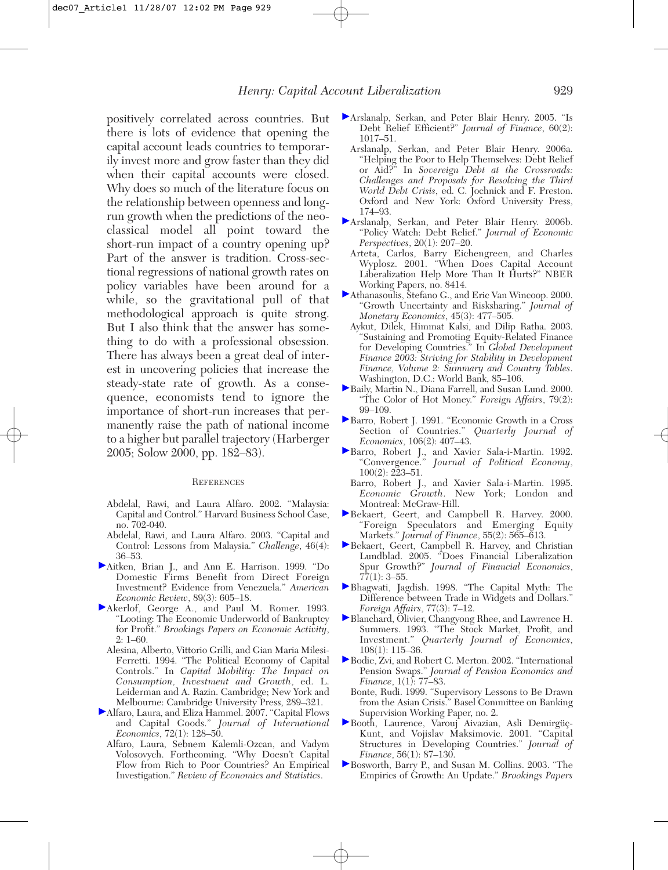positively correlated across countries. But there is lots of evidence that opening the capital account leads countries to temporarily invest more and grow faster than they did when their capital accounts were closed. Why does so much of the literature focus on the relationship between openness and longrun growth when the predictions of the neoclassical model all point toward the short-run impact of a country opening up? Part of the answer is tradition. Cross-sectional regressions of national growth rates on policy variables have been around for a while, so the gravitational pull of that methodological approach is quite strong. But I also think that the answer has something to do with a professional obsession. There has always been a great deal of interest in uncovering policies that increase the steady-state rate of growth. As a consequence, economists tend to ignore the importance of short-run increases that permanently raise the path of national income to a higher but parallel trajectory (Harberger 2005; Solow 2000, pp. 182–83).

#### **REFERENCES**

- Abdelal, Rawi, and Laura Alfaro. 2002. "Malaysia: Capital and Control." Harvard Business School Case, no. 702-040.
- Abdelal, Rawi, and Laura Alfaro. 2003. "Capital and Control: Lessons from Malaysia." *Challenge*, 46(4): 36–53.
- Aitken, Brian J., and Ann E. Harrison. 1999. "Do Domestic Firms Benefit from Direct Foreign Investment? Evidence from Venezuela." *American Economic Review*, 89(3): 605–18.
- Akerlof, George A., and Paul M. Romer. 1993. "Looting: The Economic Underworld of Bankruptcy for Profit." *Brookings Papers on Economic Activity*, 2: 1–60.
	- Alesina, Alberto, Vittorio Grilli, and Gian Maria Milesi-Ferretti. 1994. "The Political Economy of Capital Controls." In *Capital Mobility: The Impact on Consumption, Investment and Growth*, ed. L. Leiderman and A. Razin. Cambridge; New York and Melbourne: Cambridge University Press, 289–321.
- Alfaro, Laura, and Eliza Hammel. 2007. "Capital Flows and Capital Goods." *Journal of International Economics*, 72(1): 128–50.
- Alfaro, Laura, Sebnem Kalemli-Ozcan, and Vadym Volosovych. Forthcoming. "Why Doesn't Capital Flow from Rich to Poor Countries? An Empirical Investigation." *Review of Economics and Statistics*.
- Arslanalp, Serkan, and Peter Blair Henry. 2005. "Is Debt Relief Efficient?" *Journal of Finance*, 60(2): 1017–51.
	- Arslanalp, Serkan, and Peter Blair Henry. 2006a. "Helping the Poor to Help Themselves: Debt Relief or Aid?" In *Sovereign Debt at the Crossroads: Challenges and Proposals for Resolving the Third World Debt Crisis*, ed. C. Jochnick and F. Preston. Oxford and New York: Oxford University Press, 174–93.
- Arslanalp, Serkan, and Peter Blair Henry. 2006b. "Policy Watch: Debt Relief." *Journal of Economic Perspectives*, 20(1): 207–20.
	- Arteta, Carlos, Barry Eichengreen, and Charles Wyplosz. 2001. "When Does Capital Account Liberalization Help More Than It Hurts?" NBER Working Papers, no. 8414.
- Athanasoulis, Stefano G., and Eric Van Wincoop. 2000. "Growth Uncertainty and Risksharing." *Journal of Monetary Economics*, 45(3): 477–505.
	- Aykut, Dilek, Himmat Kalsi, and Dilip Ratha. 2003. "Sustaining and Promoting Equity-Related Finance for Developing Countries." In *Global Development Finance 2003: Striving for Stability in Development Finance, Volume 2: Summary and Country Tables*. Washington, D.C.: World Bank, 85–106.
- Baily, Martin N., Diana Farrell, and Susan Lund. 2000. "The Color of Hot Money." *Foreign Affairs*, 79(2): 99–109.
- Barro, Robert J. 1991. "Economic Growth in a Cross Section of Countries." *Quarterly Journal of Economics*, 106(2): 407–43.
- Barro, Robert J., and Xavier Sala-i-Martin. 1992. "Convergence." *Journal of Political Economy*,  $100(2)$ : 223-51.
	- Barro, Robert J., and Xavier Sala-i-Martin. 1995. *Economic Growth*. New York; London and Montreal: McGraw-Hill.
- Bekaert, Geert, and Campbell R. Harvey. 2000. "Foreign Speculators and Emerging Equity Markets." *Journal of Finance*, 55(2): 565–613.
- Bekaert, Geert, Campbell R. Harvey, and Christian Lundblad. 2005. "Does Financial Liberalization Spur Growth?" *Journal of Financial Economics*,  $77(1): 3-55.$
- Bhagwati, Jagdish. 1998. "The Capital Myth: The Difference between Trade in Widgets and Dollars." *Foreign Affairs*, 77(3): 7–12.
- Blanchard, Olivier, Changyong Rhee, and Lawrence H. Summers. 1993. "The Stock Market, Profit, and Investment." *Quarterly Journal of Economics*, 108(1): 115–36.
- Bodie, Zvi, and Robert C. Merton. 2002. "International Pension Swaps." *Journal of Pension Economics and Finance*, 1(1): 77–83.
- Bonte, Rudi. 1999. "Supervisory Lessons to Be Drawn from the Asian Crisis." Basel Committee on Banking Supervision Working Paper, no. 2.
- Booth, Laurence, Varouj Aivazian, Asli Demirgüç-Kunt, and Vojislav Maksimovic. 2001. "Capital Structures in Developing Countries." *Journal of Finance*, 56(1): 87–130.
- Bosworth, Barry P., and Susan M. Collins. 2003. "The Empirics of Growth: An Update." *Brookings Papers*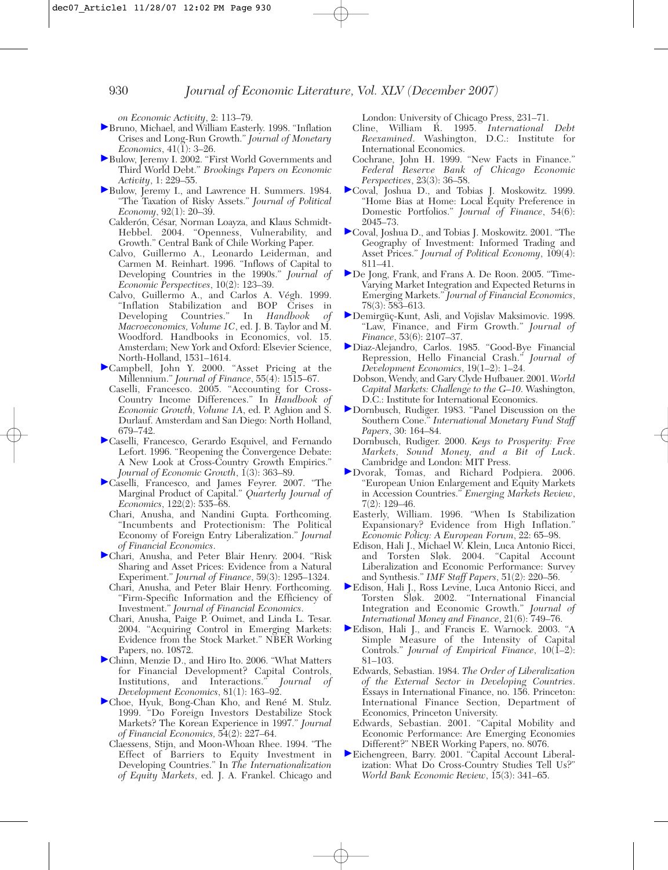*on Economic Activity*, 2: 113–79.

- Bruno, Michael, and William Easterly. 1998. "Inflation Crises and Long-Run Growth." *Journal of Monetary Economics*,  $41(\tilde{1})$ : 3–26.
- Bulow, Jeremy I. 2002. "First World Governments and Third World Debt." *Brookings Papers on Economic Activity*, 1: 229–55.
- Bulow, Jeremy I., and Lawrence H. Summers. 1984. "The Taxation of Risky Assets." *Journal of Political Economy*, 92(1): 20–39.
	- Calderón, César, Norman Loayza, and Klaus Schmidt-Hebbel. 2004. "Openness, Vulnerability, and Growth." Central Bank of Chile Working Paper.
	- Calvo, Guillermo A., Leonardo Leiderman, and Carmen M. Reinhart. 1996. "Inflows of Capital to Developing Countries in the 1990s." *Journal of Economic Perspectives*, 10(2): 123–39.
	- Calvo, Guillermo A., and Carlos A. Végh. 1999. "Inflation Stabilization and BOP Crises in Developing Countries." In *Handbook of Macroeconomics, Volume 1C*, ed. J. B. Taylor and M. Woodford. Handbooks in Economics, vol. 15. Amsterdam; New York and Oxford: Elsevier Science, North-Holland, 1531–1614.
- Campbell, John Y. 2000. "Asset Pricing at the Millennium." *Journal of Finance*, 55(4): 1515–67.
	- Caselli, Francesco. 2005. "Accounting for Cross-Country Income Differences." In *Handbook of Economic Growth, Volume 1A*, ed. P. Aghion and S. Durlauf. Amsterdam and San Diego: North Holland, 679–742.
- Caselli, Francesco, Gerardo Esquivel, and Fernando Lefort. 1996. "Reopening the Convergence Debate: A New Look at Cross-Country Growth Empirics." *Journal of Economic Growth*,  $1(3)$ : 363–89.
- Caselli, Francesco, and James Feyrer. 2007. "The Marginal Product of Capital." *Quarterly Journal of Economics*, 122(2): 535–68.
	- Chari, Anusha, and Nandini Gupta. Forthcoming. "Incumbents and Protectionism: The Political Economy of Foreign Entry Liberalization." *Journal of Financial Economics*.
- Chari, Anusha, and Peter Blair Henry. 2004. "Risk Sharing and Asset Prices: Evidence from a Natural Experiment." *Journal of Finance*, 59(3): 1295–1324.
	- Chari, Anusha, and Peter Blair Henry. Forthcoming. "Firm-Specific Information and the Efficiency of Investment." *Journal of Financial Economics*.
	- Chari, Anusha, Paige P. Ouimet, and Linda L. Tesar. 2004. "Acquiring Control in Emerging Markets: Evidence from the Stock Market." NBER Working Papers, no. 10872.
- Chinn, Menzie D., and Hiro Ito. 2006. "What Matters for Financial Development? Capital Controls, Institutions, and Interactions." *Journal of* Institutions, and Interactions." *Development Economics*, 81(1): 163–92.
- Choe, Hyuk, Bong-Chan Kho, and René M. Stulz. 1999. "Do Foreign Investors Destabilize Stock Markets? The Korean Experience in 1997." *Journal of Financial Economics,* 54(2): 227–64.
	- Claessens, Stijn, and Moon-Whoan Rhee. 1994. "The Effect of Barriers to Equity Investment in Developing Countries." In *The Internationalization of Equity Markets*, ed. J. A. Frankel. Chicago and

London: University of Chicago Press, 231–71.

- Cline, William R. 1995. *International Debt Reexamined*. Washington, D.C.: Institute for International Economics.
- Cochrane, John H. 1999. "New Facts in Finance." *Federal Reserve Bank of Chicago Economic Perspectives*, 23(3): 36–58.
- Coval, Joshua D., and Tobias J. Moskowitz. 1999. "Home Bias at Home: Local Equity Preference in Domestic Portfolios." *Journal of Finance*, 54(6): 2045–73.
- Coval, Joshua D., and Tobias J. Moskowitz. 2001. "The Geography of Investment: Informed Trading and Asset Prices." *Journal of Political Economy*,  $109(4)$ : 811–41.
- De Jong, Frank, and Frans A. De Roon. 2005. "Time-Varying Market Integration and Expected Returns in Emerging Markets." *Journal of Financial Economics*, 78(3): 583–613.
- Demirgüç-Kunt, Asli, and Vojislav Maksimovic. 1998. "Law, Finance, and Firm Growth." *Journal of Finance*, 53(6): 2107–37.
- Diaz-Alejandro, Carlos. 1985. "Good-Bye Financial Repression, Hello Financial Crash." *Journal of Development Economics*, 19(1–2): 1–24.
	- Dobson, Wendy, and Gary Clyde Hufbauer. 2001. *World Capital Markets: Challenge to the G–10*. Washington, D.C.: Institute for International Economics.
- Dornbusch, Rudiger. 1983. "Panel Discussion on the Southern Cone." *International Monetary Fund Staff Papers*, 30: 164–84.
	- Dornbusch, Rudiger. 2000. *Keys to Prosperity: Free Markets, Sound Money, and a Bit of Luck*. Cambridge and London: MIT Press.
- Dvorak, Tomas, and Richard Podpiera. 2006. "European Union Enlargement and Equity Markets in Accession Countries." *Emerging Markets Review*, 7(2): 129–46.
	- Easterly, William. 1996. "When Is Stabilization Expansionary? Evidence from High Inflation." *Economic Policy: A European Forum*, 22: 65–98.
	- Edison, Hali J., Michael W. Klein, Luca Antonio Ricci, and Torsten Sløk. 2004. "Capital Account Liberalization and Economic Performance: Survey and Synthesis." *IMF Staff Papers*, 51(2): 220–56.
- Edison, Hali J., Ross Levine, Luca Antonio Ricci, and Torsten Sløk. 2002. "International Financial Integration and Economic Growth." *Journal of International Money and Finance*, 21(6): 749–76.
- Edison, Hali J., and Francis E. Warnock. 2003. "A Simple Measure of the Intensity of Capital Controls." *Journal of Empirical Finance*,  $10(1-2)$ : 81–103.
	- Edwards, Sebastian. 1984. *The Order of Liberalization of the External Sector in Developing Countries*. Essays in International Finance, no. 156. Princeton: International Finance Section, Department of Economics, Princeton University.
	- Edwards, Sebastian. 2001. "Capital Mobility and Economic Performance: Are Emerging Economies Different?" NBER Working Papers, no. 8076.
- Eichengreen, Barry. 2001. "Capital Account Liberalization: What Do Cross-Country Studies Tell Us?" *World Bank Economic Review*, 15(3): 341–65.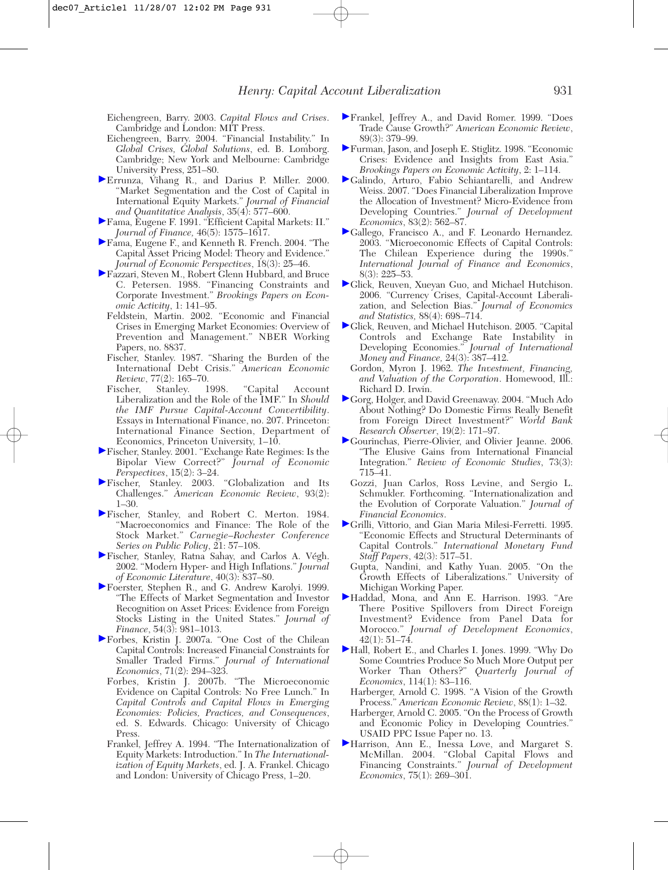- Eichengreen, Barry. 2003. *Capital Flows and Crises*. Cambridge and London: MIT Press.
- Eichengreen, Barry. 2004. "Financial Instability." In *Global Crises, Global Solutions*, ed. B. Lomborg. Cambridge; New York and Melbourne: Cambridge University Press, 251–80.
- Errunza, Vihang R., and Darius P. Miller. 2000. "Market Segmentation and the Cost of Capital in International Equity Markets." *Journal of Financial and Quantitative Analysis*, 35(4): 577–600.
- Fama, Eugene F. 1991. "Efficient Capital Markets: II." *Journal of Finance,* 46(5): 1575–1617.
- Fama, Eugene F., and Kenneth R. French. 2004. "The Capital Asset Pricing Model: Theory and Evidence." *Journal of Economic Perspectives*, 18(3): 25–46.
- Fazzari, Steven M., Robert Glenn Hubbard, and Bruce C. Petersen. 1988. "Financing Constraints and Corporate Investment." *Brookings Papers on Economic Activity*, 1: 141–95.
	- Feldstein, Martin. 2002. "Economic and Financial Crises in Emerging Market Economies: Overview of Prevention and Management." NBER Working Papers, no. 8837.
	- Fischer, Stanley. 1987. "Sharing the Burden of the International Debt Crisis." *American Economic Review*, 77(2): 165–70.<br> *ischer.* Stanley. 1998.
	- Fischer, Stanley. 1998. "Capital Account Liberalization and the Role of the IMF." In *Should the IMF Pursue Capital-Account Convertibility*. Essays in International Finance, no. 207. Princeton: International Finance Section, Department of Economics, Princeton University, 1–10.
- Fischer, Stanley. 2001. "Exchange Rate Regimes: Is the Bipolar View Correct?" *Journal of Economic Perspectives*, 15(2): 3–24.
- Fischer, Stanley. 2003. "Globalization and Its Challenges." *American Economic Review*, 93(2): 1–30.
- Fischer, Stanley, and Robert C. Merton. 1984. "Macroeconomics and Finance: The Role of the Stock Market." *Carnegie–Rochester Conference Series on Public Policy*, 21: 57–108.
- Fischer, Stanley, Ratna Sahay, and Carlos A. Végh. 2002. "Modern Hyper- and High Inflations." *Journal of Economic Literature*, 40(3): 837–80.
- Foerster, Stephen R., and G. Andrew Karolyi. 1999. "The Effects of Market Segmentation and Investor Recognition on Asset Prices: Evidence from Foreign Stocks Listing in the United States." *Journal of Finance*, 54(3): 981–1013.
- Forbes, Kristin J. 2007a. "One Cost of the Chilean Capital Controls: Increased Financial Constraints for Smaller Traded Firms." *Journal of International Economics*, 71(2): 294–323.
- Forbes, Kristin J. 2007b. "The Microeconomic Evidence on Capital Controls: No Free Lunch." In *Capital Controls and Capital Flows in Emerging Economies: Policies, Practices, and Consequences*, ed. S. Edwards. Chicago: University of Chicago Press.
- Frankel, Jeffrey A. 1994. "The Internationalization of Equity Markets: Introduction." In *The Internationalization of Equity Markets*, ed. J. A. Frankel. Chicago and London: University of Chicago Press, 1–20.
- Frankel, Jeffrey A., and David Romer. 1999. "Does Trade Cause Growth?" *American Economic Review*, 89(3): 379–99.
- Furman, Jason, and Joseph E. Stiglitz. 1998. "Economic Crises: Evidence and Insights from East Asia." *Brookings Papers on Economic Activity*, 2: 1–114.
- Galindo, Arturo, Fabio Schiantarelli, and Andrew Weiss. 2007. "Does Financial Liberalization Improve the Allocation of Investment? Micro-Evidence from Developing Countries." *Journal of Development Economics*, 83(2): 562–87.
- Gallego, Francisco A., and F. Leonardo Hernandez. 2003. "Microeconomic Effects of Capital Controls: The Chilean Experience during the 1990s." *International Journal of Finance and Economics*, 8(3): 225–53.
- Glick, Reuven, Xueyan Guo, and Michael Hutchison. 2006. "Currency Crises, Capital-Account Liberalization, and Selection Bias." *Journal of Economics and Statistics,* 88(4): 698–714.
- Glick, Reuven, and Michael Hutchison. 2005. "Capital" Controls and Exchange Rate Instability in Developing Economies." *Journal of International Money and Finance,* 24(3): 387–412.
	- Gordon, Myron J. 1962. *The Investment, Financing, and Valuation of the Corporation*. Homewood, Ill.: Richard D. Irwin.
- Gorg, Holger, and David Greenaway. 2004. "Much Ado About Nothing? Do Domestic Firms Really Benefit from Foreign Direct Investment?" *World Bank Research Observer*, 19(2): 171–97.
- Gourinchas, Pierre-Olivier, and Olivier Jeanne. 2006. "The Elusive Gains from International Financial Integration." *Review of Economic Studies*, 73(3): 715–41.
	- Gozzi, Juan Carlos, Ross Levine, and Sergio L. Schmukler. Forthcoming. "Internationalization and the Evolution of Corporate Valuation." *Journal of Financial Economics*.
- Grilli, Vittorio, and Gian Maria Milesi-Ferretti. 1995. "Economic Effects and Structural Determinants of Capital Controls." *International Monetary Fund Staff Papers*, 42(3): 517–51.
	- Gupta, Nandini, and Kathy Yuan. 2005. "On the Growth Effects of Liberalizations." University of Michigan Working Paper.
- Haddad, Mona, and Ann E. Harrison. 1993. "Are There Positive Spillovers from Direct Foreign Investment? Evidence from Panel Data for Morocco." *Journal of Development Economics*,  $42(1): 51-74.$
- Hall, Robert E., and Charles I. Jones. 1999. "Why Do Some Countries Produce So Much More Output per Worker Than Others?" *Quarterly Journal of Economics*, 114(1): 83–116.
	- Harberger, Arnold C. 1998. "A Vision of the Growth Process." *American Economic Review*, 88(1): 1–32.
	- Harberger, Arnold C. 2005. "On the Process of Growth and Economic Policy in Developing Countries." USAID PPC Issue Paper no. 13.
- Harrison, Ann E., Inessa Love, and Margaret S. McMillan. 2004. "Global Capital Flows and Financing Constraints." *Journal of Development Economics*, 75(1): 269–301.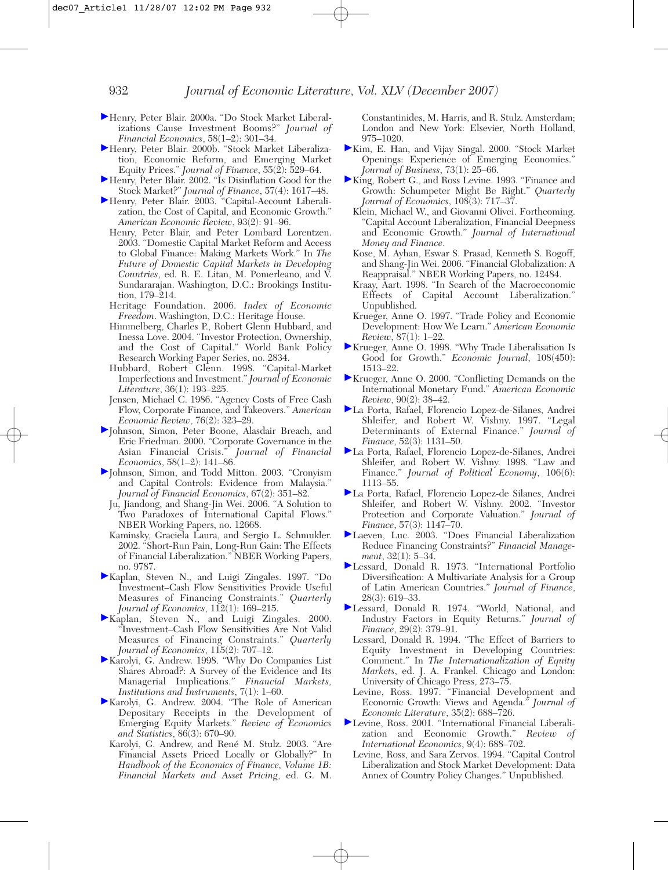- Henry, Peter Blair. 2000a. "Do Stock Market Liberalizations Cause Investment Booms?" *Journal of Financial Economics*, 58(1–2): 301–34.
- Henry, Peter Blair. 2000b. "Stock Market Liberalization, Economic Reform, and Emerging Market Equity Prices." *Journal of Finance*, 55(2): 529–64.
- Henry, Peter Blair. 2002. "Is Disinflation Good for the Stock Market?" *Journal of Finance*, 57(4): 1617–48.
- Henry, Peter Blair. 2003. "Capital-Account Liberalization, the Cost of Capital, and Economic Growth." *American Economic Review*, 93(2): 91–96.
	- Henry, Peter Blair, and Peter Lombard Lorentzen. 2003. "Domestic Capital Market Reform and Access to Global Finance: Making Markets Work." In *The Future of Domestic Capital Markets in Developing Countries*, ed. R. E. Litan, M. Pomerleano, and V. Sundararajan. Washington, D.C.: Brookings Institution, 179–214.
	- Heritage Foundation. 2006. *Index of Economic Freedom*. Washington, D.C.: Heritage House.
	- Himmelberg, Charles P., Robert Glenn Hubbard, and Inessa Love. 2004. "Investor Protection, Ownership, and the Cost of Capital." World Bank Policy Research Working Paper Series, no. 2834.
	- Hubbard, Robert Glenn. 1998. "Capital-Market Imperfections and Investment." *Journal of Economic Literature*, 36(1): 193–225.
	- Jensen, Michael C. 1986. "Agency Costs of Free Cash Flow, Corporate Finance, and Takeovers." *American Economic Review*, 76(2): 323–29.
- Johnson, Simon, Peter Boone, Alasdair Breach, and Eric Friedman. 2000. "Corporate Governance in the Asian Financial Crisis." *Journal of Financial Economics*, 58(1–2): 141–86.
- Johnson, Simon, and Todd Mitton. 2003. "Cronyism and Capital Controls: Evidence from Malaysia." *Journal of Financial Economics*, 67(2): 351–82.
	- Ju, Jiandong, and Shang-Jin Wei. 2006. "A Solution to Two Paradoxes of International Capital Flows." NBER Working Papers, no. 12668.
	- Kaminsky, Graciela Laura, and Sergio L. Schmukler. 2002. "Short-Run Pain, Long-Run Gain: The Effects of Financial Liberalization." NBER Working Papers, no. 9787.
- Kaplan, Steven N., and Luigi Zingales. 1997. "Do Investment–Cash Flow Sensitivities Provide Useful Measures of Financing Constraints." *Quarterly Journal of Economics*, 112(1): 169–215.
- Kaplan, Steven N., and Luigi Zingales. 2000. "Investment–Cash Flow Sensitivities Are Not Valid Measures of Financing Constraints." *Quarterly Journal of Economics*, 115(2): 707–12.
- Karolyi, G. Andrew. 1998. "Why Do Companies List Shares Abroad?: A Survey of the Evidence and Its Managerial Implications." *Financial Markets, Institutions and Instruments*, 7(1): 1–60.
- Karolyi, G. Andrew. 2004. "The Role of American Depositary Receipts in the Development of Emerging Equity Markets." *Review of Economics and Statistics*, 86(3): 670–90.
- Karolyi, G. Andrew, and René M. Stulz. 2003. "Are Financial Assets Priced Locally or Globally?" In *Handbook of the Economics of Finance, Volume 1B: Financial Markets and Asset Pricing*, ed. G. M.

Constantinides, M. Harris, and R. Stulz. Amsterdam; London and New York: Elsevier, North Holland, 975–1020.

- Kim, E. Han, and Vijay Singal. 2000. "Stock Market Openings: Experience of Emerging Economies." *Journal of Business*, 73(1): 25–66.
- King, Robert G., and Ross Levine. 1993. "Finance and Growth: Schumpeter Might Be Right." *Quarterly Journal of Economics*, 108(3): 717–37.
	- Klein, Michael W., and Giovanni Olivei. Forthcoming. "Capital Account Liberalization, Financial Deepness and Economic Growth." *Journal of International Money and Finance*.
	- Kose, M. Ayhan, Eswar S. Prasad, Kenneth S. Rogoff, and Shang-Jin Wei. 2006. "Financial Globalization: A Reappraisal." NBER Working Papers, no. 12484.
	- Kraay, Aart. 1998. "In Search of the Macroeconomic Effects of Capital Account Liberalization." Unpublished.
	- Krueger, Anne O. 1997. "Trade Policy and Economic Development: How We Learn." *American Economic Review*, 87(1): 1–22.
- Krueger, Anne O. 1998. "Why Trade Liberalisation Is Good for Growth." *Economic Journal*, 108(450): 1513–22.
- Krueger, Anne O. 2000. "Conflicting Demands on the International Monetary Fund." *American Economic Review*, 90(2): 38–42.
- La Porta, Rafael, Florencio Lopez-de-Silanes, Andrei Shleifer, and Robert W. Vishny. 1997. "Legal Determinants of External Finance." *Journal of Finance*, 52(3): 1131–50.
- La Porta, Rafael, Florencio Lopez-de-Silanes, Andrei Shleifer, and Robert W. Vishny. 1998. "Law and Finance." *Journal of Political Economy*, 106(6): 1113–55.
- La Porta, Rafael, Florencio Lopez-de Silanes, Andrei Shleifer, and Robert W. Vishny. 2002. "Investor Protection and Corporate Valuation." *Journal of Finance*, 57(3): 1147–70.
- Laeven, Luc. 2003. "Does Financial Liberalization Reduce Financing Constraints?" *Financial Management*, 32(1): 5–34.
- Lessard, Donald R. 1973. "International Portfolio Diversification: A Multivariate Analysis for a Group of Latin American Countries." *Journal of Finance*, 28(3): 619–33.
- Lessard, Donald R. 1974. "World, National, and Industry Factors in Equity Returns." *Journal of Finance*, 29(2): 379–91.
	- Lessard, Donald R. 1994. "The Effect of Barriers to Equity Investment in Developing Countries: Comment." In *The Internationalization of Equity Markets*, ed. J. A. Frankel. Chicago and London: University of Chicago Press, 273–75.
	- Levine, Ross. 1997. "Financial Development and Economic Growth: Views and Agenda." *Journal of Economic Literature*, 35(2): 688–726.
- Levine, Ross. 2001. "International Financial Liberalization and Economic Growth." *Review of International Economics*, 9(4): 688–702.
	- Levine, Ross, and Sara Zervos. 1994. "Capital Control Liberalization and Stock Market Development: Data Annex of Country Policy Changes." Unpublished.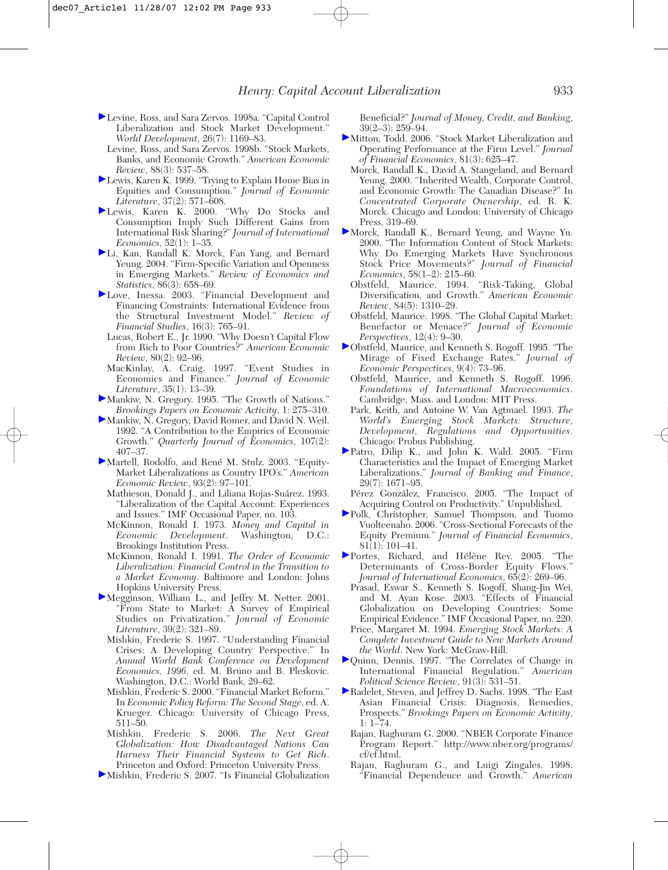- Levine, Ross, and Sara Zervos. 1998a. "Capital Control Liberalization and Stock Market Development." *World Development*, 26(7): 1169–83.
	- Levine, Ross, and Sara Zervos. 1998b. "Stock Markets, Banks, and Economic Growth." *American Economic Review*, 88(3): 537–58.
- Lewis, Karen K. 1999. "Trying to Explain Home Bias in Equities and Consumption." *Journal of Economic Literature*, 37(2): 571–608.
- Lewis, Karen K. 2000. "Why Do Stocks and Consumption Imply Such Different Gains from International Risk Sharing?" *Journal of International Economics*, 52(1): 1–35.
- Li, Kan, Randall K. Morck, Fan Yang, and Bernard Yeung. 2004. "Firm-Specific Variation and Openness in Emerging Markets." *Review of Economics and Statistics*, 86(3): 658–69.
- Love, Inessa. 2003. "Financial Development and Financing Constraints: International Evidence from the Structural Investment Model." *Review of Financial Studies*, 16(3): 765–91.
	- Lucas, Robert E., Jr. 1990. "Why Doesn't Capital Flow from Rich to Poor Countries?" *American Economic Review*, 80(2): 92–96.
- MacKinlay, A. Craig. 1997. "Event Studies in Economics and Finance." *Journal of Economic Literature*, 35(1): 13–39.
- Mankiw, N. Gregory. 1995. "The Growth of Nations." *Brookings Papers on Economic Activity*, 1: 275–310.
- Mankiw, N. Gregory, David Romer, and David N. Weil. 1992. "A Contribution to the Empirics of Economic Growth." *Quarterly Journal of Economics*, 107(2): 407–37.
- Martell, Rodolfo, and René M. Stulz. 2003. "Equity-Market Liberalizations as Country IPO's." *American Economic Review*, 93(2): 97–101.
	- Mathieson, Donald J., and Liliana Rojas-Suárez. 1993. "Liberalization of the Capital Account: Experiences and Issues." IMF Occasional Paper, no. 103.
	- McKinnon, Ronald I. 1973. *Money and Capital in Economic Development*. Washington, D.C.: Brookings Institution Press.
	- McKinnon, Ronald I. 1991. *The Order of Economic Liberalization: Financial Control in the Transition to a Market Economy*. Baltimore and London: Johns Hopkins University Press.
- Megginson, William L., and Jeffry M. Netter. 2001. "From State to Market: A Survey of Empirical Studies on Privatization." *Journal of Economic Literature*, 39(2): 321–89.
	- Mishkin, Frederic S. 1997. "Understanding Financial Crises: A Developing Country Perspective." In *Annual World Bank Conference on Development Economics, 1996*, ed. M. Bruno and B. Pleskovic. Washington, D.C.: World Bank, 29–62.
	- Mishkin, Frederic S. 2000. "Financial Market Reform." In *Economic Policy Reform: The Second Stage*, ed. A. Krueger. Chicago: University of Chicago Press, 511–50.
	- Mishkin, Frederic S. 2006. *The Next Great Globalization: How Disadvantaged Nations Can Harness Their Financial Systems to Get Rich*. Princeton and Oxford: Princeton University Press.
- Mishkin, Frederic S. 2007. "Is Financial Globalization

Beneficial?" *Journal of Money, Credit, and Banking*,  $39(2-3)$ :  $259-94$ .

- Mitton, Todd. 2006. "Stock Market Liberalization and Operating Performance at the Firm Level." *Journal of Financial Economics*, 81(3): 625–47.
	- Morck, Randall K., David A. Stangeland, and Bernard Yeung. 2000. "Inherited Wealth, Corporate Control, and Economic Growth: The Canadian Disease?" In *Concentrated Corporate Ownership*, ed. R. K. Morck. Chicago and London: University of Chicago Press, 319–69.
- Morck, Randall K., Bernard Yeung, and Wayne Yu. 2000. "The Information Content of Stock Markets: Why Do Emerging Markets Have Synchronous Stock Price Movements?" *Journal of Financial*
	- *Economics*, 58(1–2): 215–60. Obstfeld, Maurice. 1994. Diversification, and Growth." *American Economic Review*, 84(5): 1310–29.
	- Obstfeld, Maurice. 1998. "The Global Capital Market: Benefactor or Menace?" *Journal of Economic Perspectives*, 12(4): 9–30.
- Obstfeld, Maurice, and Kenneth S. Rogoff. 1995. "The Mirage of Fixed Exchange Rates." *Journal of Economic Perspectives*, 9(4): 73–96.
	- Obstfeld, Maurice, and Kenneth S. Rogoff. 1996. *Foundations of International Macroeconomics*. Cambridge, Mass. and London: MIT Press.
	- Park, Keith, and Antoine W. Van Agtmael. 1993. *The World's Emerging Stock Markets: Structure, Development, Regulations and Opportunities*. Chicago: Probus Publishing.
- Patro, Dilip K., and John K. Wald. 2005. "Firm Characteristics and the Impact of Emerging Market Liberalizations." *Journal of Banking and Finance*, 29(7): 1671–95.
	- Pérez González, Francisco. 2005. "The Impact of Acquiring Control on Productivity." Unpublished.
- Polk, Christopher, Samuel Thompson, and Tuomo Vuolteenaho. 2006. "Cross-Sectional Forecasts of the Equity Premium." *Journal of Financial Economics*, 81(1): 101–41.
- $\blacktriangleright$  Portes, Richard, and Hélène Rey. 2005. "The Determinants of Cross-Border Equity Flows." *Journal of International Economics*, 65(2): 269–96.
	- Prasad, Eswar S., Kenneth S. Rogoff, Shang-Jin Wei, and M. Ayan Kose. 2003. "Effects of Financial Globalization on Developing Countries: Some Empirical Evidence." IMF Occasional Paper, no. 220.
	- Price, Margaret M. 1994. *Emerging Stock Markets: A Complete Investment Guide to New Markets Around the World*. New York: McGraw-Hill.
- Quinn, Dennis. 1997. "The Correlates of Change in International Financial Regulation." *American Political Science Review*, 91(3): 531–51.
- Radelet, Steven, and Jeffrey D. Sachs. 1998. "The East Asian Financial Crisis: Diagnosis, Remedies, Prospects." *Brookings Papers on Economic Activity*, 1: 1–74.
	- Rajan, Raghuram G. 2000. "NBER Corporate Finance Program Report." http://www.nber.org/programs/ cf/cf.html.
	- Rajan, Raghuram G., and Luigi Zingales. 1998. "Financial Dependence and Growth." *American*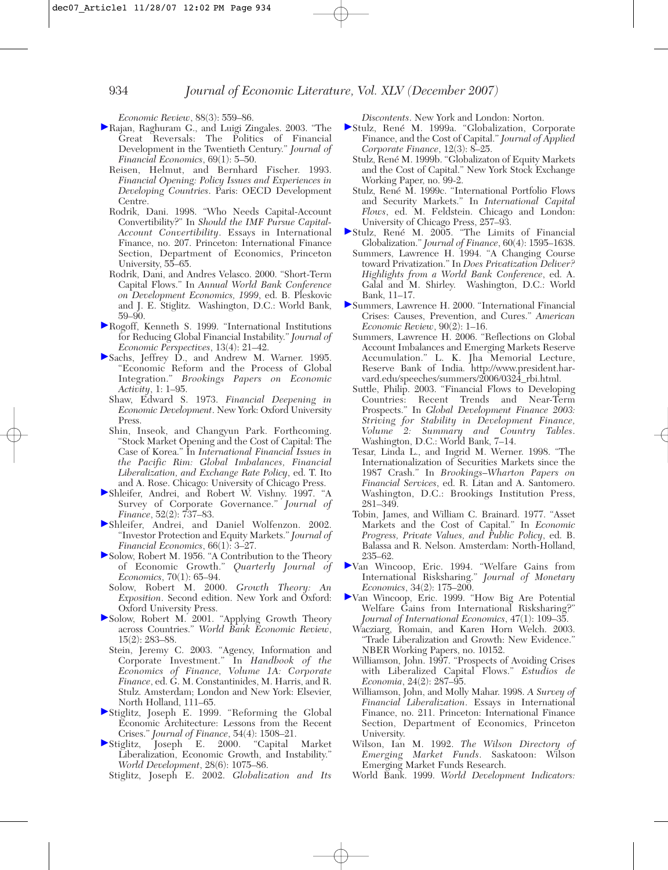*Economic Review*, 88(3): 559–86.

- Rajan, Raghuram G., and Luigi Zingales. 2003. "The Great Reversals: The Politics of Financial Development in the Twentieth Century." *Journal of Financial Economics*, 69(1): 5–50.
	- Reisen, Helmut, and Bernhard Fischer. 1993. *Financial Opening: Policy Issues and Experiences in Developing Countries*. Paris: OECD Development Centre.
	- Rodrik, Dani. 1998. "Who Needs Capital-Account Convertibility?" In *Should the IMF Pursue Capital-Account Convertibility*. Essays in International Finance, no. 207. Princeton: International Finance Section, Department of Economics, Princeton University, 55–65.
	- Rodrik, Dani, and Andres Velasco. 2000. "Short-Term Capital Flows." In *Annual World Bank Conference on Development Economics, 1999*, ed. B. Pleskovic and J. E. Stiglitz. Washington, D.C.: World Bank, 59–90.
- Rogoff, Kenneth S. 1999. "International Institutions for Reducing Global Financial Instability." *Journal of Economic Perspectives*, 13(4): 21–42.
- Sachs, Jeffrey D., and Andrew M. Warner. 1995. "Economic Reform and the Process of Global Integration." *Brookings Papers on Economic Activity*, 1: 1–95.
	- Shaw, Edward S. 1973. *Financial Deepening in Economic Development*. New York: Oxford University Press.
	- Shin, Inseok, and Changyun Park. Forthcoming. "Stock Market Opening and the Cost of Capital: The Case of Korea." In *International Financial Issues in the Pacific Rim: Global Imbalances, Financial Liberalization, and Exchange Rate Policy*, ed. T. Ito and A. Rose. Chicago: University of Chicago Press.
- Shleifer, Andrei, and Robert W. Vishny. 1997. "A Survey of Corporate Governance." *Journal of Finance*, 52(2): 737–83.
- Shleifer, Andrei, and Daniel Wolfenzon. 2002. "Investor Protection and Equity Markets." *Journal of Financial Economics*, 66(1): 3–27.
- Solow, Robert M. 1956. "A Contribution to the Theory of Economic Growth." *Quarterly Journal of Economics*, 70(1): 65–94.
	- Solow, Robert M. 2000. *Growth Theory: An Exposition*. Second edition. New York and Öxford: Oxford University Press.
- Solow, Robert M. 2001. "Applying Growth Theory across Countries." *World Bank Economic Review*, 15(2): 283–88.
	- Stein, Jeremy C. 2003. "Agency, Information and Corporate Investment." In *Handbook of the Economics of Finance, Volume 1A: Corporate Finance*, ed. G. M. Constantinides, M. Harris, and R. Stulz. Amsterdam; London and New York: Elsevier, North Holland, 111–65.
- Stiglitz, Joseph E. 1999. "Reforming the Global Economic Architecture: Lessons from the Recent Crises." *Journal of Finance*, 54(4): 1508–21.
- Stiglitz, Joseph E. 2000. "Capital Market Liberalization, Economic Growth, and Instability." *World Development*, 28(6): 1075–86.

Stiglitz, Joseph E. 2002. *Globalization and Its*

*Discontents*. New York and London: Norton.

- Stulz, René M. 1999a. "Globalization, Corporate Finance, and the Cost of Capital." *Journal of Applied Corporate Finance*, 12(3): 8–25.
	- Stulz, René M. 1999b. "Globalizaton of Equity Markets and the Cost of Capital." New York Stock Exchange Working Paper, no. 99-2.
	- Stulz, René M. 1999c. "International Portfolio Flows and Security Markets." In *International Capital Flows*, ed. M. Feldstein. Chicago and London: University of Chicago Press, 257–93.
- Stulz, René M. 2005. "The Limits of Financial Globalization." *Journal of Finance*, 60(4): 1595–1638.
	- Summers, Lawrence H. 1994. "A Changing Course toward Privatization." In *Does Privatization Deliver? Highlights from a World Bank Conference*, ed. A. Galal and M. Shirley. Washington, D.C.: World Bank, 11–17.
- Summers, Lawrence H. 2000. "International Financial Crises: Causes, Prevention, and Cures." *American Economic Review*, 90(2): 1–16.
	- Summers, Lawrence H. 2006. "Reflections on Global Account Imbalances and Emerging Markets Reserve Accumulation." L. K. Jha Memorial Lecture, Reserve Bank of India. http://www.president.harvard.edu/speeches/summers/2006/0324\_rbi.html.
	- Suttle, Philip. 2003. "Financial Flows to Developing Countries: Recent Trends and Near-Term Prospects." In *Global Development Finance 2003: Striving for Stability in Development Finance, Volume 2: Summary and Country Tables*. Washington, D.C.: World Bank, 7–14.
	- Tesar, Linda L., and Ingrid M. Werner. 1998. "The Internationalization of Securities Markets since the 1987 Crash." In *Brookings–Wharton Papers on Financial Services*, ed. R. Litan and A. Santomero. Washington, D.C.: Brookings Institution Press, 281–349.
	- Tobin, James, and William C. Brainard. 1977. "Asset Markets and the Cost of Capital." In *Economic Progress, Private Values, and Public Policy*, ed. B. Balassa and R. Nelson. Amsterdam: North-Holland, 235–62.
- Van Wincoop, Eric. 1994. "Welfare Gains from International Risksharing." *Journal of Monetary Economics*, 34(2): 175–200.
- Van Wincoop, Eric. 1999. "How Big Are Potential Welfare Gains from International Risksharing?" *Journal of International Economics*, 47(1): 109–35.
	- Wacziarg, Romain, and Karen Horn Welch. 2003. "Trade Liberalization and Growth: New Evidence." NBER Working Papers, no. 10152.
	- Williamson, John. 1997. "Prospects of Avoiding Crises with Liberalized Capital Flows." *Estudios de Economia*, 24(2): 287–95.
	- Williamson, John, and Molly Mahar. 1998. *A Survey of Financial Liberalization*. Essays in International Finance, no. 211. Princeton: International Finance Section, Department of Economics, Princeton University.
	- Wilson, Ian M. 1992. *The Wilson Directory of Emerging Market Funds*. Saskatoon: Wilson Emerging Market Funds Research.
	- World Bank. 1999. *World Development Indicators:*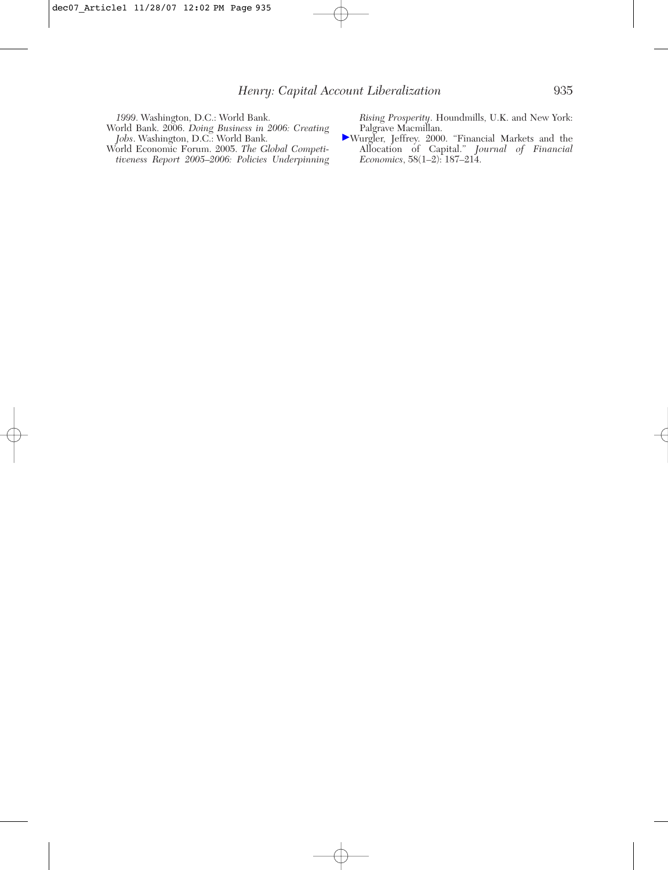*1999*. Washington, D.C.: World Bank.

- World Bank. 2006. *Doing Business in 2006: Creating Jobs*. Washington, D.C.: World Bank.
- World Economic Forum. 2005. *The Global Competitiveness Report 2005–2006: Policies Underpinning*

*Rising Prosperity*. Houndmills, U.K. and New York: Palgrave Macmillan.

Wurgler, Jeffrey. 2000. "Financial Markets and the Allocation of Capital." *Journal of Financial Economics*, 58(1–2): 187–214.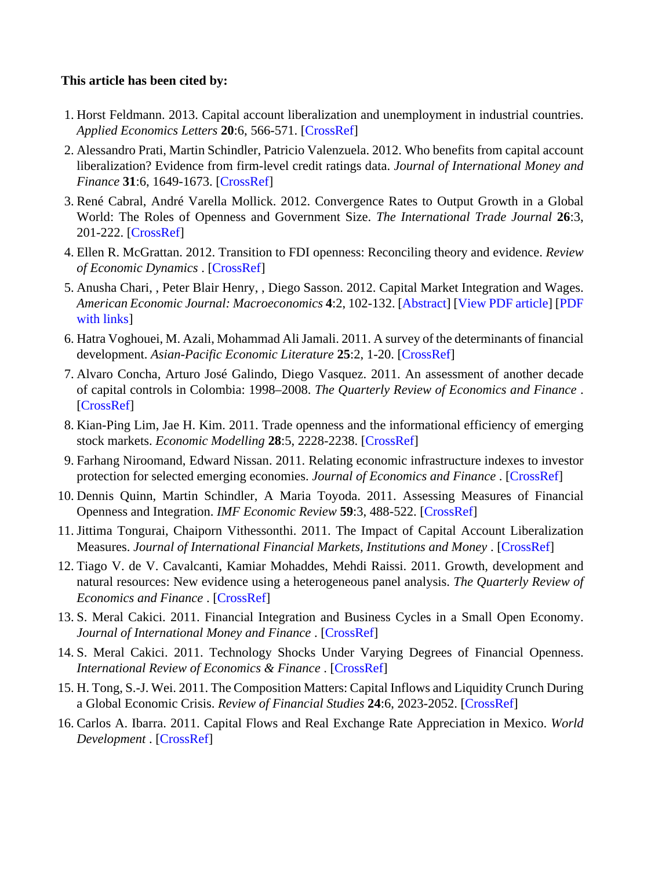#### **This article has been cited by:**

- 1. Horst Feldmann. 2013. Capital account liberalization and unemployment in industrial countries. *Applied Economics Letters* **20**:6, 566-571. [\[CrossRef\]](http://dx.doi.org/10.1080/13504851.2012.718058)
- 2. Alessandro Prati, Martin Schindler, Patricio Valenzuela. 2012. Who benefits from capital account liberalization? Evidence from firm-level credit ratings data. *Journal of International Money and Finance* **31**:6, 1649-1673. [\[CrossRef\]](http://dx.doi.org/10.1016/j.jimonfin.2012.03.005)
- 3. René Cabral, André Varella Mollick. 2012. Convergence Rates to Output Growth in a Global World: The Roles of Openness and Government Size. *The International Trade Journal* **26**:3, 201-222. [\[CrossRef\]](http://dx.doi.org/10.1080/08853908.2012.682024)
- 4. Ellen R. McGrattan. 2012. Transition to FDI openness: Reconciling theory and evidence. *Review of Economic Dynamics* . [\[CrossRef\]](http://dx.doi.org/10.1016/j.red.2012.07.004)
- 5. Anusha Chari, , Peter Blair Henry, , Diego Sasson. 2012. Capital Market Integration and Wages. *American Economic Journal: Macroeconomics* **4**:2, 102-132. [[Abstract](http://dx.doi.org/10.1257/mac.4.2.102)] [\[View PDF article](http://pubs.aeaweb.org/doi/pdf/10.1257/mac.4.2.102)] [[PDF](http://pubs.aeaweb.org/doi/pdfplus/10.1257/mac.4.2.102) [with links](http://pubs.aeaweb.org/doi/pdfplus/10.1257/mac.4.2.102)]
- 6. Hatra Voghouei, M. Azali, Mohammad Ali Jamali. 2011. A survey of the determinants of financial development. *Asian-Pacific Economic Literature* **25**:2, 1-20. [\[CrossRef\]](http://dx.doi.org/10.1111/j.1467-8411.2011.01304.x)
- 7. Alvaro Concha, Arturo José Galindo, Diego Vasquez. 2011. An assessment of another decade of capital controls in Colombia: 1998–2008. *The Quarterly Review of Economics and Finance* . [\[CrossRef](http://dx.doi.org/10.1016/j.qref.2011.08.002)]
- 8. Kian-Ping Lim, Jae H. Kim. 2011. Trade openness and the informational efficiency of emerging stock markets. *Economic Modelling* **28**:5, 2228-2238. [[CrossRef\]](http://dx.doi.org/10.1016/j.econmod.2011.06.004)
- 9.Farhang Niroomand, Edward Nissan. 2011. Relating economic infrastructure indexes to investor protection for selected emerging economies. *Journal of Economics and Finance* . [\[CrossRef](http://dx.doi.org/10.1007/s12197-011-9200-0)]
- 10. Dennis Quinn, Martin Schindler, A Maria Toyoda. 2011. Assessing Measures of Financial Openness and Integration. *IMF Economic Review* **59**:3, 488-522. [\[CrossRef\]](http://dx.doi.org/10.1057/imfer.2011.18)
- 11. Jittima Tongurai, Chaiporn Vithessonthi. 2011. The Impact of Capital Account Liberalization Measures. *Journal of International Financial Markets, Institutions and Money* . [\[CrossRef\]](http://dx.doi.org/10.1016/j.intfin.2011.07.003)
- 12. Tiago V. de V. Cavalcanti, Kamiar Mohaddes, Mehdi Raissi. 2011. Growth, development and natural resources: New evidence using a heterogeneous panel analysis. *The Quarterly Review of Economics and Finance* . [\[CrossRef](http://dx.doi.org/10.1016/j.qref.2011.07.007)]
- 13.S. Meral Cakici. 2011. Financial Integration and Business Cycles in a Small Open Economy. *Journal of International Money and Finance* . [[CrossRef\]](http://dx.doi.org/10.1016/j.jimonfin.2011.06.011)
- 14.S. Meral Cakici. 2011. Technology Shocks Under Varying Degrees of Financial Openness. *International Review of Economics & Finance* . [[CrossRef](http://dx.doi.org/10.1016/j.iref.2011.06.005)]
- 15. H. Tong, S.-J. Wei. 2011. The Composition Matters: Capital Inflows and Liquidity Crunch During a Global Economic Crisis. *Review of Financial Studies* **24**:6, 2023-2052. [[CrossRef\]](http://dx.doi.org/10.1093/rfs/hhq078)
- 16. Carlos A. Ibarra. 2011. Capital Flows and Real Exchange Rate Appreciation in Mexico. *World Development* . [\[CrossRef\]](http://dx.doi.org/10.1016/j.worlddev.2011.05.020)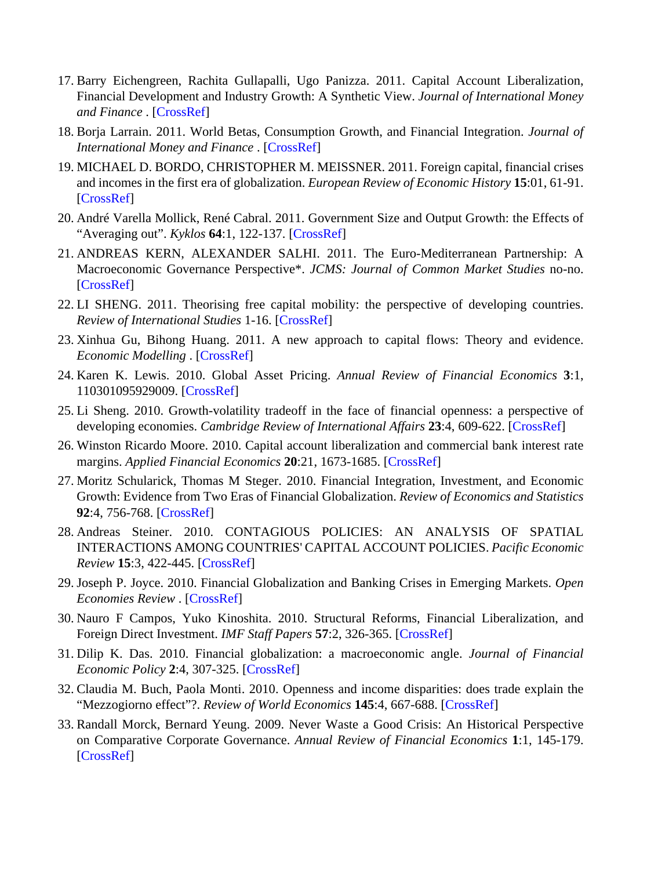- 17. Barry Eichengreen, Rachita Gullapalli, Ugo Panizza. 2011. Capital Account Liberalization, Financial Development and Industry Growth: A Synthetic View. *Journal of International Money and Finance* . [[CrossRef](http://dx.doi.org/10.1016/j.jimonfin.2011.06.007)]
- 18. Borja Larrain. 2011. World Betas, Consumption Growth, and Financial Integration. *Journal of International Money and Finance* . [[CrossRef](http://dx.doi.org/10.1016/j.jimonfin.2011.06.010)]
- 19. MICHAEL D. BORDO, CHRISTOPHER M. MEISSNER. 2011. Foreign capital, financial crises and incomes in the first era of globalization. *European Review of Economic History* **15**:01, 61-91. [\[CrossRef](http://dx.doi.org/10.1017/S1361491610000158)]
- 20. André Varella Mollick, René Cabral. 2011. Government Size and Output Growth: the Effects of "Averaging out". *Kyklos* **64**:1, 122-137. [\[CrossRef](http://dx.doi.org/10.1111/j.1467-6435.2010.00498.x)]
- 21. ANDREAS KERN, ALEXANDER SALHI. 2011. The Euro-Mediterranean Partnership: A Macroeconomic Governance Perspective\*. *JCMS: Journal of Common Market Studies* no-no. [\[CrossRef](http://dx.doi.org/10.1111/j.1468-5965.2010.02170.x)]
- 22. LI SHENG. 2011. Theorising free capital mobility: the perspective of developing countries. *Review of International Studies* 1-16. [[CrossRef\]](http://dx.doi.org/10.1017/S0260210510001610)
- 23. Xinhua Gu, Bihong Huang. 2011. A new approach to capital flows: Theory and evidence. *Economic Modelling* . [\[CrossRef](http://dx.doi.org/10.1016/j.econmod.2010.11.023)]
- 24. Karen K. Lewis. 2010. Global Asset Pricing. *Annual Review of Financial Economics* **3**:1, 110301095929009. [\[CrossRef](http://dx.doi.org/10.1146/annurev-financial-102710-144841)]
- 25. Li Sheng. 2010. Growth-volatility tradeoff in the face of financial openness: a perspective of developing economies. *Cambridge Review of International Affairs* **23**:4, 609-622. [\[CrossRef](http://dx.doi.org/10.1080/09557571.2010.523822)]
- 26. Winston Ricardo Moore. 2010. Capital account liberalization and commercial bank interest rate margins. *Applied Financial Economics* **20**:21, 1673-1685. [[CrossRef\]](http://dx.doi.org/10.1080/09603107.2010.524617)
- 27. Moritz Schularick, Thomas M Steger. 2010. Financial Integration, Investment, and Economic Growth: Evidence from Two Eras of Financial Globalization. *Review of Economics and Statistics* **92**:4, 756-768. [\[CrossRef](http://dx.doi.org/10.1162/REST_a_00027)]
- 28. Andreas Steiner. 2010. CONTAGIOUS POLICIES: AN ANALYSIS OF SPATIAL INTERACTIONS AMONG COUNTRIES' CAPITAL ACCOUNT POLICIES. *Pacific Economic Review* **15**:3, 422-445. [[CrossRef\]](http://dx.doi.org/10.1111/j.1468-0106.2010.00511.x)
- 29. Joseph P. Joyce. 2010. Financial Globalization and Banking Crises in Emerging Markets. *Open Economies Review* . [[CrossRef](http://dx.doi.org/10.1007/s11079-010-9179-8)]
- 30. Nauro F Campos, Yuko Kinoshita. 2010. Structural Reforms, Financial Liberalization, and Foreign Direct Investment. *IMF Staff Papers* **57**:2, 326-365. [[CrossRef\]](http://dx.doi.org/10.1057/imfsp.2009.17)
- 31. Dilip K. Das. 2010. Financial globalization: a macroeconomic angle. *Journal of Financial Economic Policy* **2**:4, 307-325. [[CrossRef\]](http://dx.doi.org/10.1108/17576381011100847)
- 32. Claudia M. Buch, Paola Monti. 2010. Openness and income disparities: does trade explain the "Mezzogiorno effect"?. *Review of World Economics* **145**:4, 667-688. [[CrossRef\]](http://dx.doi.org/10.1007/s10290-009-0038-x)
- 33. Randall Morck, Bernard Yeung. 2009. Never Waste a Good Crisis: An Historical Perspective on Comparative Corporate Governance. *Annual Review of Financial Economics* **1**:1, 145-179. [\[CrossRef](http://dx.doi.org/10.1146/annurev.financial.050808.114257)]